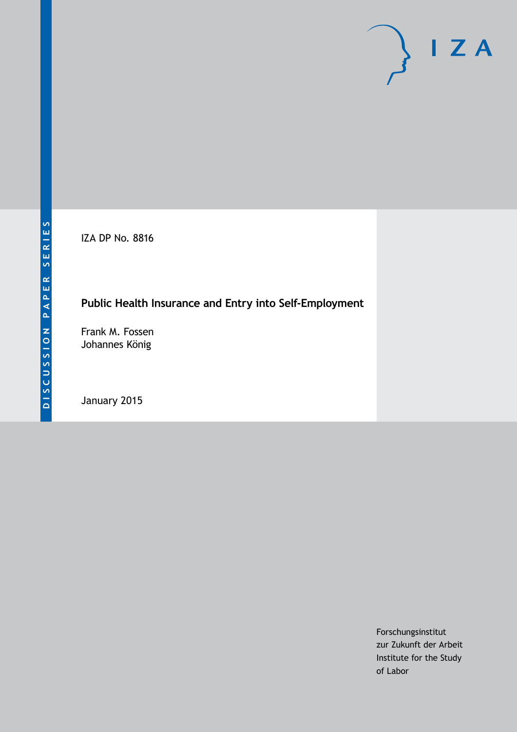IZA DP No. 8816

# **Public Health Insurance and Entry into Self-Employment**

Frank M. Fossen Johannes König

January 2015

Forschungsinstitut zur Zukunft der Arbeit Institute for the Study of Labor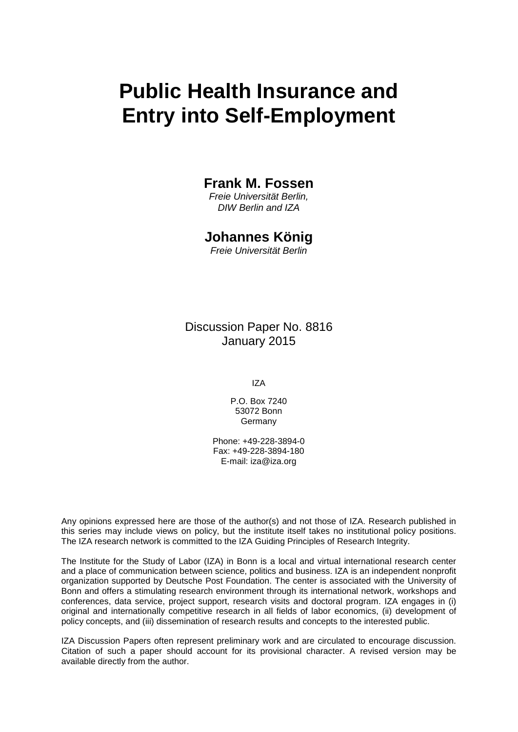# **Public Health Insurance and Entry into Self-Employment**

### **Frank M. Fossen**

*Freie Universität Berlin, DIW Berlin and IZA*

## **Johannes König**

*Freie Universität Berlin*

Discussion Paper No. 8816 January 2015

IZA

P.O. Box 7240 53072 Bonn Germany

Phone: +49-228-3894-0 Fax: +49-228-3894-180 E-mail: [iza@iza.org](mailto:iza@iza.org)

Any opinions expressed here are those of the author(s) and not those of IZA. Research published in this series may include views on policy, but the institute itself takes no institutional policy positions. The IZA research network is committed to the IZA Guiding Principles of Research Integrity.

The Institute for the Study of Labor (IZA) in Bonn is a local and virtual international research center and a place of communication between science, politics and business. IZA is an independent nonprofit organization supported by Deutsche Post Foundation. The center is associated with the University of Bonn and offers a stimulating research environment through its international network, workshops and conferences, data service, project support, research visits and doctoral program. IZA engages in (i) original and internationally competitive research in all fields of labor economics, (ii) development of policy concepts, and (iii) dissemination of research results and concepts to the interested public.

<span id="page-1-0"></span>IZA Discussion Papers often represent preliminary work and are circulated to encourage discussion. Citation of such a paper should account for its provisional character. A revised version may be available directly from the author.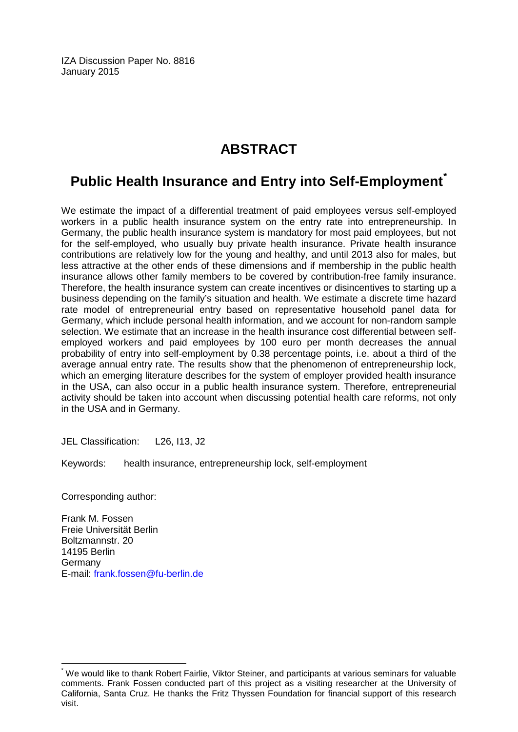IZA Discussion Paper No. 8816 January 2015

# **ABSTRACT**

# **Public Health Insurance and Entry into Self-Employment[\\*](#page-1-0)**

We estimate the impact of a differential treatment of paid employees versus self-employed workers in a public health insurance system on the entry rate into entrepreneurship. In Germany, the public health insurance system is mandatory for most paid employees, but not for the self-employed, who usually buy private health insurance. Private health insurance contributions are relatively low for the young and healthy, and until 2013 also for males, but less attractive at the other ends of these dimensions and if membership in the public health insurance allows other family members to be covered by contribution-free family insurance. Therefore, the health insurance system can create incentives or disincentives to starting up a business depending on the family's situation and health. We estimate a discrete time hazard rate model of entrepreneurial entry based on representative household panel data for Germany, which include personal health information, and we account for non-random sample selection. We estimate that an increase in the health insurance cost differential between selfemployed workers and paid employees by 100 euro per month decreases the annual probability of entry into self-employment by 0.38 percentage points, i.e. about a third of the average annual entry rate. The results show that the phenomenon of entrepreneurship lock, which an emerging literature describes for the system of employer provided health insurance in the USA, can also occur in a public health insurance system. Therefore, entrepreneurial activity should be taken into account when discussing potential health care reforms, not only in the USA and in Germany.

JEL Classification: L26, I13, J2

Keywords: health insurance, entrepreneurship lock, self-employment

Corresponding author:

Frank M. Fossen Freie Universität Berlin Boltzmannstr. 20 14195 Berlin Germany E-mail: [frank.fossen@fu-berlin.de](mailto:frank.fossen@fu-berlin.de)

\* We would like to thank Robert Fairlie, Viktor Steiner, and participants at various seminars for valuable comments. Frank Fossen conducted part of this project as a visiting researcher at the University of California, Santa Cruz. He thanks the Fritz Thyssen Foundation for financial support of this research visit.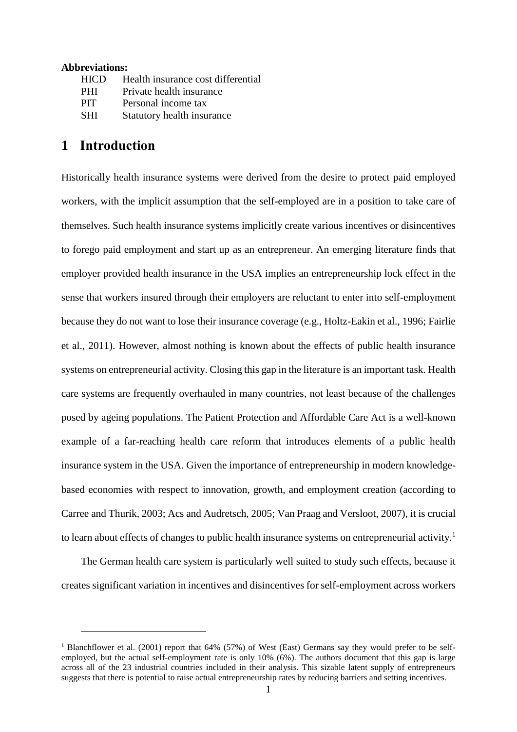#### **Abbreviations:**

| HICD       | Health insurance cost differential |
|------------|------------------------------------|
| <b>PHI</b> | Private health insurance           |
| <b>PIT</b> | Personal income tax                |
| <b>SHI</b> | Statutory health insurance         |

# **1 Introduction**

 $\overline{a}$ 

Historically health insurance systems were derived from the desire to protect paid employed workers, with the implicit assumption that the self-employed are in a position to take care of themselves. Such health insurance systems implicitly create various incentives or disincentives to forego paid employment and start up as an entrepreneur. An emerging literature finds that employer provided health insurance in the USA implies an entrepreneurship lock effect in the sense that workers insured through their employers are reluctant to enter into self-employment because they do not want to lose their insurance coverage (e.g., Holtz-Eakin et al., 1996; Fairlie et al., 2011). However, almost nothing is known about the effects of public health insurance systems on entrepreneurial activity. Closing this gap in the literature is an important task. Health care systems are frequently overhauled in many countries, not least because of the challenges posed by ageing populations. The Patient Protection and Affordable Care Act is a well-known example of a far-reaching health care reform that introduces elements of a public health insurance system in the USA. Given the importance of entrepreneurship in modern knowledgebased economies with respect to innovation, growth, and employment creation (according to Carree and Thurik, 2003; Acs and Audretsch, 2005; Van Praag and Versloot, 2007), it is crucial to learn about effects of changes to public health insurance systems on entrepreneurial activity.<sup>1</sup>

The German health care system is particularly well suited to study such effects, because it creates significant variation in incentives and disincentives for self-employment across workers

<sup>&</sup>lt;sup>1</sup> Blanchflower et al. (2001) report that 64% (57%) of West (East) Germans say they would prefer to be selfemployed, but the actual self-employment rate is only 10% (6%). The authors document that this gap is large across all of the 23 industrial countries included in their analysis. This sizable latent supply of entrepreneurs suggests that there is potential to raise actual entrepreneurship rates by reducing barriers and setting incentives.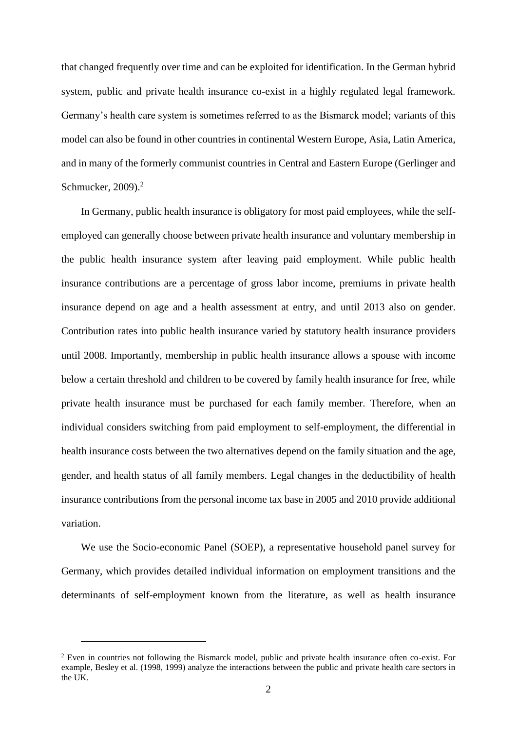that changed frequently over time and can be exploited for identification. In the German hybrid system, public and private health insurance co-exist in a highly regulated legal framework. Germany's health care system is sometimes referred to as the Bismarck model; variants of this model can also be found in other countries in continental Western Europe, Asia, Latin America, and in many of the formerly communist countries in Central and Eastern Europe (Gerlinger and Schmucker, 2009).<sup>2</sup>

In Germany, public health insurance is obligatory for most paid employees, while the selfemployed can generally choose between private health insurance and voluntary membership in the public health insurance system after leaving paid employment. While public health insurance contributions are a percentage of gross labor income, premiums in private health insurance depend on age and a health assessment at entry, and until 2013 also on gender. Contribution rates into public health insurance varied by statutory health insurance providers until 2008. Importantly, membership in public health insurance allows a spouse with income below a certain threshold and children to be covered by family health insurance for free, while private health insurance must be purchased for each family member. Therefore, when an individual considers switching from paid employment to self-employment, the differential in health insurance costs between the two alternatives depend on the family situation and the age, gender, and health status of all family members. Legal changes in the deductibility of health insurance contributions from the personal income tax base in 2005 and 2010 provide additional variation.

We use the Socio-economic Panel (SOEP), a representative household panel survey for Germany, which provides detailed individual information on employment transitions and the determinants of self-employment known from the literature, as well as health insurance

<sup>2</sup> Even in countries not following the Bismarck model, public and private health insurance often co-exist. For example, Besley et al. (1998, 1999) analyze the interactions between the public and private health care sectors in the UK.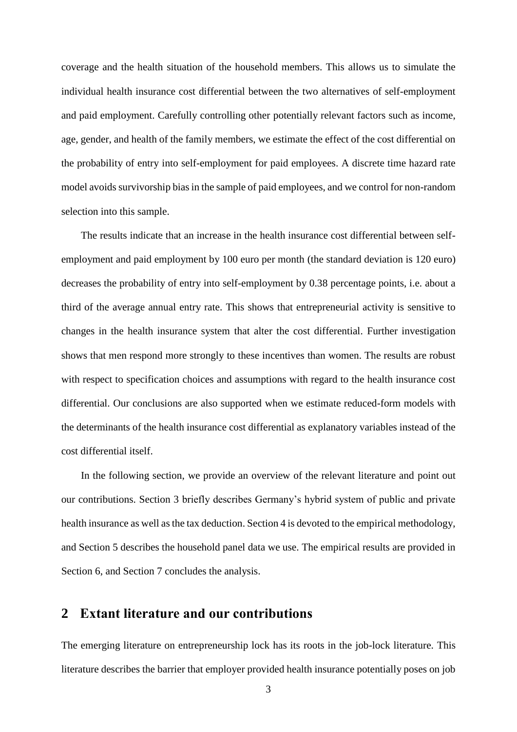coverage and the health situation of the household members. This allows us to simulate the individual health insurance cost differential between the two alternatives of self-employment and paid employment. Carefully controlling other potentially relevant factors such as income, age, gender, and health of the family members, we estimate the effect of the cost differential on the probability of entry into self-employment for paid employees. A discrete time hazard rate model avoids survivorship bias in the sample of paid employees, and we control for non-random selection into this sample.

The results indicate that an increase in the health insurance cost differential between selfemployment and paid employment by 100 euro per month (the standard deviation is 120 euro) decreases the probability of entry into self-employment by 0.38 percentage points, i.e. about a third of the average annual entry rate. This shows that entrepreneurial activity is sensitive to changes in the health insurance system that alter the cost differential. Further investigation shows that men respond more strongly to these incentives than women. The results are robust with respect to specification choices and assumptions with regard to the health insurance cost differential. Our conclusions are also supported when we estimate reduced-form models with the determinants of the health insurance cost differential as explanatory variables instead of the cost differential itself.

In the following section, we provide an overview of the relevant literature and point out our contributions. Section 3 briefly describes Germany's hybrid system of public and private health insurance as well as the tax deduction. Section 4 is devoted to the empirical methodology, and Section 5 describes the household panel data we use. The empirical results are provided in Section 6, and Section 7 concludes the analysis.

### **2 Extant literature and our contributions**

The emerging literature on entrepreneurship lock has its roots in the job-lock literature. This literature describes the barrier that employer provided health insurance potentially poses on job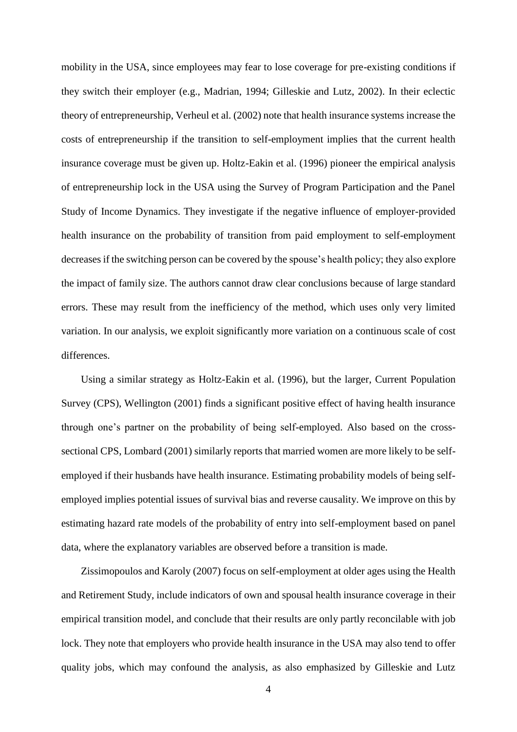mobility in the USA, since employees may fear to lose coverage for pre-existing conditions if they switch their employer (e.g., Madrian, 1994; Gilleskie and Lutz, 2002). In their eclectic theory of entrepreneurship, Verheul et al. (2002) note that health insurance systems increase the costs of entrepreneurship if the transition to self-employment implies that the current health insurance coverage must be given up. Holtz-Eakin et al. (1996) pioneer the empirical analysis of entrepreneurship lock in the USA using the Survey of Program Participation and the Panel Study of Income Dynamics. They investigate if the negative influence of employer-provided health insurance on the probability of transition from paid employment to self-employment decreases if the switching person can be covered by the spouse's health policy; they also explore the impact of family size. The authors cannot draw clear conclusions because of large standard errors. These may result from the inefficiency of the method, which uses only very limited variation. In our analysis, we exploit significantly more variation on a continuous scale of cost differences.

Using a similar strategy as Holtz-Eakin et al. (1996), but the larger, Current Population Survey (CPS), Wellington (2001) finds a significant positive effect of having health insurance through one's partner on the probability of being self-employed. Also based on the crosssectional CPS, Lombard (2001) similarly reports that married women are more likely to be selfemployed if their husbands have health insurance. Estimating probability models of being selfemployed implies potential issues of survival bias and reverse causality. We improve on this by estimating hazard rate models of the probability of entry into self-employment based on panel data, where the explanatory variables are observed before a transition is made.

Zissimopoulos and Karoly (2007) focus on self-employment at older ages using the Health and Retirement Study, include indicators of own and spousal health insurance coverage in their empirical transition model, and conclude that their results are only partly reconcilable with job lock. They note that employers who provide health insurance in the USA may also tend to offer quality jobs, which may confound the analysis, as also emphasized by Gilleskie and Lutz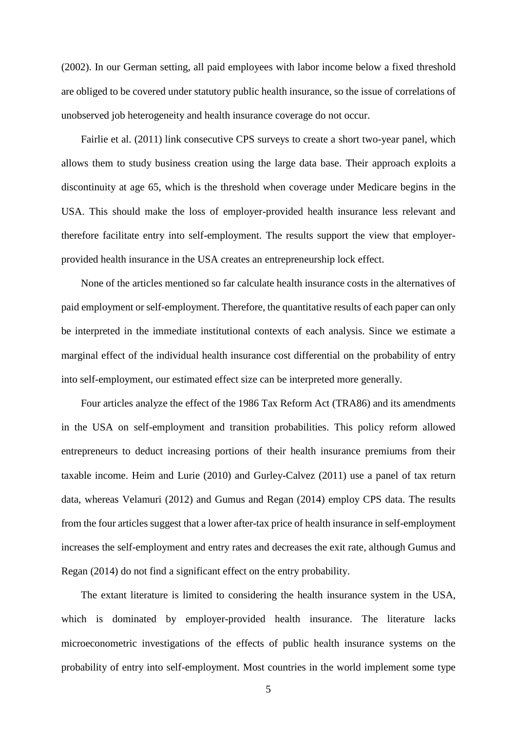(2002). In our German setting, all paid employees with labor income below a fixed threshold are obliged to be covered under statutory public health insurance, so the issue of correlations of unobserved job heterogeneity and health insurance coverage do not occur.

Fairlie et al. (2011) link consecutive CPS surveys to create a short two-year panel, which allows them to study business creation using the large data base. Their approach exploits a discontinuity at age 65, which is the threshold when coverage under Medicare begins in the USA. This should make the loss of employer-provided health insurance less relevant and therefore facilitate entry into self-employment. The results support the view that employerprovided health insurance in the USA creates an entrepreneurship lock effect.

None of the articles mentioned so far calculate health insurance costs in the alternatives of paid employment or self-employment. Therefore, the quantitative results of each paper can only be interpreted in the immediate institutional contexts of each analysis. Since we estimate a marginal effect of the individual health insurance cost differential on the probability of entry into self-employment, our estimated effect size can be interpreted more generally.

Four articles analyze the effect of the 1986 Tax Reform Act (TRA86) and its amendments in the USA on self-employment and transition probabilities. This policy reform allowed entrepreneurs to deduct increasing portions of their health insurance premiums from their taxable income. Heim and Lurie (2010) and Gurley-Calvez (2011) use a panel of tax return data, whereas Velamuri (2012) and Gumus and Regan (2014) employ CPS data. The results from the four articles suggest that a lower after-tax price of health insurance in self-employment increases the self-employment and entry rates and decreases the exit rate, although Gumus and Regan (2014) do not find a significant effect on the entry probability.

The extant literature is limited to considering the health insurance system in the USA, which is dominated by employer-provided health insurance. The literature lacks microeconometric investigations of the effects of public health insurance systems on the probability of entry into self-employment. Most countries in the world implement some type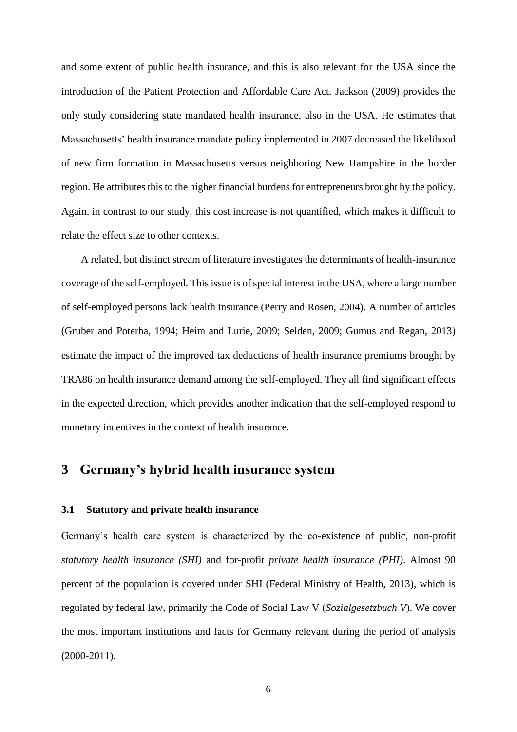and some extent of public health insurance, and this is also relevant for the USA since the introduction of the Patient Protection and Affordable Care Act. Jackson (2009) provides the only study considering state mandated health insurance, also in the USA. He estimates that Massachusetts' health insurance mandate policy implemented in 2007 decreased the likelihood of new firm formation in Massachusetts versus neighboring New Hampshire in the border region. He attributes this to the higher financial burdens for entrepreneurs brought by the policy. Again, in contrast to our study, this cost increase is not quantified, which makes it difficult to relate the effect size to other contexts.

A related, but distinct stream of literature investigates the determinants of health-insurance coverage of the self-employed. This issue is of special interest in the USA, where a large number of self-employed persons lack health insurance (Perry and Rosen, 2004). A number of articles (Gruber and Poterba, 1994; Heim and Lurie, 2009; Selden, 2009; Gumus and Regan, 2013) estimate the impact of the improved tax deductions of health insurance premiums brought by TRA86 on health insurance demand among the self-employed. They all find significant effects in the expected direction, which provides another indication that the self-employed respond to monetary incentives in the context of health insurance.

# **3 Germany's hybrid health insurance system**

#### **3.1 Statutory and private health insurance**

Germany's health care system is characterized by the co-existence of public, non-profit *statutory health insurance (SHI)* and for-profit *private health insurance (PHI)*. Almost 90 percent of the population is covered under SHI (Federal Ministry of Health, 2013), which is regulated by federal law, primarily the Code of Social Law V (*Sozialgesetzbuch V*). We cover the most important institutions and facts for Germany relevant during the period of analysis (2000-2011).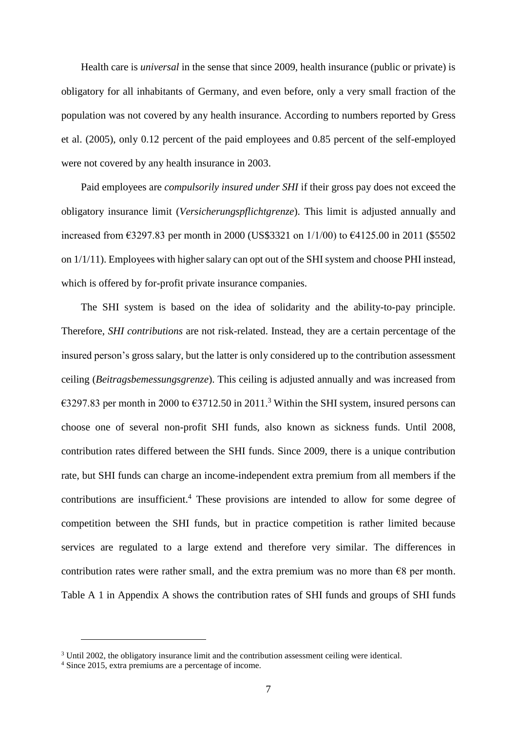Health care is *universal* in the sense that since 2009, health insurance (public or private) is obligatory for all inhabitants of Germany, and even before, only a very small fraction of the population was not covered by any health insurance. According to numbers reported by Gress et al. (2005), only 0.12 percent of the paid employees and 0.85 percent of the self-employed were not covered by any health insurance in 2003.

Paid employees are *compulsorily insured under SHI* if their gross pay does not exceed the obligatory insurance limit (*Versicherungspflichtgrenze*). This limit is adjusted annually and increased from €3297.83 per month in 2000 (US\$3321 on 1/1/00) to €4125.00 in 2011 (\$5502 on  $1/1/11$ ). Employees with higher salary can opt out of the SHI system and choose PHI instead, which is offered by for-profit private insurance companies.

The SHI system is based on the idea of solidarity and the ability-to-pay principle. Therefore, *SHI contributions* are not risk-related. Instead, they are a certain percentage of the insured person's gross salary, but the latter is only considered up to the contribution assessment ceiling (*Beitragsbemessungsgrenze*). This ceiling is adjusted annually and was increased from €3297.83 per month in 2000 to €3712.50 in 2011.<sup>3</sup> Within the SHI system, insured persons can choose one of several non-profit SHI funds, also known as sickness funds. Until 2008, contribution rates differed between the SHI funds. Since 2009, there is a unique contribution rate, but SHI funds can charge an income-independent extra premium from all members if the contributions are insufficient. <sup>4</sup> These provisions are intended to allow for some degree of competition between the SHI funds, but in practice competition is rather limited because services are regulated to a large extend and therefore very similar. The differences in contribution rates were rather small, and the extra premium was no more than  $\epsilon$ 8 per month. Table A 1 in Appendix A shows the contribution rates of SHI funds and groups of SHI funds

<sup>&</sup>lt;sup>3</sup> Until 2002, the obligatory insurance limit and the contribution assessment ceiling were identical.

<sup>4</sup> Since 2015, extra premiums are a percentage of income.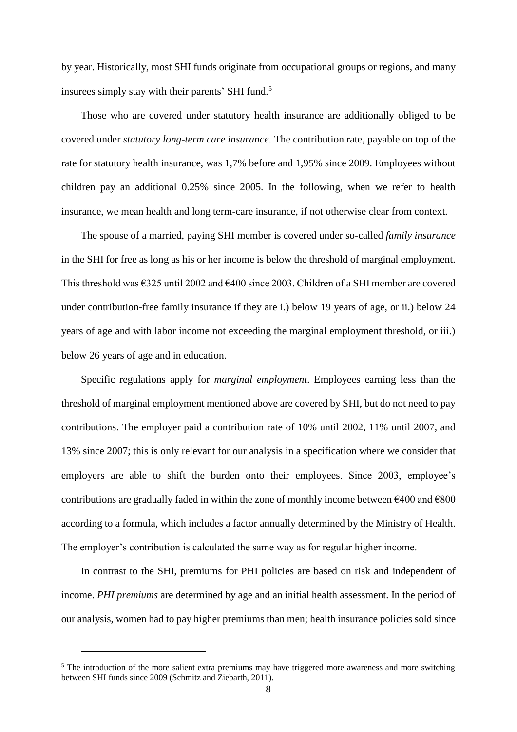by year. Historically, most SHI funds originate from occupational groups or regions, and many insurees simply stay with their parents' SHI fund.<sup>5</sup>

Those who are covered under statutory health insurance are additionally obliged to be covered under *statutory long-term care insurance*. The contribution rate, payable on top of the rate for statutory health insurance, was 1,7% before and 1,95% since 2009. Employees without children pay an additional 0.25% since 2005. In the following, when we refer to health insurance, we mean health and long term-care insurance, if not otherwise clear from context.

The spouse of a married, paying SHI member is covered under so-called *family insurance* in the SHI for free as long as his or her income is below the threshold of marginal employment. This threshold was  $\epsilon$ 325 until 2002 and  $\epsilon$ 400 since 2003. Children of a SHI member are covered under contribution-free family insurance if they are i.) below 19 years of age, or ii.) below 24 years of age and with labor income not exceeding the marginal employment threshold, or iii.) below 26 years of age and in education.

Specific regulations apply for *marginal employment*. Employees earning less than the threshold of marginal employment mentioned above are covered by SHI, but do not need to pay contributions. The employer paid a contribution rate of 10% until 2002, 11% until 2007, and 13% since 2007; this is only relevant for our analysis in a specification where we consider that employers are able to shift the burden onto their employees. Since 2003, employee's contributions are gradually faded in within the zone of monthly income between  $\epsilon$ 400 and  $\epsilon$ 800 according to a formula, which includes a factor annually determined by the Ministry of Health. The employer's contribution is calculated the same way as for regular higher income.

In contrast to the SHI, premiums for PHI policies are based on risk and independent of income. *PHI premiums* are determined by age and an initial health assessment. In the period of our analysis, women had to pay higher premiums than men; health insurance policies sold since

<sup>&</sup>lt;sup>5</sup> The introduction of the more salient extra premiums may have triggered more awareness and more switching between SHI funds since 2009 (Schmitz and Ziebarth, 2011).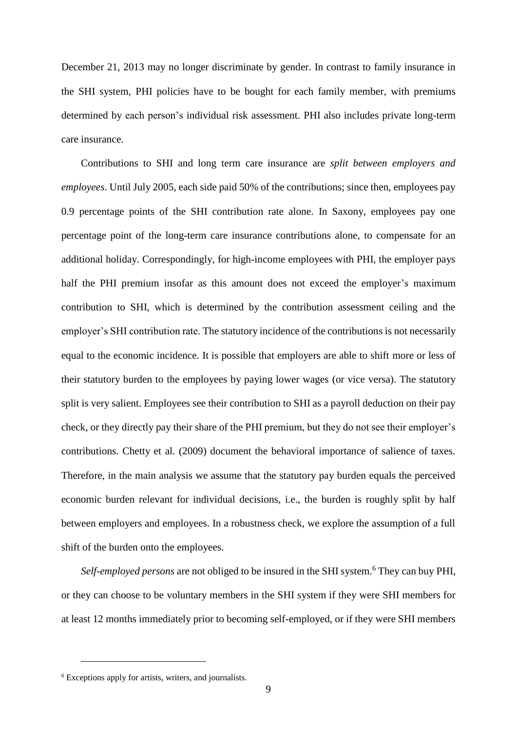December 21, 2013 may no longer discriminate by gender. In contrast to family insurance in the SHI system, PHI policies have to be bought for each family member, with premiums determined by each person's individual risk assessment. PHI also includes private long-term care insurance.

Contributions to SHI and long term care insurance are *split between employers and employees*. Until July 2005, each side paid 50% of the contributions; since then, employees pay 0.9 percentage points of the SHI contribution rate alone. In Saxony, employees pay one percentage point of the long-term care insurance contributions alone, to compensate for an additional holiday. Correspondingly, for high-income employees with PHI, the employer pays half the PHI premium insofar as this amount does not exceed the employer's maximum contribution to SHI, which is determined by the contribution assessment ceiling and the employer's SHI contribution rate. The statutory incidence of the contributions is not necessarily equal to the economic incidence. It is possible that employers are able to shift more or less of their statutory burden to the employees by paying lower wages (or vice versa). The statutory split is very salient. Employees see their contribution to SHI as a payroll deduction on their pay check, or they directly pay their share of the PHI premium, but they do not see their employer's contributions. Chetty et al. (2009) document the behavioral importance of salience of taxes. Therefore, in the main analysis we assume that the statutory pay burden equals the perceived economic burden relevant for individual decisions, i.e., the burden is roughly split by half between employers and employees. In a robustness check, we explore the assumption of a full shift of the burden onto the employees.

*Self-employed persons* are not obliged to be insured in the SHI system.<sup>6</sup> They can buy PHI, or they can choose to be voluntary members in the SHI system if they were SHI members for at least 12 months immediately prior to becoming self-employed, or if they were SHI members

<sup>6</sup> Exceptions apply for artists, writers, and journalists.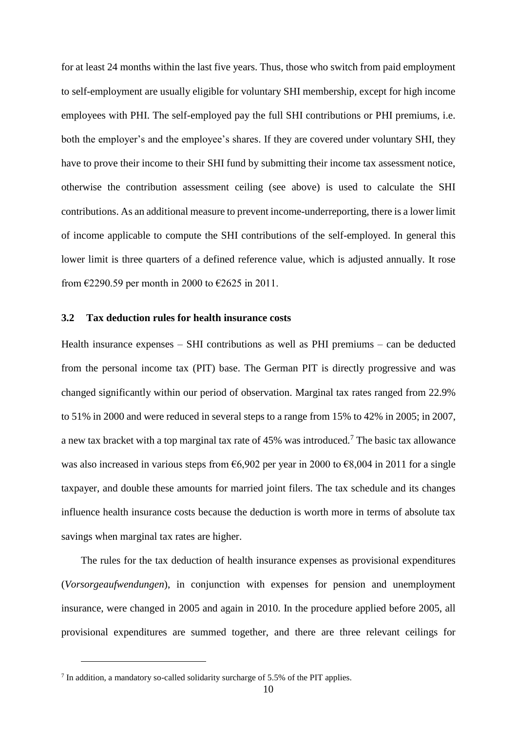for at least 24 months within the last five years. Thus, those who switch from paid employment to self-employment are usually eligible for voluntary SHI membership, except for high income employees with PHI. The self-employed pay the full SHI contributions or PHI premiums, i.e. both the employer's and the employee's shares. If they are covered under voluntary SHI, they have to prove their income to their SHI fund by submitting their income tax assessment notice, otherwise the contribution assessment ceiling (see above) is used to calculate the SHI contributions. As an additional measure to prevent income-underreporting, there is a lower limit of income applicable to compute the SHI contributions of the self-employed. In general this lower limit is three quarters of a defined reference value, which is adjusted annually. It rose from  $\epsilon$ 2290.59 per month in 2000 to  $\epsilon$ 2625 in 2011.

#### **3.2 Tax deduction rules for health insurance costs**

Health insurance expenses – SHI contributions as well as PHI premiums – can be deducted from the personal income tax (PIT) base. The German PIT is directly progressive and was changed significantly within our period of observation. Marginal tax rates ranged from 22.9% to 51% in 2000 and were reduced in several steps to a range from 15% to 42% in 2005; in 2007, a new tax bracket with a top marginal tax rate of 45% was introduced.<sup>7</sup> The basic tax allowance was also increased in various steps from  $66,902$  per year in 2000 to  $68,004$  in 2011 for a single taxpayer, and double these amounts for married joint filers. The tax schedule and its changes influence health insurance costs because the deduction is worth more in terms of absolute tax savings when marginal tax rates are higher.

The rules for the tax deduction of health insurance expenses as provisional expenditures (*Vorsorgeaufwendungen*), in conjunction with expenses for pension and unemployment insurance, were changed in 2005 and again in 2010. In the procedure applied before 2005, all provisional expenditures are summed together, and there are three relevant ceilings for

 $7$  In addition, a mandatory so-called solidarity surcharge of 5.5% of the PIT applies.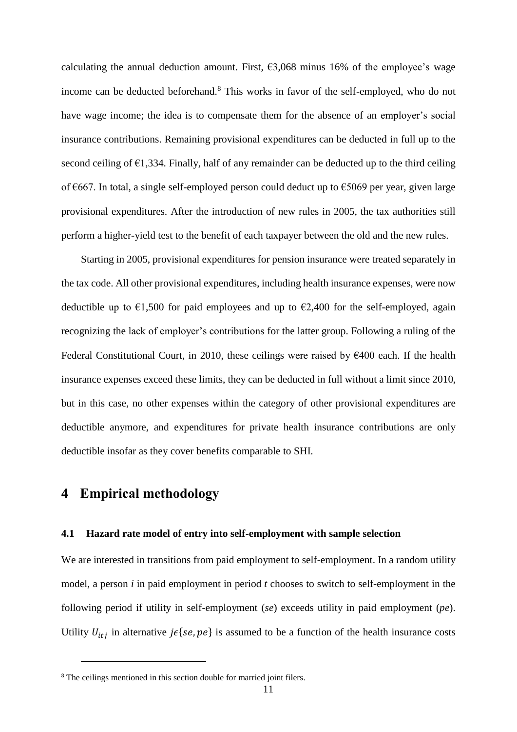calculating the annual deduction amount. First,  $\epsilon$ 3,068 minus 16% of the employee's wage income can be deducted beforehand. <sup>8</sup> This works in favor of the self-employed, who do not have wage income; the idea is to compensate them for the absence of an employer's social insurance contributions. Remaining provisional expenditures can be deducted in full up to the second ceiling of  $\epsilon$ 1,334. Finally, half of any remainder can be deducted up to the third ceiling of €667. In total, a single self-employed person could deduct up to €5069 per year, given large provisional expenditures. After the introduction of new rules in 2005, the tax authorities still perform a higher-yield test to the benefit of each taxpayer between the old and the new rules.

Starting in 2005, provisional expenditures for pension insurance were treated separately in the tax code. All other provisional expenditures, including health insurance expenses, were now deductible up to  $\epsilon$ 1,500 for paid employees and up to  $\epsilon$ 2,400 for the self-employed, again recognizing the lack of employer's contributions for the latter group. Following a ruling of the Federal Constitutional Court, in 2010, these ceilings were raised by  $\epsilon$ 400 each. If the health insurance expenses exceed these limits, they can be deducted in full without a limit since 2010, but in this case, no other expenses within the category of other provisional expenditures are deductible anymore, and expenditures for private health insurance contributions are only deductible insofar as they cover benefits comparable to SHI.

# **4 Empirical methodology**

 $\overline{a}$ 

#### **4.1 Hazard rate model of entry into self-employment with sample selection**

We are interested in transitions from paid employment to self-employment. In a random utility model, a person *i* in paid employment in period *t* chooses to switch to self-employment in the following period if utility in self-employment (*se*) exceeds utility in paid employment (*pe*). Utility  $U_{itj}$  in alternative  $j \in \{se, pe\}$  is assumed to be a function of the health insurance costs

<sup>&</sup>lt;sup>8</sup> The ceilings mentioned in this section double for married joint filers.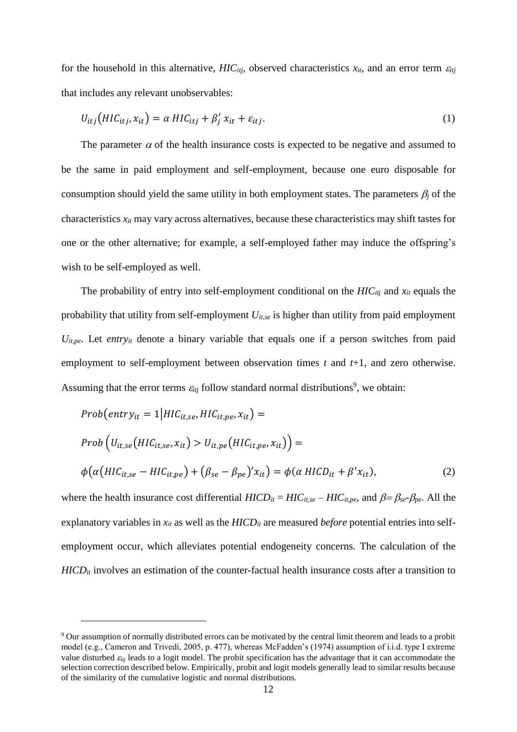for the household in this alternative,  $HIC_{itj}$ , observed characteristics  $x_{it}$ , and an error term  $\varepsilon_{itj}$ that includes any relevant unobservables:

$$
U_{itj}(HIC_{itj}, x_{it}) = \alpha \, HIC_{itj} + \beta'_j \, x_{it} + \varepsilon_{itj}.
$$
\n<sup>(1)</sup>

The parameter  $\alpha$  of the health insurance costs is expected to be negative and assumed to be the same in paid employment and self-employment, because one euro disposable for consumption should yield the same utility in both employment states. The parameters  $\beta_i$  of the characteristics *xit* may vary across alternatives, because these characteristics may shift tastes for one or the other alternative; for example, a self-employed father may induce the offspring's wish to be self-employed as well.

The probability of entry into self-employment conditional on the *HICitj* and *xit* equals the probability that utility from self-employment *Uit,se* is higher than utility from paid employment *Uit,pe*. Let *entryit* denote a binary variable that equals one if a person switches from paid employment to self-employment between observation times *t* and *t*+1, and zero otherwise. Assuming that the error terms  $\varepsilon_{ij}$  follow standard normal distributions<sup>9</sup>, we obtain:

$$
Prob(entry_{it} = 1 | HIC_{it,se}, HIC_{it,pe}, x_{it}) =
$$
  
\n
$$
Prob(U_{it,se}(HIC_{it,se}, x_{it}) > U_{it,pe}(HIC_{it,pe}, x_{it})) =
$$
  
\n
$$
\phi(\alpha(HIC_{it,se} - HIC_{it,pe}) + (\beta_{se} - \beta_{pe})'x_{it}) = \phi(\alpha HICD_{it} + \beta'x_{it}),
$$
\n(2)

where the health insurance cost differential  $HICD_{it} = HIC_{it,se} - HIC_{it,pe}$ , and  $\beta = \beta_{se} - \beta_{pe}$ . All the explanatory variables in *xit* as well as the *HICDit* are measured *before* potential entries into selfemployment occur, which alleviates potential endogeneity concerns. The calculation of the *HICD<sub>it</sub>* involves an estimation of the counter-factual health insurance costs after a transition to

<sup>9</sup> Our assumption of normally distributed errors can be motivated by the central limit theorem and leads to a probit model (e.g., Cameron and Trivedi, 2005, p. 477), whereas McFadden's (1974) assumption of i.i.d. type I extreme value disturbed  $\varepsilon_{tij}$  leads to a logit model. The probit specification has the advantage that it can accommodate the selection correction described below. Empirically, probit and logit models generally lead to similar results because of the similarity of the cumulative logistic and normal distributions.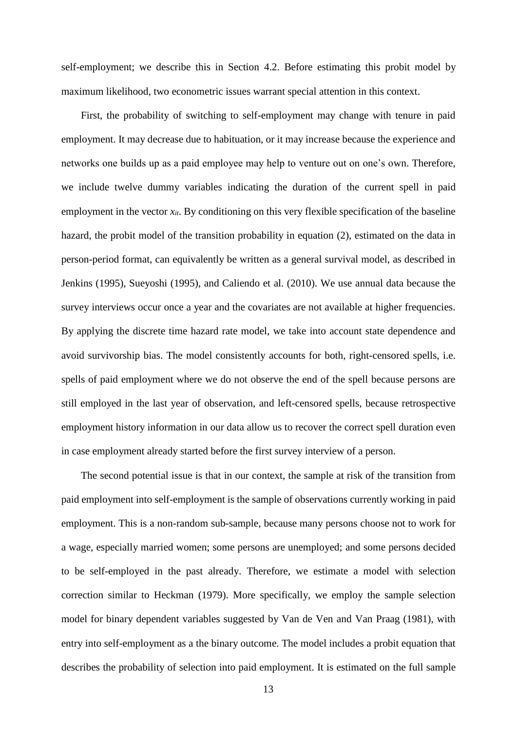self-employment; we describe this in Section 4.2. Before estimating this probit model by maximum likelihood, two econometric issues warrant special attention in this context.

First, the probability of switching to self-employment may change with tenure in paid employment. It may decrease due to habituation, or it may increase because the experience and networks one builds up as a paid employee may help to venture out on one's own. Therefore, we include twelve dummy variables indicating the duration of the current spell in paid employment in the vector  $x_{it}$ . By conditioning on this very flexible specification of the baseline hazard, the probit model of the transition probability in equation (2), estimated on the data in person-period format, can equivalently be written as a general survival model, as described in Jenkins (1995), Sueyoshi (1995), and Caliendo et al. (2010). We use annual data because the survey interviews occur once a year and the covariates are not available at higher frequencies. By applying the discrete time hazard rate model, we take into account state dependence and avoid survivorship bias. The model consistently accounts for both, right-censored spells, i.e. spells of paid employment where we do not observe the end of the spell because persons are still employed in the last year of observation, and left-censored spells, because retrospective employment history information in our data allow us to recover the correct spell duration even in case employment already started before the first survey interview of a person.

The second potential issue is that in our context, the sample at risk of the transition from paid employment into self-employment is the sample of observations currently working in paid employment. This is a non-random sub-sample, because many persons choose not to work for a wage, especially married women; some persons are unemployed; and some persons decided to be self-employed in the past already. Therefore, we estimate a model with selection correction similar to Heckman (1979). More specifically, we employ the sample selection model for binary dependent variables suggested by Van de Ven and Van Praag (1981), with entry into self-employment as a the binary outcome. The model includes a probit equation that describes the probability of selection into paid employment. It is estimated on the full sample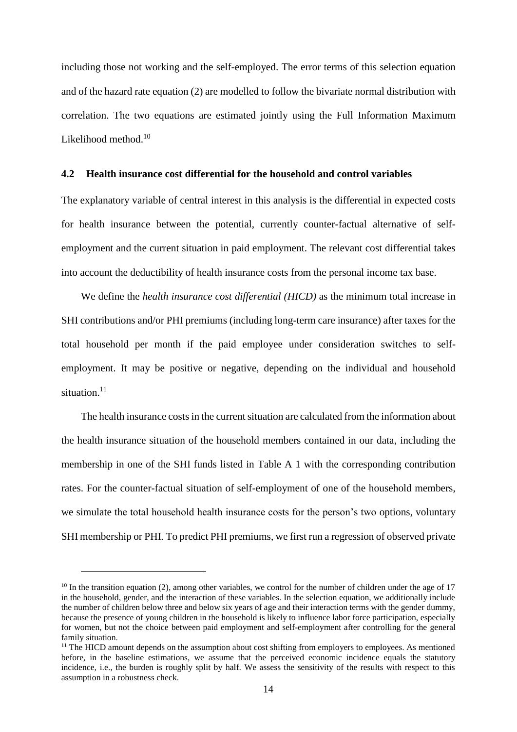including those not working and the self-employed. The error terms of this selection equation and of the hazard rate equation (2) are modelled to follow the bivariate normal distribution with correlation. The two equations are estimated jointly using the Full Information Maximum Likelihood method.<sup>10</sup>

#### **4.2 Health insurance cost differential for the household and control variables**

The explanatory variable of central interest in this analysis is the differential in expected costs for health insurance between the potential, currently counter-factual alternative of selfemployment and the current situation in paid employment. The relevant cost differential takes into account the deductibility of health insurance costs from the personal income tax base.

We define the *health insurance cost differential (HICD)* as the minimum total increase in SHI contributions and/or PHI premiums (including long-term care insurance) after taxes for the total household per month if the paid employee under consideration switches to selfemployment. It may be positive or negative, depending on the individual and household situation.<sup>11</sup>

The health insurance costs in the current situation are calculated from the information about the health insurance situation of the household members contained in our data, including the membership in one of the SHI funds listed in Table A 1 with the corresponding contribution rates. For the counter-factual situation of self-employment of one of the household members, we simulate the total household health insurance costs for the person's two options, voluntary SHI membership or PHI. To predict PHI premiums, we first run a regression of observed private

 $10$  In the transition equation (2), among other variables, we control for the number of children under the age of 17 in the household, gender, and the interaction of these variables. In the selection equation, we additionally include the number of children below three and below six years of age and their interaction terms with the gender dummy, because the presence of young children in the household is likely to influence labor force participation, especially for women, but not the choice between paid employment and self-employment after controlling for the general family situation.

 $<sup>11</sup>$  The HICD amount depends on the assumption about cost shifting from employers to employees. As mentioned</sup> before, in the baseline estimations, we assume that the perceived economic incidence equals the statutory incidence, i.e., the burden is roughly split by half. We assess the sensitivity of the results with respect to this assumption in a robustness check.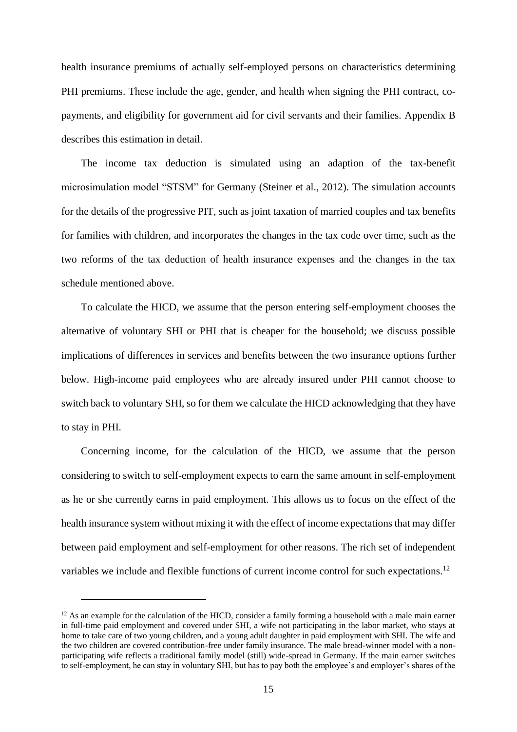health insurance premiums of actually self-employed persons on characteristics determining PHI premiums. These include the age, gender, and health when signing the PHI contract, copayments, and eligibility for government aid for civil servants and their families. Appendix B describes this estimation in detail.

The income tax deduction is simulated using an adaption of the tax-benefit microsimulation model "STSM" for Germany (Steiner et al., 2012). The simulation accounts for the details of the progressive PIT, such as joint taxation of married couples and tax benefits for families with children, and incorporates the changes in the tax code over time, such as the two reforms of the tax deduction of health insurance expenses and the changes in the tax schedule mentioned above.

To calculate the HICD, we assume that the person entering self-employment chooses the alternative of voluntary SHI or PHI that is cheaper for the household; we discuss possible implications of differences in services and benefits between the two insurance options further below. High-income paid employees who are already insured under PHI cannot choose to switch back to voluntary SHI, so for them we calculate the HICD acknowledging that they have to stay in PHI.

Concerning income, for the calculation of the HICD, we assume that the person considering to switch to self-employment expects to earn the same amount in self-employment as he or she currently earns in paid employment. This allows us to focus on the effect of the health insurance system without mixing it with the effect of income expectations that may differ between paid employment and self-employment for other reasons. The rich set of independent variables we include and flexible functions of current income control for such expectations.<sup>12</sup>

 $12$  As an example for the calculation of the HICD, consider a family forming a household with a male main earner in full-time paid employment and covered under SHI, a wife not participating in the labor market, who stays at home to take care of two young children, and a young adult daughter in paid employment with SHI. The wife and the two children are covered contribution-free under family insurance. The male bread-winner model with a nonparticipating wife reflects a traditional family model (still) wide-spread in Germany. If the main earner switches to self-employment, he can stay in voluntary SHI, but has to pay both the employee's and employer's shares of the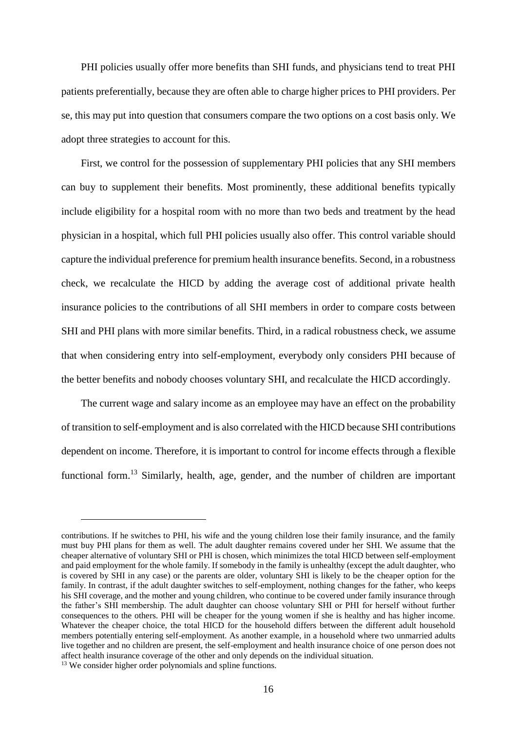PHI policies usually offer more benefits than SHI funds, and physicians tend to treat PHI patients preferentially, because they are often able to charge higher prices to PHI providers. Per se, this may put into question that consumers compare the two options on a cost basis only. We adopt three strategies to account for this.

First, we control for the possession of supplementary PHI policies that any SHI members can buy to supplement their benefits. Most prominently, these additional benefits typically include eligibility for a hospital room with no more than two beds and treatment by the head physician in a hospital, which full PHI policies usually also offer. This control variable should capture the individual preference for premium health insurance benefits. Second, in a robustness check, we recalculate the HICD by adding the average cost of additional private health insurance policies to the contributions of all SHI members in order to compare costs between SHI and PHI plans with more similar benefits. Third, in a radical robustness check, we assume that when considering entry into self-employment, everybody only considers PHI because of the better benefits and nobody chooses voluntary SHI, and recalculate the HICD accordingly.

The current wage and salary income as an employee may have an effect on the probability of transition to self-employment and is also correlated with the HICD because SHI contributions dependent on income. Therefore, it is important to control for income effects through a flexible functional form.<sup>13</sup> Similarly, health, age, gender, and the number of children are important

contributions. If he switches to PHI, his wife and the young children lose their family insurance, and the family must buy PHI plans for them as well. The adult daughter remains covered under her SHI. We assume that the cheaper alternative of voluntary SHI or PHI is chosen, which minimizes the total HICD between self-employment and paid employment for the whole family. If somebody in the family is unhealthy (except the adult daughter, who is covered by SHI in any case) or the parents are older, voluntary SHI is likely to be the cheaper option for the family. In contrast, if the adult daughter switches to self-employment, nothing changes for the father, who keeps his SHI coverage, and the mother and young children, who continue to be covered under family insurance through the father's SHI membership. The adult daughter can choose voluntary SHI or PHI for herself without further consequences to the others. PHI will be cheaper for the young women if she is healthy and has higher income. Whatever the cheaper choice, the total HICD for the household differs between the different adult household members potentially entering self-employment. As another example, in a household where two unmarried adults live together and no children are present, the self-employment and health insurance choice of one person does not affect health insurance coverage of the other and only depends on the individual situation. <sup>13</sup> We consider higher order polynomials and spline functions.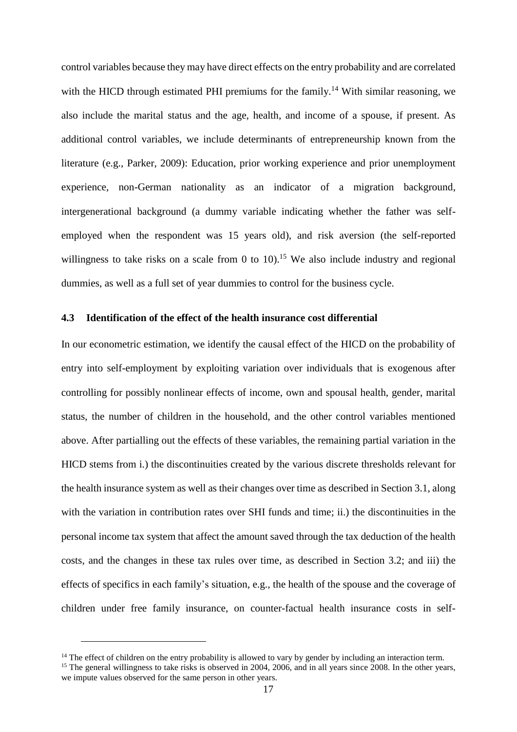control variables because they may have direct effects on the entry probability and are correlated with the HICD through estimated PHI premiums for the family.<sup>14</sup> With similar reasoning, we also include the marital status and the age, health, and income of a spouse, if present. As additional control variables, we include determinants of entrepreneurship known from the literature (e.g., Parker, 2009): Education, prior working experience and prior unemployment experience, non-German nationality as an indicator of a migration background, intergenerational background (a dummy variable indicating whether the father was selfemployed when the respondent was 15 years old), and risk aversion (the self-reported willingness to take risks on a scale from 0 to  $10$ .<sup>15</sup> We also include industry and regional dummies, as well as a full set of year dummies to control for the business cycle.

#### **4.3 Identification of the effect of the health insurance cost differential**

In our econometric estimation, we identify the causal effect of the HICD on the probability of entry into self-employment by exploiting variation over individuals that is exogenous after controlling for possibly nonlinear effects of income, own and spousal health, gender, marital status, the number of children in the household, and the other control variables mentioned above. After partialling out the effects of these variables, the remaining partial variation in the HICD stems from i.) the discontinuities created by the various discrete thresholds relevant for the health insurance system as well as their changes over time as described in Section 3.1, along with the variation in contribution rates over SHI funds and time; ii.) the discontinuities in the personal income tax system that affect the amount saved through the tax deduction of the health costs, and the changes in these tax rules over time, as described in Section 3.2; and iii) the effects of specifics in each family's situation, e.g., the health of the spouse and the coverage of children under free family insurance, on counter-factual health insurance costs in self-

<sup>&</sup>lt;sup>14</sup> The effect of children on the entry probability is allowed to vary by gender by including an interaction term.

<sup>&</sup>lt;sup>15</sup> The general willingness to take risks is observed in 2004, 2006, and in all years since 2008. In the other years, we impute values observed for the same person in other years.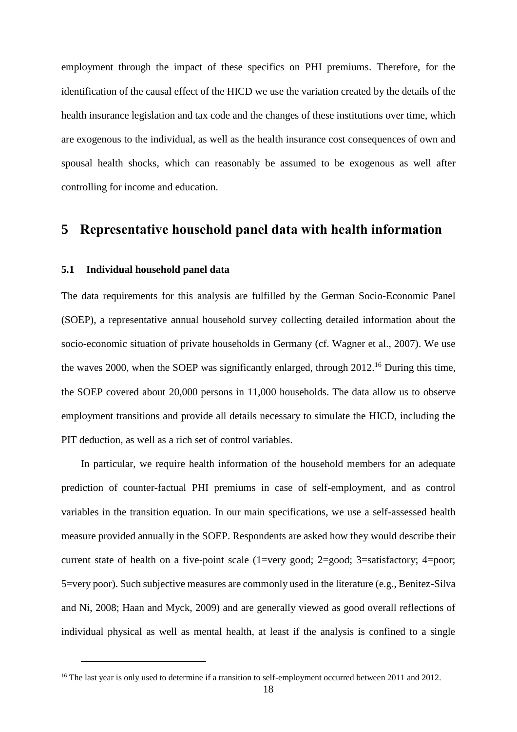employment through the impact of these specifics on PHI premiums. Therefore, for the identification of the causal effect of the HICD we use the variation created by the details of the health insurance legislation and tax code and the changes of these institutions over time, which are exogenous to the individual, as well as the health insurance cost consequences of own and spousal health shocks, which can reasonably be assumed to be exogenous as well after controlling for income and education.

# **5 Representative household panel data with health information**

#### **5.1 Individual household panel data**

 $\overline{a}$ 

The data requirements for this analysis are fulfilled by the German Socio-Economic Panel (SOEP), a representative annual household survey collecting detailed information about the socio-economic situation of private households in Germany (cf. Wagner et al., 2007). We use the waves 2000, when the SOEP was significantly enlarged, through 2012.<sup>16</sup> During this time, the SOEP covered about 20,000 persons in 11,000 households. The data allow us to observe employment transitions and provide all details necessary to simulate the HICD, including the PIT deduction, as well as a rich set of control variables.

In particular, we require health information of the household members for an adequate prediction of counter-factual PHI premiums in case of self-employment, and as control variables in the transition equation. In our main specifications, we use a self-assessed health measure provided annually in the SOEP. Respondents are asked how they would describe their current state of health on a five-point scale (1=very good; 2=good; 3=satisfactory; 4=poor; 5=very poor). Such subjective measures are commonly used in the literature (e.g., Benitez-Silva and Ni, 2008; Haan and Myck, 2009) and are generally viewed as good overall reflections of individual physical as well as mental health, at least if the analysis is confined to a single

<sup>&</sup>lt;sup>16</sup> The last year is only used to determine if a transition to self-employment occurred between 2011 and 2012.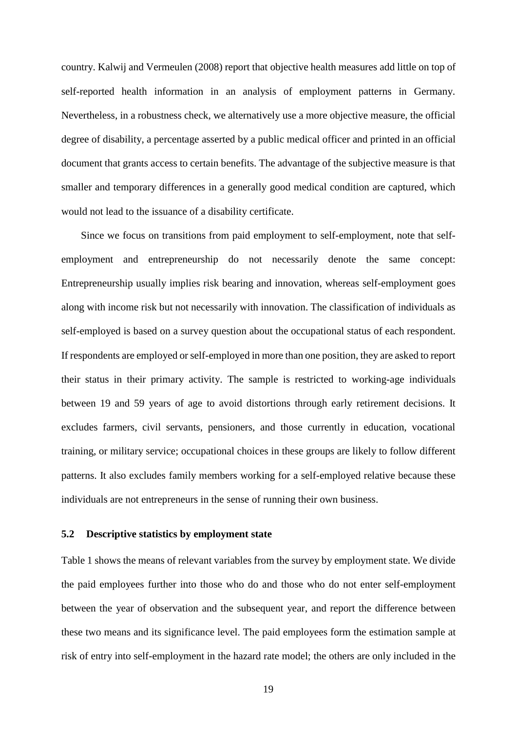country. Kalwij and Vermeulen (2008) report that objective health measures add little on top of self-reported health information in an analysis of employment patterns in Germany. Nevertheless, in a robustness check, we alternatively use a more objective measure, the official degree of disability, a percentage asserted by a public medical officer and printed in an official document that grants access to certain benefits. The advantage of the subjective measure is that smaller and temporary differences in a generally good medical condition are captured, which would not lead to the issuance of a disability certificate.

Since we focus on transitions from paid employment to self-employment, note that selfemployment and entrepreneurship do not necessarily denote the same concept: Entrepreneurship usually implies risk bearing and innovation, whereas self-employment goes along with income risk but not necessarily with innovation. The classification of individuals as self-employed is based on a survey question about the occupational status of each respondent. If respondents are employed or self-employed in more than one position, they are asked to report their status in their primary activity. The sample is restricted to working-age individuals between 19 and 59 years of age to avoid distortions through early retirement decisions. It excludes farmers, civil servants, pensioners, and those currently in education, vocational training, or military service; occupational choices in these groups are likely to follow different patterns. It also excludes family members working for a self-employed relative because these individuals are not entrepreneurs in the sense of running their own business.

#### **5.2 Descriptive statistics by employment state**

Table 1 shows the means of relevant variables from the survey by employment state. We divide the paid employees further into those who do and those who do not enter self-employment between the year of observation and the subsequent year, and report the difference between these two means and its significance level. The paid employees form the estimation sample at risk of entry into self-employment in the hazard rate model; the others are only included in the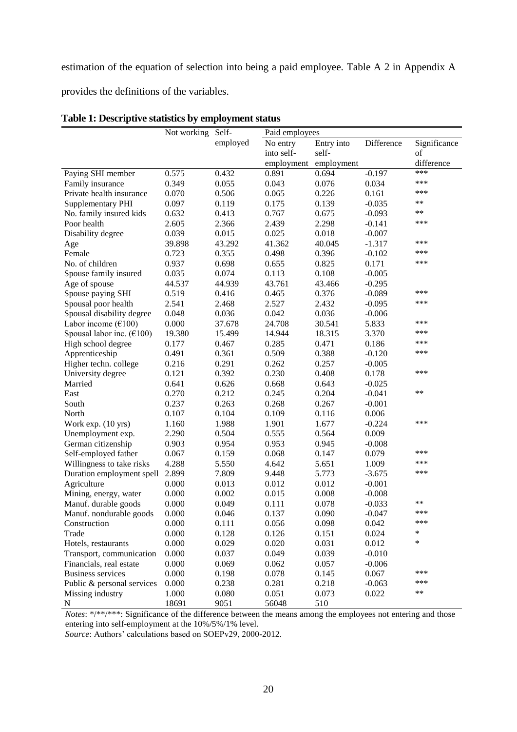estimation of the equation of selection into being a paid employee. Table A 2 in Appendix A

provides the definitions of the variables.

|                                                | Not working | Self-    | Paid employees |            |            |              |
|------------------------------------------------|-------------|----------|----------------|------------|------------|--------------|
|                                                |             | employed | No entry       | Entry into | Difference | Significance |
|                                                |             |          | into self-     | self-      |            | of           |
|                                                |             |          | employment     | employment |            | difference   |
| Paying SHI member                              | 0.575       | 0.432    | 0.891          | 0.694      | $-0.197$   | ***          |
| Family insurance                               | 0.349       | 0.055    | 0.043          | 0.076      | 0.034      | ***          |
| Private health insurance                       | 0.070       | 0.506    | 0.065          | 0.226      | 0.161      | ***          |
| <b>Supplementary PHI</b>                       | 0.097       | 0.119    | 0.175          | 0.139      | $-0.035$   | $***$        |
| No. family insured kids                        | 0.632       | 0.413    | 0.767          | 0.675      | $-0.093$   | $**$         |
| Poor health                                    | 2.605       | 2.366    | 2.439          | 2.298      | $-0.141$   | ***          |
| Disability degree                              | 0.039       | 0.015    | 0.025          | 0.018      | $-0.007$   |              |
| Age                                            | 39.898      | 43.292   | 41.362         | 40.045     | $-1.317$   | ***          |
| Female                                         | 0.723       | 0.355    | 0.498          | 0.396      | $-0.102$   | ***          |
| No. of children                                | 0.937       | 0.698    | 0.655          | 0.825      | 0.171      | ***          |
| Spouse family insured                          | 0.035       | 0.074    | 0.113          | 0.108      | $-0.005$   |              |
| Age of spouse                                  | 44.537      | 44.939   | 43.761         | 43.466     | $-0.295$   |              |
| Spouse paying SHI                              | 0.519       | 0.416    | 0.465          | 0.376      | $-0.089$   | ***          |
| Spousal poor health                            | 2.541       | 2.468    | 2.527          | 2.432      | $-0.095$   | ***          |
| Spousal disability degree                      | 0.048       | 0.036    | 0.042          | 0.036      | $-0.006$   |              |
| Labor income $(\text{\textsterling}100)$       | 0.000       | 37.678   | 24.708         | 30.541     | 5.833      | ***          |
| Spousal labor inc. $(\text{\textsterling}100)$ | 19.380      | 15.499   | 14.944         | 18.315     | 3.370      | ***          |
| High school degree                             | 0.177       | 0.467    | 0.285          | 0.471      | 0.186      | ***          |
|                                                | 0.491       |          |                | 0.388      |            | ***          |
| Apprenticeship                                 |             | 0.361    | 0.509          |            | $-0.120$   |              |
| Higher techn. college                          | 0.216       | 0.291    | 0.262          | 0.257      | $-0.005$   | ***          |
| University degree                              | 0.121       | 0.392    | 0.230          | 0.408      | 0.178      |              |
| Married                                        | 0.641       | 0.626    | 0.668          | 0.643      | $-0.025$   | $***$        |
| East                                           | 0.270       | 0.212    | 0.245          | 0.204      | $-0.041$   |              |
| South                                          | 0.237       | 0.263    | 0.268          | 0.267      | $-0.001$   |              |
| North                                          | 0.107       | 0.104    | 0.109          | 0.116      | 0.006      |              |
| Work exp. (10 yrs)                             | 1.160       | 1.988    | 1.901          | 1.677      | $-0.224$   | ***          |
| Unemployment exp.                              | 2.290       | 0.504    | 0.555          | 0.564      | 0.009      |              |
| German citizenship                             | 0.903       | 0.954    | 0.953          | 0.945      | $-0.008$   |              |
| Self-employed father                           | 0.067       | 0.159    | 0.068          | 0.147      | 0.079      | ***          |
| Willingness to take risks                      | 4.288       | 5.550    | 4.642          | 5.651      | 1.009      | ***          |
| Duration employment spell                      | 2.899       | 7.809    | 9.448          | 5.773      | $-3.675$   | ***          |
| Agriculture                                    | 0.000       | 0.013    | 0.012          | 0.012      | $-0.001$   |              |
| Mining, energy, water                          | 0.000       | 0.002    | 0.015          | 0.008      | $-0.008$   |              |
| Manuf. durable goods                           | 0.000       | 0.049    | 0.111          | 0.078      | $-0.033$   | $***$        |
| Manuf. nondurable goods                        | 0.000       | 0.046    | 0.137          | 0.090      | $-0.047$   | ***          |
| Construction                                   | 0.000       | 0.111    | 0.056          | 0.098      | 0.042      | ***          |
| Trade                                          | 0.000       | 0.128    | 0.126          | 0.151      | 0.024      | *            |
| Hotels, restaurants                            | 0.000       | 0.029    | 0.020          | 0.031      | 0.012      | ∗            |
| Transport, communication                       | 0.000       | 0.037    | 0.049          | 0.039      | $-0.010$   |              |
| Financials, real estate                        | 0.000       | 0.069    | 0.062          | 0.057      | $-0.006$   |              |
| <b>Business services</b>                       | 0.000       | 0.198    | 0.078          | 0.145      | 0.067      | ***          |
| Public & personal services                     | 0.000       | 0.238    | 0.281          | 0.218      | $-0.063$   | ***          |
| Missing industry                               | 1.000       | 0.080    | 0.051          | 0.073      | 0.022      | $***$        |
| N                                              | 18691       | 9051     | 56048          | 510        |            |              |

#### **Table 1: Descriptive statistics by employment status**

*Notes*: \*/\*\*/\*\*\*: Significance of the difference between the means among the employees not entering and those entering into self-employment at the 10%/5%/1% level.

*Source*: Authors' calculations based on SOEPv29, 2000-2012.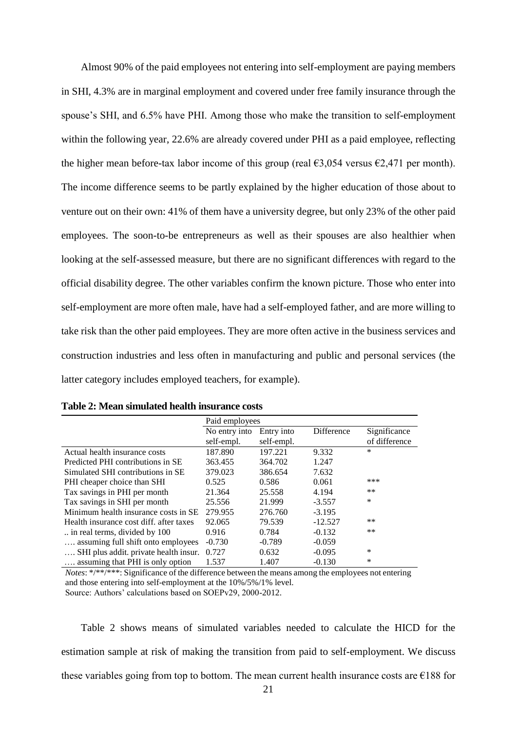Almost 90% of the paid employees not entering into self-employment are paying members in SHI, 4.3% are in marginal employment and covered under free family insurance through the spouse's SHI, and 6.5% have PHI. Among those who make the transition to self-employment within the following year, 22.6% are already covered under PHI as a paid employee, reflecting the higher mean before-tax labor income of this group (real  $\epsilon$ 3,054 versus  $\epsilon$ 2,471 per month). The income difference seems to be partly explained by the higher education of those about to venture out on their own: 41% of them have a university degree, but only 23% of the other paid employees. The soon-to-be entrepreneurs as well as their spouses are also healthier when looking at the self-assessed measure, but there are no significant differences with regard to the official disability degree. The other variables confirm the known picture. Those who enter into self-employment are more often male, have had a self-employed father, and are more willing to take risk than the other paid employees. They are more often active in the business services and construction industries and less often in manufacturing and public and personal services (the latter category includes employed teachers, for example).

|                                         | Paid employees |            |            |               |  |  |  |
|-----------------------------------------|----------------|------------|------------|---------------|--|--|--|
|                                         | No entry into  | Entry into | Difference | Significance  |  |  |  |
|                                         | self-empl.     | self-empl. |            | of difference |  |  |  |
| Actual health insurance costs           | 187.890        | 197.221    | 9.332      | $\ast$        |  |  |  |
| Predicted PHI contributions in SE       | 363.455        | 364.702    | 1.247      |               |  |  |  |
| Simulated SHI contributions in SE       | 379.023        | 386.654    | 7.632      |               |  |  |  |
| PHI cheaper choice than SHI             | 0.525          | 0.586      | 0.061      | ***           |  |  |  |
| Tax savings in PHI per month            | 21.364         | 25.558     | 4.194      | $***$         |  |  |  |
| Tax savings in SHI per month            | 25.556         | 21.999     | $-3.557$   | *             |  |  |  |
| Minimum health insurance costs in SE    | 279.955        | 276.760    | $-3.195$   |               |  |  |  |
| Health insurance cost diff, after taxes | 92.065         | 79.539     | $-12.527$  | $***$         |  |  |  |
| in real terms, divided by 100           | 0.916          | 0.784      | $-0.132$   | $***$         |  |  |  |
| assuming full shift onto employees      | $-0.730$       | $-0.789$   | $-0.059$   |               |  |  |  |
| SHI plus addit. private health insur.   | 0.727          | 0.632      | $-0.095$   | $\ast$        |  |  |  |
| assuming that PHI is only option        | 1.537          | 1.407      | $-0.130$   | *             |  |  |  |

**Table 2: Mean simulated health insurance costs**

*Notes*: \*/\*\*/\*\*\*: Significance of the difference between the means among the employees not entering and those entering into self-employment at the 10%/5%/1% level. Source: Authors' calculations based on SOEPv29, 2000-2012.

Table 2 shows means of simulated variables needed to calculate the HICD for the estimation sample at risk of making the transition from paid to self-employment. We discuss these variables going from top to bottom. The mean current health insurance costs are  $\epsilon$ 188 for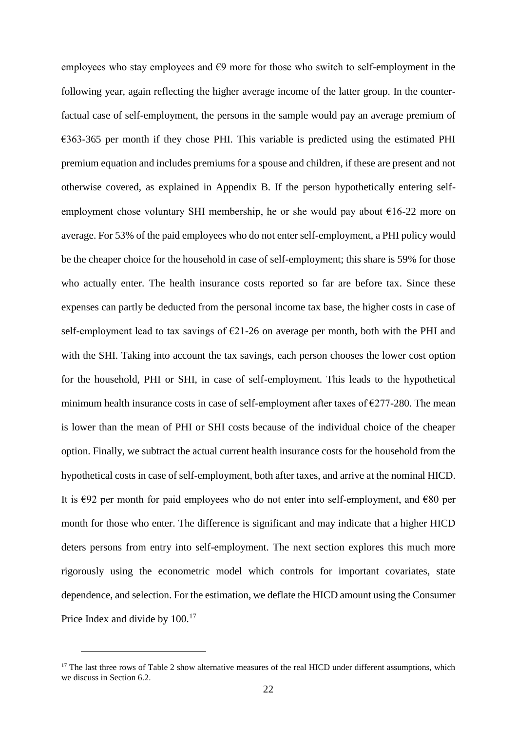employees who stay employees and  $\epsilon$ 9 more for those who switch to self-employment in the following year, again reflecting the higher average income of the latter group. In the counterfactual case of self-employment, the persons in the sample would pay an average premium of  $€363-365$  per month if they chose PHI. This variable is predicted using the estimated PHI premium equation and includes premiums for a spouse and children, if these are present and not otherwise covered, as explained in Appendix B. If the person hypothetically entering selfemployment chose voluntary SHI membership, he or she would pay about  $\epsilon$ 16-22 more on average. For 53% of the paid employees who do not enter self-employment, a PHI policy would be the cheaper choice for the household in case of self-employment; this share is 59% for those who actually enter. The health insurance costs reported so far are before tax. Since these expenses can partly be deducted from the personal income tax base, the higher costs in case of self-employment lead to tax savings of  $\epsilon$ 21-26 on average per month, both with the PHI and with the SHI. Taking into account the tax savings, each person chooses the lower cost option for the household, PHI or SHI, in case of self-employment. This leads to the hypothetical minimum health insurance costs in case of self-employment after taxes of  $\epsilon$ 277-280. The mean is lower than the mean of PHI or SHI costs because of the individual choice of the cheaper option. Finally, we subtract the actual current health insurance costs for the household from the hypothetical costs in case of self-employment, both after taxes, and arrive at the nominal HICD. It is  $\epsilon$ 92 per month for paid employees who do not enter into self-employment, and  $\epsilon$ 80 per month for those who enter. The difference is significant and may indicate that a higher HICD deters persons from entry into self-employment. The next section explores this much more rigorously using the econometric model which controls for important covariates, state dependence, and selection. For the estimation, we deflate the HICD amount using the Consumer Price Index and divide by  $100^{17}$ 

<sup>&</sup>lt;sup>17</sup> The last three rows of Table 2 show alternative measures of the real HICD under different assumptions, which we discuss in Section 6.2.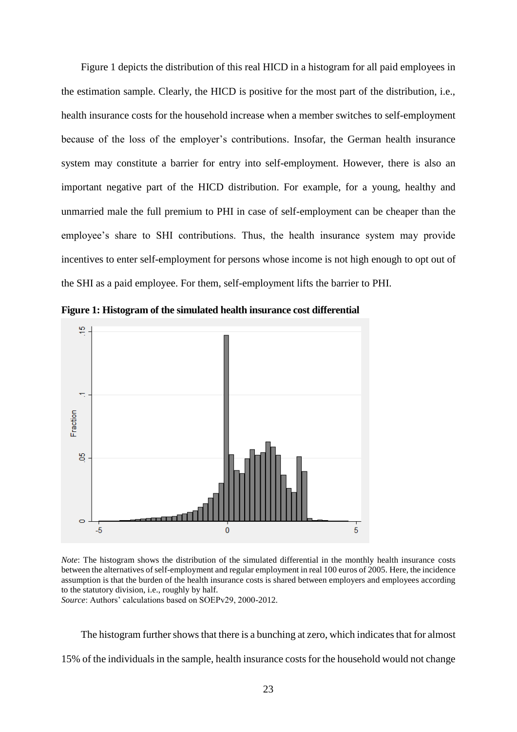Figure 1 depicts the distribution of this real HICD in a histogram for all paid employees in the estimation sample. Clearly, the HICD is positive for the most part of the distribution, i.e., health insurance costs for the household increase when a member switches to self-employment because of the loss of the employer's contributions. Insofar, the German health insurance system may constitute a barrier for entry into self-employment. However, there is also an important negative part of the HICD distribution. For example, for a young, healthy and unmarried male the full premium to PHI in case of self-employment can be cheaper than the employee's share to SHI contributions. Thus, the health insurance system may provide incentives to enter self-employment for persons whose income is not high enough to opt out of the SHI as a paid employee. For them, self-employment lifts the barrier to PHI.



**Figure 1: Histogram of the simulated health insurance cost differential**



*Source*: Authors' calculations based on SOEPv29, 2000-2012.

The histogram further shows that there is a bunching at zero, which indicates that for almost 15% of the individuals in the sample, health insurance costs for the household would not change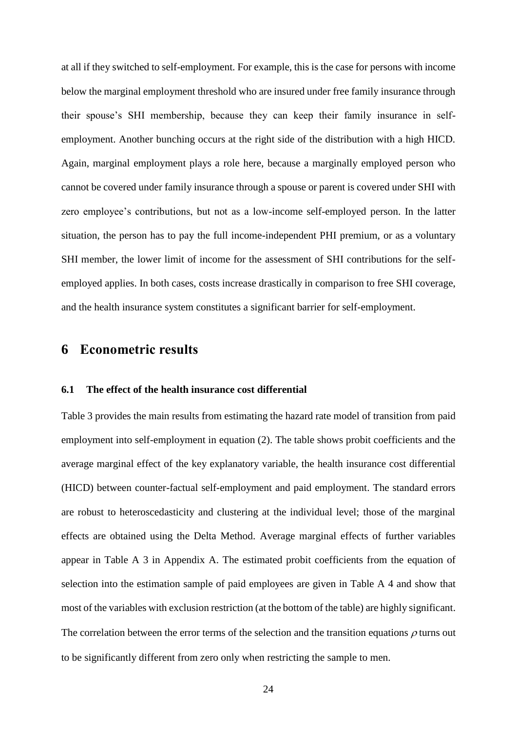at all if they switched to self-employment. For example, this is the case for persons with income below the marginal employment threshold who are insured under free family insurance through their spouse's SHI membership, because they can keep their family insurance in selfemployment. Another bunching occurs at the right side of the distribution with a high HICD. Again, marginal employment plays a role here, because a marginally employed person who cannot be covered under family insurance through a spouse or parent is covered under SHI with zero employee's contributions, but not as a low-income self-employed person. In the latter situation, the person has to pay the full income-independent PHI premium, or as a voluntary SHI member, the lower limit of income for the assessment of SHI contributions for the selfemployed applies. In both cases, costs increase drastically in comparison to free SHI coverage, and the health insurance system constitutes a significant barrier for self-employment.

### **6 Econometric results**

#### **6.1 The effect of the health insurance cost differential**

Table 3 provides the main results from estimating the hazard rate model of transition from paid employment into self-employment in equation (2). The table shows probit coefficients and the average marginal effect of the key explanatory variable, the health insurance cost differential (HICD) between counter-factual self-employment and paid employment. The standard errors are robust to heteroscedasticity and clustering at the individual level; those of the marginal effects are obtained using the Delta Method. Average marginal effects of further variables appear in Table A 3 in Appendix A. The estimated probit coefficients from the equation of selection into the estimation sample of paid employees are given in Table A 4 and show that most of the variables with exclusion restriction (at the bottom of the table) are highly significant. The correlation between the error terms of the selection and the transition equations  $\rho$  turns out to be significantly different from zero only when restricting the sample to men.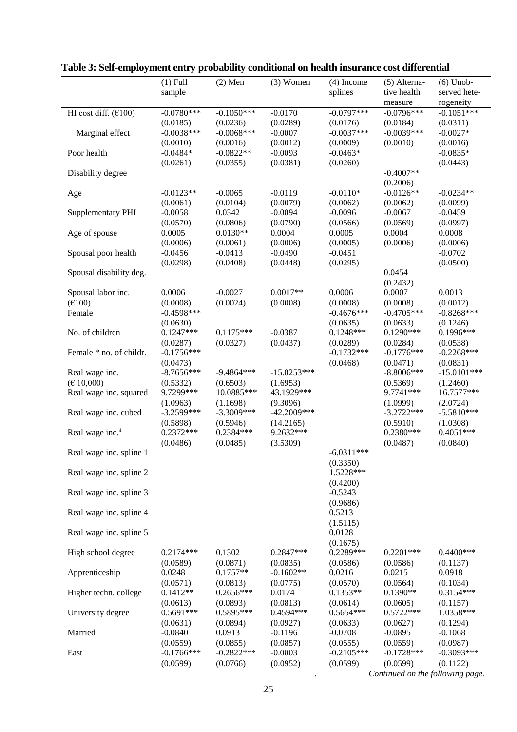| sample<br>splines<br>tive health<br>served hete-<br>rogeneity<br>measure<br>HI cost diff. $(6100)$<br>$-0.0780***$<br>$-0.1050***$<br>$-0.0170$<br>$-0.0797***$<br>$-0.0796***$<br>$-0.1051***$<br>(0.0185)<br>(0.0236)<br>(0.0289)<br>(0.0176)<br>(0.0184)<br>(0.0311)<br>$-0.0038***$<br>$-0.0068***$<br>$-0.0037***$<br>$-0.0039***$<br>Marginal effect<br>$-0.0007$<br>$-0.0027*$<br>(0.0010)<br>(0.0016)<br>(0.0010)<br>(0.0016)<br>(0.0012)<br>(0.0009)<br>$-0.0463*$<br>$-0.0835*$<br>Poor health<br>$-0.0484*$<br>$-0.0822**$<br>$-0.0093$<br>(0.0261)<br>(0.0381)<br>(0.0260)<br>(0.0443)<br>(0.0355)<br>$-0.4007**$<br>Disability degree<br>(0.2006)<br>$-0.0126**$<br>$-0.0123**$<br>$-0.0065$<br>$-0.0119$<br>$-0.0110*$<br>$-0.0234**$<br>Age<br>(0.0061)<br>(0.0104)<br>(0.0079)<br>(0.0062)<br>(0.0062)<br>(0.0099)<br>0.0342<br>$-0.0058$<br>$-0.0094$<br>$-0.0096$<br>$-0.0067$<br>$-0.0459$<br>Supplementary PHI<br>(0.0790)<br>(0.0570)<br>(0.0806)<br>(0.0566)<br>(0.0569)<br>(0.0997)<br>$0.0130**$<br>0.0004<br>0.0005<br>0.0004<br>0.0008<br>Age of spouse<br>0.0005<br>(0.0006)<br>(0.0006)<br>(0.0061)<br>(0.0006)<br>(0.0005)<br>(0.0006)<br>$-0.0456$<br>$-0.0413$<br>$-0.0490$<br>$-0.0451$<br>$-0.0702$<br>Spousal poor health<br>(0.0500)<br>(0.0298)<br>(0.0408)<br>(0.0448)<br>(0.0295)<br>Spousal disability deg.<br>0.0454<br>(0.2432)<br>Spousal labor inc.<br>0.0006<br>$-0.0027$<br>$0.0017**$<br>0.0006<br>0.0007<br>0.0013<br>$(\text{\textsterling}100)$<br>(0.0008)<br>(0.0024)<br>(0.0008)<br>(0.0008)<br>(0.0008)<br>(0.0012)<br>$-0.4598***$<br>$-0.4676***$<br>$-0.4705***$<br>$-0.8268***$<br>Female<br>(0.0630)<br>(0.0635)<br>(0.0633)<br>(0.1246)<br>No. of children<br>$0.1247***$<br>$0.1175***$<br>$-0.0387$<br>$0.1248***$<br>$0.1290***$<br>0.1996***<br>(0.0287)<br>(0.0327)<br>(0.0437)<br>(0.0289)<br>(0.0284)<br>(0.0538)<br>$-0.1756***$<br>$-0.1732***$<br>$-0.1776***$<br>$-0.2268***$<br>Female * no. of childr.<br>(0.0473)<br>(0.0468)<br>(0.0471)<br>(0.0831)<br>Real wage inc.<br>$-8.7656***$<br>$-9.4864***$<br>$-15.0253***$<br>$-8.8006***$<br>$-15.0101***$<br>(E 10,000)<br>(0.6503)<br>(0.5332)<br>(1.6953)<br>(0.5369)<br>(1.2460)<br>Real wage inc. squared<br>9.7299***<br>10.0885***<br>43.1929***<br>9.7741 ***<br>16.7577***<br>(1.0963)<br>(9.3096)<br>(2.0724)<br>(1.1698)<br>(1.0999)<br>$-3.2599***$<br>$-3.3009***$<br>$-42.2009***$<br>$-3.2722***$<br>$-5.5810***$<br>Real wage inc. cubed<br>(0.5898)<br>(0.5946)<br>(14.2165)<br>(0.5910)<br>(1.0308)<br>$0.2372***$<br>9.2632***<br>$0.4051***$<br>$0.2384***$<br>$0.2380***$<br>Real wage inc. <sup>4</sup><br>(0.0486)<br>(0.0485)<br>(3.5309)<br>(0.0840)<br>(0.0487)<br>$-6.0311***$<br>Real wage inc. spline 1<br>(0.3350)<br>1.5228***<br>Real wage inc. spline 2<br>(0.4200)<br>$-0.5243$<br>Real wage inc. spline 3<br>(0.9686)<br>0.5213<br>Real wage inc. spline 4<br>(1.5115)<br>0.0128<br>Real wage inc. spline 5<br>(0.1675)<br>0.2289***<br>0.1302<br>$0.2847***$<br>$0.2201***$<br>$0.4400***$<br>High school degree<br>$0.2174***$<br>(0.0871)<br>(0.0589)<br>(0.0835)<br>(0.0586)<br>(0.0586)<br>(0.1137)<br>$0.1757**$<br>$-0.1602**$<br>0.0216<br>0.0215<br>0.0918<br>Apprenticeship<br>0.0248<br>(0.0571)<br>(0.0813)<br>(0.0775)<br>(0.0570)<br>(0.0564)<br>(0.1034)<br>$0.1412**$<br>$0.2656***$<br>0.0174<br>$0.1353**$<br>$0.1390**$<br>$0.3154***$<br>Higher techn. college<br>(0.0613)<br>(0.0893)<br>(0.0813)<br>(0.0614)<br>(0.0605)<br>(0.1157)<br>University degree<br>$0.5691***$<br>0.5895***<br>0.4594 ***<br>$0.5654***$<br>$0.5722***$<br>1.0358***<br>(0.0631)<br>(0.0894)<br>(0.0927)<br>(0.0633)<br>(0.0627)<br>(0.1294)<br>Married<br>$-0.0840$<br>0.0913<br>$-0.1196$<br>$-0.0708$<br>$-0.0895$<br>$-0.1068$<br>(0.0559)<br>(0.0855)<br>(0.0857)<br>(0.0555)<br>(0.0559)<br>(0.0987)<br>$-0.1766$ ***<br>$-0.2822***$<br>$-0.0003$<br>$-0.2105***$<br>$-0.1728***$<br>$-0.3093***$<br>East | $(1)$ Full | $(2)$ Men | $(3)$ Women | $(4)$ Income | (5) Alterna- | $(6)$ Unob- |
|-----------------------------------------------------------------------------------------------------------------------------------------------------------------------------------------------------------------------------------------------------------------------------------------------------------------------------------------------------------------------------------------------------------------------------------------------------------------------------------------------------------------------------------------------------------------------------------------------------------------------------------------------------------------------------------------------------------------------------------------------------------------------------------------------------------------------------------------------------------------------------------------------------------------------------------------------------------------------------------------------------------------------------------------------------------------------------------------------------------------------------------------------------------------------------------------------------------------------------------------------------------------------------------------------------------------------------------------------------------------------------------------------------------------------------------------------------------------------------------------------------------------------------------------------------------------------------------------------------------------------------------------------------------------------------------------------------------------------------------------------------------------------------------------------------------------------------------------------------------------------------------------------------------------------------------------------------------------------------------------------------------------------------------------------------------------------------------------------------------------------------------------------------------------------------------------------------------------------------------------------------------------------------------------------------------------------------------------------------------------------------------------------------------------------------------------------------------------------------------------------------------------------------------------------------------------------------------------------------------------------------------------------------------------------------------------------------------------------------------------------------------------------------------------------------------------------------------------------------------------------------------------------------------------------------------------------------------------------------------------------------------------------------------------------------------------------------------------------------------------------------------------------------------------------------------------------------------------------------------------------------------------------------------------------------------------------------------------------------------------------------------------------------------------------------------------------------------------------------------------------------------------------------------------------------------------------------------------------------------------------------------------------------------------------------------------------------------------------------------------------------------------------------------------------------------------------------------------------------------------------------------------------------------------------------------------------------------------------------|------------|-----------|-------------|--------------|--------------|-------------|
|                                                                                                                                                                                                                                                                                                                                                                                                                                                                                                                                                                                                                                                                                                                                                                                                                                                                                                                                                                                                                                                                                                                                                                                                                                                                                                                                                                                                                                                                                                                                                                                                                                                                                                                                                                                                                                                                                                                                                                                                                                                                                                                                                                                                                                                                                                                                                                                                                                                                                                                                                                                                                                                                                                                                                                                                                                                                                                                                                                                                                                                                                                                                                                                                                                                                                                                                                                                                                                                                                                                                                                                                                                                                                                                                                                                                                                                                                                                                                                             |            |           |             |              |              |             |
|                                                                                                                                                                                                                                                                                                                                                                                                                                                                                                                                                                                                                                                                                                                                                                                                                                                                                                                                                                                                                                                                                                                                                                                                                                                                                                                                                                                                                                                                                                                                                                                                                                                                                                                                                                                                                                                                                                                                                                                                                                                                                                                                                                                                                                                                                                                                                                                                                                                                                                                                                                                                                                                                                                                                                                                                                                                                                                                                                                                                                                                                                                                                                                                                                                                                                                                                                                                                                                                                                                                                                                                                                                                                                                                                                                                                                                                                                                                                                                             |            |           |             |              |              |             |
|                                                                                                                                                                                                                                                                                                                                                                                                                                                                                                                                                                                                                                                                                                                                                                                                                                                                                                                                                                                                                                                                                                                                                                                                                                                                                                                                                                                                                                                                                                                                                                                                                                                                                                                                                                                                                                                                                                                                                                                                                                                                                                                                                                                                                                                                                                                                                                                                                                                                                                                                                                                                                                                                                                                                                                                                                                                                                                                                                                                                                                                                                                                                                                                                                                                                                                                                                                                                                                                                                                                                                                                                                                                                                                                                                                                                                                                                                                                                                                             |            |           |             |              |              |             |
|                                                                                                                                                                                                                                                                                                                                                                                                                                                                                                                                                                                                                                                                                                                                                                                                                                                                                                                                                                                                                                                                                                                                                                                                                                                                                                                                                                                                                                                                                                                                                                                                                                                                                                                                                                                                                                                                                                                                                                                                                                                                                                                                                                                                                                                                                                                                                                                                                                                                                                                                                                                                                                                                                                                                                                                                                                                                                                                                                                                                                                                                                                                                                                                                                                                                                                                                                                                                                                                                                                                                                                                                                                                                                                                                                                                                                                                                                                                                                                             |            |           |             |              |              |             |
|                                                                                                                                                                                                                                                                                                                                                                                                                                                                                                                                                                                                                                                                                                                                                                                                                                                                                                                                                                                                                                                                                                                                                                                                                                                                                                                                                                                                                                                                                                                                                                                                                                                                                                                                                                                                                                                                                                                                                                                                                                                                                                                                                                                                                                                                                                                                                                                                                                                                                                                                                                                                                                                                                                                                                                                                                                                                                                                                                                                                                                                                                                                                                                                                                                                                                                                                                                                                                                                                                                                                                                                                                                                                                                                                                                                                                                                                                                                                                                             |            |           |             |              |              |             |
|                                                                                                                                                                                                                                                                                                                                                                                                                                                                                                                                                                                                                                                                                                                                                                                                                                                                                                                                                                                                                                                                                                                                                                                                                                                                                                                                                                                                                                                                                                                                                                                                                                                                                                                                                                                                                                                                                                                                                                                                                                                                                                                                                                                                                                                                                                                                                                                                                                                                                                                                                                                                                                                                                                                                                                                                                                                                                                                                                                                                                                                                                                                                                                                                                                                                                                                                                                                                                                                                                                                                                                                                                                                                                                                                                                                                                                                                                                                                                                             |            |           |             |              |              |             |
|                                                                                                                                                                                                                                                                                                                                                                                                                                                                                                                                                                                                                                                                                                                                                                                                                                                                                                                                                                                                                                                                                                                                                                                                                                                                                                                                                                                                                                                                                                                                                                                                                                                                                                                                                                                                                                                                                                                                                                                                                                                                                                                                                                                                                                                                                                                                                                                                                                                                                                                                                                                                                                                                                                                                                                                                                                                                                                                                                                                                                                                                                                                                                                                                                                                                                                                                                                                                                                                                                                                                                                                                                                                                                                                                                                                                                                                                                                                                                                             |            |           |             |              |              |             |
|                                                                                                                                                                                                                                                                                                                                                                                                                                                                                                                                                                                                                                                                                                                                                                                                                                                                                                                                                                                                                                                                                                                                                                                                                                                                                                                                                                                                                                                                                                                                                                                                                                                                                                                                                                                                                                                                                                                                                                                                                                                                                                                                                                                                                                                                                                                                                                                                                                                                                                                                                                                                                                                                                                                                                                                                                                                                                                                                                                                                                                                                                                                                                                                                                                                                                                                                                                                                                                                                                                                                                                                                                                                                                                                                                                                                                                                                                                                                                                             |            |           |             |              |              |             |
|                                                                                                                                                                                                                                                                                                                                                                                                                                                                                                                                                                                                                                                                                                                                                                                                                                                                                                                                                                                                                                                                                                                                                                                                                                                                                                                                                                                                                                                                                                                                                                                                                                                                                                                                                                                                                                                                                                                                                                                                                                                                                                                                                                                                                                                                                                                                                                                                                                                                                                                                                                                                                                                                                                                                                                                                                                                                                                                                                                                                                                                                                                                                                                                                                                                                                                                                                                                                                                                                                                                                                                                                                                                                                                                                                                                                                                                                                                                                                                             |            |           |             |              |              |             |
|                                                                                                                                                                                                                                                                                                                                                                                                                                                                                                                                                                                                                                                                                                                                                                                                                                                                                                                                                                                                                                                                                                                                                                                                                                                                                                                                                                                                                                                                                                                                                                                                                                                                                                                                                                                                                                                                                                                                                                                                                                                                                                                                                                                                                                                                                                                                                                                                                                                                                                                                                                                                                                                                                                                                                                                                                                                                                                                                                                                                                                                                                                                                                                                                                                                                                                                                                                                                                                                                                                                                                                                                                                                                                                                                                                                                                                                                                                                                                                             |            |           |             |              |              |             |
|                                                                                                                                                                                                                                                                                                                                                                                                                                                                                                                                                                                                                                                                                                                                                                                                                                                                                                                                                                                                                                                                                                                                                                                                                                                                                                                                                                                                                                                                                                                                                                                                                                                                                                                                                                                                                                                                                                                                                                                                                                                                                                                                                                                                                                                                                                                                                                                                                                                                                                                                                                                                                                                                                                                                                                                                                                                                                                                                                                                                                                                                                                                                                                                                                                                                                                                                                                                                                                                                                                                                                                                                                                                                                                                                                                                                                                                                                                                                                                             |            |           |             |              |              |             |
|                                                                                                                                                                                                                                                                                                                                                                                                                                                                                                                                                                                                                                                                                                                                                                                                                                                                                                                                                                                                                                                                                                                                                                                                                                                                                                                                                                                                                                                                                                                                                                                                                                                                                                                                                                                                                                                                                                                                                                                                                                                                                                                                                                                                                                                                                                                                                                                                                                                                                                                                                                                                                                                                                                                                                                                                                                                                                                                                                                                                                                                                                                                                                                                                                                                                                                                                                                                                                                                                                                                                                                                                                                                                                                                                                                                                                                                                                                                                                                             |            |           |             |              |              |             |
|                                                                                                                                                                                                                                                                                                                                                                                                                                                                                                                                                                                                                                                                                                                                                                                                                                                                                                                                                                                                                                                                                                                                                                                                                                                                                                                                                                                                                                                                                                                                                                                                                                                                                                                                                                                                                                                                                                                                                                                                                                                                                                                                                                                                                                                                                                                                                                                                                                                                                                                                                                                                                                                                                                                                                                                                                                                                                                                                                                                                                                                                                                                                                                                                                                                                                                                                                                                                                                                                                                                                                                                                                                                                                                                                                                                                                                                                                                                                                                             |            |           |             |              |              |             |
|                                                                                                                                                                                                                                                                                                                                                                                                                                                                                                                                                                                                                                                                                                                                                                                                                                                                                                                                                                                                                                                                                                                                                                                                                                                                                                                                                                                                                                                                                                                                                                                                                                                                                                                                                                                                                                                                                                                                                                                                                                                                                                                                                                                                                                                                                                                                                                                                                                                                                                                                                                                                                                                                                                                                                                                                                                                                                                                                                                                                                                                                                                                                                                                                                                                                                                                                                                                                                                                                                                                                                                                                                                                                                                                                                                                                                                                                                                                                                                             |            |           |             |              |              |             |
|                                                                                                                                                                                                                                                                                                                                                                                                                                                                                                                                                                                                                                                                                                                                                                                                                                                                                                                                                                                                                                                                                                                                                                                                                                                                                                                                                                                                                                                                                                                                                                                                                                                                                                                                                                                                                                                                                                                                                                                                                                                                                                                                                                                                                                                                                                                                                                                                                                                                                                                                                                                                                                                                                                                                                                                                                                                                                                                                                                                                                                                                                                                                                                                                                                                                                                                                                                                                                                                                                                                                                                                                                                                                                                                                                                                                                                                                                                                                                                             |            |           |             |              |              |             |
|                                                                                                                                                                                                                                                                                                                                                                                                                                                                                                                                                                                                                                                                                                                                                                                                                                                                                                                                                                                                                                                                                                                                                                                                                                                                                                                                                                                                                                                                                                                                                                                                                                                                                                                                                                                                                                                                                                                                                                                                                                                                                                                                                                                                                                                                                                                                                                                                                                                                                                                                                                                                                                                                                                                                                                                                                                                                                                                                                                                                                                                                                                                                                                                                                                                                                                                                                                                                                                                                                                                                                                                                                                                                                                                                                                                                                                                                                                                                                                             |            |           |             |              |              |             |
|                                                                                                                                                                                                                                                                                                                                                                                                                                                                                                                                                                                                                                                                                                                                                                                                                                                                                                                                                                                                                                                                                                                                                                                                                                                                                                                                                                                                                                                                                                                                                                                                                                                                                                                                                                                                                                                                                                                                                                                                                                                                                                                                                                                                                                                                                                                                                                                                                                                                                                                                                                                                                                                                                                                                                                                                                                                                                                                                                                                                                                                                                                                                                                                                                                                                                                                                                                                                                                                                                                                                                                                                                                                                                                                                                                                                                                                                                                                                                                             |            |           |             |              |              |             |
|                                                                                                                                                                                                                                                                                                                                                                                                                                                                                                                                                                                                                                                                                                                                                                                                                                                                                                                                                                                                                                                                                                                                                                                                                                                                                                                                                                                                                                                                                                                                                                                                                                                                                                                                                                                                                                                                                                                                                                                                                                                                                                                                                                                                                                                                                                                                                                                                                                                                                                                                                                                                                                                                                                                                                                                                                                                                                                                                                                                                                                                                                                                                                                                                                                                                                                                                                                                                                                                                                                                                                                                                                                                                                                                                                                                                                                                                                                                                                                             |            |           |             |              |              |             |
|                                                                                                                                                                                                                                                                                                                                                                                                                                                                                                                                                                                                                                                                                                                                                                                                                                                                                                                                                                                                                                                                                                                                                                                                                                                                                                                                                                                                                                                                                                                                                                                                                                                                                                                                                                                                                                                                                                                                                                                                                                                                                                                                                                                                                                                                                                                                                                                                                                                                                                                                                                                                                                                                                                                                                                                                                                                                                                                                                                                                                                                                                                                                                                                                                                                                                                                                                                                                                                                                                                                                                                                                                                                                                                                                                                                                                                                                                                                                                                             |            |           |             |              |              |             |
|                                                                                                                                                                                                                                                                                                                                                                                                                                                                                                                                                                                                                                                                                                                                                                                                                                                                                                                                                                                                                                                                                                                                                                                                                                                                                                                                                                                                                                                                                                                                                                                                                                                                                                                                                                                                                                                                                                                                                                                                                                                                                                                                                                                                                                                                                                                                                                                                                                                                                                                                                                                                                                                                                                                                                                                                                                                                                                                                                                                                                                                                                                                                                                                                                                                                                                                                                                                                                                                                                                                                                                                                                                                                                                                                                                                                                                                                                                                                                                             |            |           |             |              |              |             |
|                                                                                                                                                                                                                                                                                                                                                                                                                                                                                                                                                                                                                                                                                                                                                                                                                                                                                                                                                                                                                                                                                                                                                                                                                                                                                                                                                                                                                                                                                                                                                                                                                                                                                                                                                                                                                                                                                                                                                                                                                                                                                                                                                                                                                                                                                                                                                                                                                                                                                                                                                                                                                                                                                                                                                                                                                                                                                                                                                                                                                                                                                                                                                                                                                                                                                                                                                                                                                                                                                                                                                                                                                                                                                                                                                                                                                                                                                                                                                                             |            |           |             |              |              |             |
|                                                                                                                                                                                                                                                                                                                                                                                                                                                                                                                                                                                                                                                                                                                                                                                                                                                                                                                                                                                                                                                                                                                                                                                                                                                                                                                                                                                                                                                                                                                                                                                                                                                                                                                                                                                                                                                                                                                                                                                                                                                                                                                                                                                                                                                                                                                                                                                                                                                                                                                                                                                                                                                                                                                                                                                                                                                                                                                                                                                                                                                                                                                                                                                                                                                                                                                                                                                                                                                                                                                                                                                                                                                                                                                                                                                                                                                                                                                                                                             |            |           |             |              |              |             |
|                                                                                                                                                                                                                                                                                                                                                                                                                                                                                                                                                                                                                                                                                                                                                                                                                                                                                                                                                                                                                                                                                                                                                                                                                                                                                                                                                                                                                                                                                                                                                                                                                                                                                                                                                                                                                                                                                                                                                                                                                                                                                                                                                                                                                                                                                                                                                                                                                                                                                                                                                                                                                                                                                                                                                                                                                                                                                                                                                                                                                                                                                                                                                                                                                                                                                                                                                                                                                                                                                                                                                                                                                                                                                                                                                                                                                                                                                                                                                                             |            |           |             |              |              |             |
|                                                                                                                                                                                                                                                                                                                                                                                                                                                                                                                                                                                                                                                                                                                                                                                                                                                                                                                                                                                                                                                                                                                                                                                                                                                                                                                                                                                                                                                                                                                                                                                                                                                                                                                                                                                                                                                                                                                                                                                                                                                                                                                                                                                                                                                                                                                                                                                                                                                                                                                                                                                                                                                                                                                                                                                                                                                                                                                                                                                                                                                                                                                                                                                                                                                                                                                                                                                                                                                                                                                                                                                                                                                                                                                                                                                                                                                                                                                                                                             |            |           |             |              |              |             |
|                                                                                                                                                                                                                                                                                                                                                                                                                                                                                                                                                                                                                                                                                                                                                                                                                                                                                                                                                                                                                                                                                                                                                                                                                                                                                                                                                                                                                                                                                                                                                                                                                                                                                                                                                                                                                                                                                                                                                                                                                                                                                                                                                                                                                                                                                                                                                                                                                                                                                                                                                                                                                                                                                                                                                                                                                                                                                                                                                                                                                                                                                                                                                                                                                                                                                                                                                                                                                                                                                                                                                                                                                                                                                                                                                                                                                                                                                                                                                                             |            |           |             |              |              |             |
|                                                                                                                                                                                                                                                                                                                                                                                                                                                                                                                                                                                                                                                                                                                                                                                                                                                                                                                                                                                                                                                                                                                                                                                                                                                                                                                                                                                                                                                                                                                                                                                                                                                                                                                                                                                                                                                                                                                                                                                                                                                                                                                                                                                                                                                                                                                                                                                                                                                                                                                                                                                                                                                                                                                                                                                                                                                                                                                                                                                                                                                                                                                                                                                                                                                                                                                                                                                                                                                                                                                                                                                                                                                                                                                                                                                                                                                                                                                                                                             |            |           |             |              |              |             |
|                                                                                                                                                                                                                                                                                                                                                                                                                                                                                                                                                                                                                                                                                                                                                                                                                                                                                                                                                                                                                                                                                                                                                                                                                                                                                                                                                                                                                                                                                                                                                                                                                                                                                                                                                                                                                                                                                                                                                                                                                                                                                                                                                                                                                                                                                                                                                                                                                                                                                                                                                                                                                                                                                                                                                                                                                                                                                                                                                                                                                                                                                                                                                                                                                                                                                                                                                                                                                                                                                                                                                                                                                                                                                                                                                                                                                                                                                                                                                                             |            |           |             |              |              |             |
|                                                                                                                                                                                                                                                                                                                                                                                                                                                                                                                                                                                                                                                                                                                                                                                                                                                                                                                                                                                                                                                                                                                                                                                                                                                                                                                                                                                                                                                                                                                                                                                                                                                                                                                                                                                                                                                                                                                                                                                                                                                                                                                                                                                                                                                                                                                                                                                                                                                                                                                                                                                                                                                                                                                                                                                                                                                                                                                                                                                                                                                                                                                                                                                                                                                                                                                                                                                                                                                                                                                                                                                                                                                                                                                                                                                                                                                                                                                                                                             |            |           |             |              |              |             |
|                                                                                                                                                                                                                                                                                                                                                                                                                                                                                                                                                                                                                                                                                                                                                                                                                                                                                                                                                                                                                                                                                                                                                                                                                                                                                                                                                                                                                                                                                                                                                                                                                                                                                                                                                                                                                                                                                                                                                                                                                                                                                                                                                                                                                                                                                                                                                                                                                                                                                                                                                                                                                                                                                                                                                                                                                                                                                                                                                                                                                                                                                                                                                                                                                                                                                                                                                                                                                                                                                                                                                                                                                                                                                                                                                                                                                                                                                                                                                                             |            |           |             |              |              |             |
|                                                                                                                                                                                                                                                                                                                                                                                                                                                                                                                                                                                                                                                                                                                                                                                                                                                                                                                                                                                                                                                                                                                                                                                                                                                                                                                                                                                                                                                                                                                                                                                                                                                                                                                                                                                                                                                                                                                                                                                                                                                                                                                                                                                                                                                                                                                                                                                                                                                                                                                                                                                                                                                                                                                                                                                                                                                                                                                                                                                                                                                                                                                                                                                                                                                                                                                                                                                                                                                                                                                                                                                                                                                                                                                                                                                                                                                                                                                                                                             |            |           |             |              |              |             |
|                                                                                                                                                                                                                                                                                                                                                                                                                                                                                                                                                                                                                                                                                                                                                                                                                                                                                                                                                                                                                                                                                                                                                                                                                                                                                                                                                                                                                                                                                                                                                                                                                                                                                                                                                                                                                                                                                                                                                                                                                                                                                                                                                                                                                                                                                                                                                                                                                                                                                                                                                                                                                                                                                                                                                                                                                                                                                                                                                                                                                                                                                                                                                                                                                                                                                                                                                                                                                                                                                                                                                                                                                                                                                                                                                                                                                                                                                                                                                                             |            |           |             |              |              |             |
|                                                                                                                                                                                                                                                                                                                                                                                                                                                                                                                                                                                                                                                                                                                                                                                                                                                                                                                                                                                                                                                                                                                                                                                                                                                                                                                                                                                                                                                                                                                                                                                                                                                                                                                                                                                                                                                                                                                                                                                                                                                                                                                                                                                                                                                                                                                                                                                                                                                                                                                                                                                                                                                                                                                                                                                                                                                                                                                                                                                                                                                                                                                                                                                                                                                                                                                                                                                                                                                                                                                                                                                                                                                                                                                                                                                                                                                                                                                                                                             |            |           |             |              |              |             |
|                                                                                                                                                                                                                                                                                                                                                                                                                                                                                                                                                                                                                                                                                                                                                                                                                                                                                                                                                                                                                                                                                                                                                                                                                                                                                                                                                                                                                                                                                                                                                                                                                                                                                                                                                                                                                                                                                                                                                                                                                                                                                                                                                                                                                                                                                                                                                                                                                                                                                                                                                                                                                                                                                                                                                                                                                                                                                                                                                                                                                                                                                                                                                                                                                                                                                                                                                                                                                                                                                                                                                                                                                                                                                                                                                                                                                                                                                                                                                                             |            |           |             |              |              |             |
|                                                                                                                                                                                                                                                                                                                                                                                                                                                                                                                                                                                                                                                                                                                                                                                                                                                                                                                                                                                                                                                                                                                                                                                                                                                                                                                                                                                                                                                                                                                                                                                                                                                                                                                                                                                                                                                                                                                                                                                                                                                                                                                                                                                                                                                                                                                                                                                                                                                                                                                                                                                                                                                                                                                                                                                                                                                                                                                                                                                                                                                                                                                                                                                                                                                                                                                                                                                                                                                                                                                                                                                                                                                                                                                                                                                                                                                                                                                                                                             |            |           |             |              |              |             |
|                                                                                                                                                                                                                                                                                                                                                                                                                                                                                                                                                                                                                                                                                                                                                                                                                                                                                                                                                                                                                                                                                                                                                                                                                                                                                                                                                                                                                                                                                                                                                                                                                                                                                                                                                                                                                                                                                                                                                                                                                                                                                                                                                                                                                                                                                                                                                                                                                                                                                                                                                                                                                                                                                                                                                                                                                                                                                                                                                                                                                                                                                                                                                                                                                                                                                                                                                                                                                                                                                                                                                                                                                                                                                                                                                                                                                                                                                                                                                                             |            |           |             |              |              |             |
|                                                                                                                                                                                                                                                                                                                                                                                                                                                                                                                                                                                                                                                                                                                                                                                                                                                                                                                                                                                                                                                                                                                                                                                                                                                                                                                                                                                                                                                                                                                                                                                                                                                                                                                                                                                                                                                                                                                                                                                                                                                                                                                                                                                                                                                                                                                                                                                                                                                                                                                                                                                                                                                                                                                                                                                                                                                                                                                                                                                                                                                                                                                                                                                                                                                                                                                                                                                                                                                                                                                                                                                                                                                                                                                                                                                                                                                                                                                                                                             |            |           |             |              |              |             |
|                                                                                                                                                                                                                                                                                                                                                                                                                                                                                                                                                                                                                                                                                                                                                                                                                                                                                                                                                                                                                                                                                                                                                                                                                                                                                                                                                                                                                                                                                                                                                                                                                                                                                                                                                                                                                                                                                                                                                                                                                                                                                                                                                                                                                                                                                                                                                                                                                                                                                                                                                                                                                                                                                                                                                                                                                                                                                                                                                                                                                                                                                                                                                                                                                                                                                                                                                                                                                                                                                                                                                                                                                                                                                                                                                                                                                                                                                                                                                                             |            |           |             |              |              |             |
|                                                                                                                                                                                                                                                                                                                                                                                                                                                                                                                                                                                                                                                                                                                                                                                                                                                                                                                                                                                                                                                                                                                                                                                                                                                                                                                                                                                                                                                                                                                                                                                                                                                                                                                                                                                                                                                                                                                                                                                                                                                                                                                                                                                                                                                                                                                                                                                                                                                                                                                                                                                                                                                                                                                                                                                                                                                                                                                                                                                                                                                                                                                                                                                                                                                                                                                                                                                                                                                                                                                                                                                                                                                                                                                                                                                                                                                                                                                                                                             |            |           |             |              |              |             |
|                                                                                                                                                                                                                                                                                                                                                                                                                                                                                                                                                                                                                                                                                                                                                                                                                                                                                                                                                                                                                                                                                                                                                                                                                                                                                                                                                                                                                                                                                                                                                                                                                                                                                                                                                                                                                                                                                                                                                                                                                                                                                                                                                                                                                                                                                                                                                                                                                                                                                                                                                                                                                                                                                                                                                                                                                                                                                                                                                                                                                                                                                                                                                                                                                                                                                                                                                                                                                                                                                                                                                                                                                                                                                                                                                                                                                                                                                                                                                                             |            |           |             |              |              |             |
|                                                                                                                                                                                                                                                                                                                                                                                                                                                                                                                                                                                                                                                                                                                                                                                                                                                                                                                                                                                                                                                                                                                                                                                                                                                                                                                                                                                                                                                                                                                                                                                                                                                                                                                                                                                                                                                                                                                                                                                                                                                                                                                                                                                                                                                                                                                                                                                                                                                                                                                                                                                                                                                                                                                                                                                                                                                                                                                                                                                                                                                                                                                                                                                                                                                                                                                                                                                                                                                                                                                                                                                                                                                                                                                                                                                                                                                                                                                                                                             |            |           |             |              |              |             |
|                                                                                                                                                                                                                                                                                                                                                                                                                                                                                                                                                                                                                                                                                                                                                                                                                                                                                                                                                                                                                                                                                                                                                                                                                                                                                                                                                                                                                                                                                                                                                                                                                                                                                                                                                                                                                                                                                                                                                                                                                                                                                                                                                                                                                                                                                                                                                                                                                                                                                                                                                                                                                                                                                                                                                                                                                                                                                                                                                                                                                                                                                                                                                                                                                                                                                                                                                                                                                                                                                                                                                                                                                                                                                                                                                                                                                                                                                                                                                                             |            |           |             |              |              |             |
|                                                                                                                                                                                                                                                                                                                                                                                                                                                                                                                                                                                                                                                                                                                                                                                                                                                                                                                                                                                                                                                                                                                                                                                                                                                                                                                                                                                                                                                                                                                                                                                                                                                                                                                                                                                                                                                                                                                                                                                                                                                                                                                                                                                                                                                                                                                                                                                                                                                                                                                                                                                                                                                                                                                                                                                                                                                                                                                                                                                                                                                                                                                                                                                                                                                                                                                                                                                                                                                                                                                                                                                                                                                                                                                                                                                                                                                                                                                                                                             |            |           |             |              |              |             |
|                                                                                                                                                                                                                                                                                                                                                                                                                                                                                                                                                                                                                                                                                                                                                                                                                                                                                                                                                                                                                                                                                                                                                                                                                                                                                                                                                                                                                                                                                                                                                                                                                                                                                                                                                                                                                                                                                                                                                                                                                                                                                                                                                                                                                                                                                                                                                                                                                                                                                                                                                                                                                                                                                                                                                                                                                                                                                                                                                                                                                                                                                                                                                                                                                                                                                                                                                                                                                                                                                                                                                                                                                                                                                                                                                                                                                                                                                                                                                                             |            |           |             |              |              |             |
|                                                                                                                                                                                                                                                                                                                                                                                                                                                                                                                                                                                                                                                                                                                                                                                                                                                                                                                                                                                                                                                                                                                                                                                                                                                                                                                                                                                                                                                                                                                                                                                                                                                                                                                                                                                                                                                                                                                                                                                                                                                                                                                                                                                                                                                                                                                                                                                                                                                                                                                                                                                                                                                                                                                                                                                                                                                                                                                                                                                                                                                                                                                                                                                                                                                                                                                                                                                                                                                                                                                                                                                                                                                                                                                                                                                                                                                                                                                                                                             |            |           |             |              |              |             |
|                                                                                                                                                                                                                                                                                                                                                                                                                                                                                                                                                                                                                                                                                                                                                                                                                                                                                                                                                                                                                                                                                                                                                                                                                                                                                                                                                                                                                                                                                                                                                                                                                                                                                                                                                                                                                                                                                                                                                                                                                                                                                                                                                                                                                                                                                                                                                                                                                                                                                                                                                                                                                                                                                                                                                                                                                                                                                                                                                                                                                                                                                                                                                                                                                                                                                                                                                                                                                                                                                                                                                                                                                                                                                                                                                                                                                                                                                                                                                                             |            |           |             |              |              |             |
|                                                                                                                                                                                                                                                                                                                                                                                                                                                                                                                                                                                                                                                                                                                                                                                                                                                                                                                                                                                                                                                                                                                                                                                                                                                                                                                                                                                                                                                                                                                                                                                                                                                                                                                                                                                                                                                                                                                                                                                                                                                                                                                                                                                                                                                                                                                                                                                                                                                                                                                                                                                                                                                                                                                                                                                                                                                                                                                                                                                                                                                                                                                                                                                                                                                                                                                                                                                                                                                                                                                                                                                                                                                                                                                                                                                                                                                                                                                                                                             |            |           |             |              |              |             |
|                                                                                                                                                                                                                                                                                                                                                                                                                                                                                                                                                                                                                                                                                                                                                                                                                                                                                                                                                                                                                                                                                                                                                                                                                                                                                                                                                                                                                                                                                                                                                                                                                                                                                                                                                                                                                                                                                                                                                                                                                                                                                                                                                                                                                                                                                                                                                                                                                                                                                                                                                                                                                                                                                                                                                                                                                                                                                                                                                                                                                                                                                                                                                                                                                                                                                                                                                                                                                                                                                                                                                                                                                                                                                                                                                                                                                                                                                                                                                                             |            |           |             |              |              |             |
|                                                                                                                                                                                                                                                                                                                                                                                                                                                                                                                                                                                                                                                                                                                                                                                                                                                                                                                                                                                                                                                                                                                                                                                                                                                                                                                                                                                                                                                                                                                                                                                                                                                                                                                                                                                                                                                                                                                                                                                                                                                                                                                                                                                                                                                                                                                                                                                                                                                                                                                                                                                                                                                                                                                                                                                                                                                                                                                                                                                                                                                                                                                                                                                                                                                                                                                                                                                                                                                                                                                                                                                                                                                                                                                                                                                                                                                                                                                                                                             |            |           |             |              |              |             |
|                                                                                                                                                                                                                                                                                                                                                                                                                                                                                                                                                                                                                                                                                                                                                                                                                                                                                                                                                                                                                                                                                                                                                                                                                                                                                                                                                                                                                                                                                                                                                                                                                                                                                                                                                                                                                                                                                                                                                                                                                                                                                                                                                                                                                                                                                                                                                                                                                                                                                                                                                                                                                                                                                                                                                                                                                                                                                                                                                                                                                                                                                                                                                                                                                                                                                                                                                                                                                                                                                                                                                                                                                                                                                                                                                                                                                                                                                                                                                                             |            |           |             |              |              |             |
|                                                                                                                                                                                                                                                                                                                                                                                                                                                                                                                                                                                                                                                                                                                                                                                                                                                                                                                                                                                                                                                                                                                                                                                                                                                                                                                                                                                                                                                                                                                                                                                                                                                                                                                                                                                                                                                                                                                                                                                                                                                                                                                                                                                                                                                                                                                                                                                                                                                                                                                                                                                                                                                                                                                                                                                                                                                                                                                                                                                                                                                                                                                                                                                                                                                                                                                                                                                                                                                                                                                                                                                                                                                                                                                                                                                                                                                                                                                                                                             |            |           |             |              |              |             |
|                                                                                                                                                                                                                                                                                                                                                                                                                                                                                                                                                                                                                                                                                                                                                                                                                                                                                                                                                                                                                                                                                                                                                                                                                                                                                                                                                                                                                                                                                                                                                                                                                                                                                                                                                                                                                                                                                                                                                                                                                                                                                                                                                                                                                                                                                                                                                                                                                                                                                                                                                                                                                                                                                                                                                                                                                                                                                                                                                                                                                                                                                                                                                                                                                                                                                                                                                                                                                                                                                                                                                                                                                                                                                                                                                                                                                                                                                                                                                                             |            |           |             |              |              |             |
|                                                                                                                                                                                                                                                                                                                                                                                                                                                                                                                                                                                                                                                                                                                                                                                                                                                                                                                                                                                                                                                                                                                                                                                                                                                                                                                                                                                                                                                                                                                                                                                                                                                                                                                                                                                                                                                                                                                                                                                                                                                                                                                                                                                                                                                                                                                                                                                                                                                                                                                                                                                                                                                                                                                                                                                                                                                                                                                                                                                                                                                                                                                                                                                                                                                                                                                                                                                                                                                                                                                                                                                                                                                                                                                                                                                                                                                                                                                                                                             |            |           |             |              |              |             |
|                                                                                                                                                                                                                                                                                                                                                                                                                                                                                                                                                                                                                                                                                                                                                                                                                                                                                                                                                                                                                                                                                                                                                                                                                                                                                                                                                                                                                                                                                                                                                                                                                                                                                                                                                                                                                                                                                                                                                                                                                                                                                                                                                                                                                                                                                                                                                                                                                                                                                                                                                                                                                                                                                                                                                                                                                                                                                                                                                                                                                                                                                                                                                                                                                                                                                                                                                                                                                                                                                                                                                                                                                                                                                                                                                                                                                                                                                                                                                                             |            |           |             |              |              |             |
|                                                                                                                                                                                                                                                                                                                                                                                                                                                                                                                                                                                                                                                                                                                                                                                                                                                                                                                                                                                                                                                                                                                                                                                                                                                                                                                                                                                                                                                                                                                                                                                                                                                                                                                                                                                                                                                                                                                                                                                                                                                                                                                                                                                                                                                                                                                                                                                                                                                                                                                                                                                                                                                                                                                                                                                                                                                                                                                                                                                                                                                                                                                                                                                                                                                                                                                                                                                                                                                                                                                                                                                                                                                                                                                                                                                                                                                                                                                                                                             |            |           |             |              |              |             |
|                                                                                                                                                                                                                                                                                                                                                                                                                                                                                                                                                                                                                                                                                                                                                                                                                                                                                                                                                                                                                                                                                                                                                                                                                                                                                                                                                                                                                                                                                                                                                                                                                                                                                                                                                                                                                                                                                                                                                                                                                                                                                                                                                                                                                                                                                                                                                                                                                                                                                                                                                                                                                                                                                                                                                                                                                                                                                                                                                                                                                                                                                                                                                                                                                                                                                                                                                                                                                                                                                                                                                                                                                                                                                                                                                                                                                                                                                                                                                                             |            |           |             |              |              |             |
|                                                                                                                                                                                                                                                                                                                                                                                                                                                                                                                                                                                                                                                                                                                                                                                                                                                                                                                                                                                                                                                                                                                                                                                                                                                                                                                                                                                                                                                                                                                                                                                                                                                                                                                                                                                                                                                                                                                                                                                                                                                                                                                                                                                                                                                                                                                                                                                                                                                                                                                                                                                                                                                                                                                                                                                                                                                                                                                                                                                                                                                                                                                                                                                                                                                                                                                                                                                                                                                                                                                                                                                                                                                                                                                                                                                                                                                                                                                                                                             |            |           |             |              |              |             |
|                                                                                                                                                                                                                                                                                                                                                                                                                                                                                                                                                                                                                                                                                                                                                                                                                                                                                                                                                                                                                                                                                                                                                                                                                                                                                                                                                                                                                                                                                                                                                                                                                                                                                                                                                                                                                                                                                                                                                                                                                                                                                                                                                                                                                                                                                                                                                                                                                                                                                                                                                                                                                                                                                                                                                                                                                                                                                                                                                                                                                                                                                                                                                                                                                                                                                                                                                                                                                                                                                                                                                                                                                                                                                                                                                                                                                                                                                                                                                                             |            |           |             |              |              |             |
|                                                                                                                                                                                                                                                                                                                                                                                                                                                                                                                                                                                                                                                                                                                                                                                                                                                                                                                                                                                                                                                                                                                                                                                                                                                                                                                                                                                                                                                                                                                                                                                                                                                                                                                                                                                                                                                                                                                                                                                                                                                                                                                                                                                                                                                                                                                                                                                                                                                                                                                                                                                                                                                                                                                                                                                                                                                                                                                                                                                                                                                                                                                                                                                                                                                                                                                                                                                                                                                                                                                                                                                                                                                                                                                                                                                                                                                                                                                                                                             |            |           |             |              |              |             |
|                                                                                                                                                                                                                                                                                                                                                                                                                                                                                                                                                                                                                                                                                                                                                                                                                                                                                                                                                                                                                                                                                                                                                                                                                                                                                                                                                                                                                                                                                                                                                                                                                                                                                                                                                                                                                                                                                                                                                                                                                                                                                                                                                                                                                                                                                                                                                                                                                                                                                                                                                                                                                                                                                                                                                                                                                                                                                                                                                                                                                                                                                                                                                                                                                                                                                                                                                                                                                                                                                                                                                                                                                                                                                                                                                                                                                                                                                                                                                                             | (0.0599)   | (0.0766)  | (0.0952)    | (0.0599)     | (0.0599)     | (0.1122)    |

**Table 3: Self-employment entry probability conditional on health insurance cost differential**

*. Continued on the following page.*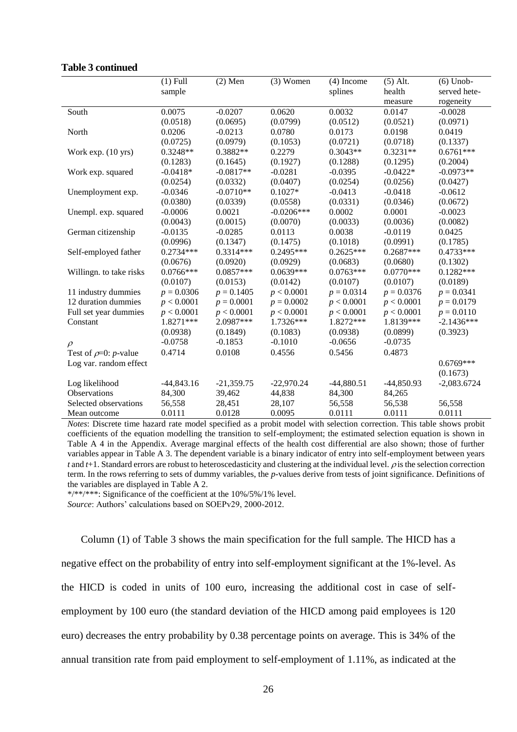|                            | $(1)$ Full   | $(2)$ Men    | $(3)$ Women  | $(4)$ Income | $(5)$ Alt.   | $(6)$ Unob-   |
|----------------------------|--------------|--------------|--------------|--------------|--------------|---------------|
|                            | sample       |              |              | splines      | health       | served hete-  |
|                            |              |              |              |              | measure      | rogeneity     |
| South                      | 0.0075       | $-0.0207$    | 0.0620       | 0.0032       | 0.0147       | $-0.0028$     |
|                            | (0.0518)     | (0.0695)     | (0.0799)     | (0.0512)     | (0.0521)     | (0.0971)      |
| North                      | 0.0206       | $-0.0213$    | 0.0780       | 0.0173       | 0.0198       | 0.0419        |
|                            | (0.0725)     | (0.0979)     | (0.1053)     | (0.0721)     | (0.0718)     | (0.1337)      |
| Work exp. (10 yrs)         | $0.3248**$   | $0.3882**$   | 0.2279       | $0.3043**$   | $0.3231**$   | $0.6761***$   |
|                            | (0.1283)     | (0.1645)     | (0.1927)     | (0.1288)     | (0.1295)     | (0.2004)      |
| Work exp. squared          | $-0.0418*$   | $-0.0817**$  | $-0.0281$    | $-0.0395$    | $-0.0422*$   | $-0.0973**$   |
|                            | (0.0254)     | (0.0332)     | (0.0407)     | (0.0254)     | (0.0256)     | (0.0427)      |
| Unemployment exp.          | $-0.0346$    | $-0.0710**$  | $0.1027*$    | $-0.0413$    | $-0.0418$    | $-0.0612$     |
|                            | (0.0380)     | (0.0339)     | (0.0558)     | (0.0331)     | (0.0346)     | (0.0672)      |
| Unempl. exp. squared       | $-0.0006$    | 0.0021       | $-0.0206***$ | 0.0002       | 0.0001       | $-0.0023$     |
|                            | (0.0043)     | (0.0015)     | (0.0070)     | (0.0033)     | (0.0036)     | (0.0082)      |
| German citizenship         | $-0.0135$    | $-0.0285$    | 0.0113       | 0.0038       | $-0.0119$    | 0.0425        |
|                            | (0.0996)     | (0.1347)     | (0.1475)     | (0.1018)     | (0.0991)     | (0.1785)      |
| Self-employed father       | $0.2734***$  | $0.3314***$  | $0.2495***$  | $0.2625***$  | $0.2687***$  | 0.4733***     |
|                            | (0.0676)     | (0.0920)     | (0.0929)     | (0.0683)     | (0.0680)     | (0.1302)      |
| Willingn. to take risks    | $0.0766***$  | $0.0857***$  | $0.0639***$  | $0.0763***$  | $0.0770***$  | $0.1282***$   |
|                            | (0.0107)     | (0.0153)     | (0.0142)     | (0.0107)     | (0.0107)     | (0.0189)      |
| 11 industry dummies        | $p = 0.0306$ | $p = 0.1405$ | p < 0.0001   | $p = 0.0314$ | $p = 0.0376$ | $p = 0.0341$  |
| 12 duration dummies        | p < 0.0001   | $p = 0.0001$ | $p = 0.0002$ | p < 0.0001   | p < 0.0001   | $p = 0.0179$  |
| Full set year dummies      | p < 0.0001   | p < 0.0001   | p < 0.0001   | p < 0.0001   | p < 0.0001   | $p = 0.0110$  |
| Constant                   | 1.8271 ***   | 2.0987***    | 1.7326***    | 1.8272***    | 1.8139***    | $-2.1436***$  |
|                            | (0.0938)     | (0.1849)     | (0.1083)     | (0.0938)     | (0.0899)     | (0.3923)      |
| $\rho$                     | $-0.0758$    | $-0.1853$    | $-0.1010$    | $-0.0656$    | $-0.0735$    |               |
| Test of $\rho=0$ : p-value | 0.4714       | 0.0108       | 0.4556       | 0.5456       | 0.4873       |               |
| Log var. random effect     |              |              |              |              |              | $0.6769***$   |
|                            |              |              |              |              |              | (0.1673)      |
| Log likelihood             | $-44,843.16$ | $-21,359.75$ | $-22,970.24$ | $-44,880.51$ | $-44,850.93$ | $-2,083.6724$ |
| Observations               | 84,300       | 39,462       | 44,838       | 84,300       | 84,265       |               |
| Selected observations      | 56,558       | 28,451       | 28,107       | 56,558       | 56,538       | 56,558        |
| Mean outcome               | 0.0111       | 0.0128       | 0.0095       | 0.0111       | 0.0111       | 0.0111        |

#### **Table 3 continued**

*Notes*: Discrete time hazard rate model specified as a probit model with selection correction. This table shows probit coefficients of the equation modelling the transition to self-employment; the estimated selection equation is shown in Table A 4 in the Appendix. Average marginal effects of the health cost differential are also shown; those of further variables appear in Table A 3. The dependent variable is a binary indicator of entry into self-employment between years  $t$  and  $t+1$ . Standard errors are robust to heteroscedasticity and clustering at the individual level.  $\rho$  is the selection correction term. In the rows referring to sets of dummy variables, the *p*-values derive from tests of joint significance. Definitions of the variables are displayed in Table A 2.

\*/\*\*/\*\*\*: Significance of the coefficient at the 10%/5%/1% level.

*Source*: Authors' calculations based on SOEPv29, 2000-2012.

Column (1) of Table 3 shows the main specification for the full sample. The HICD has a negative effect on the probability of entry into self-employment significant at the 1%-level. As the HICD is coded in units of 100 euro, increasing the additional cost in case of selfemployment by 100 euro (the standard deviation of the HICD among paid employees is 120 euro) decreases the entry probability by 0.38 percentage points on average. This is 34% of the annual transition rate from paid employment to self-employment of 1.11%, as indicated at the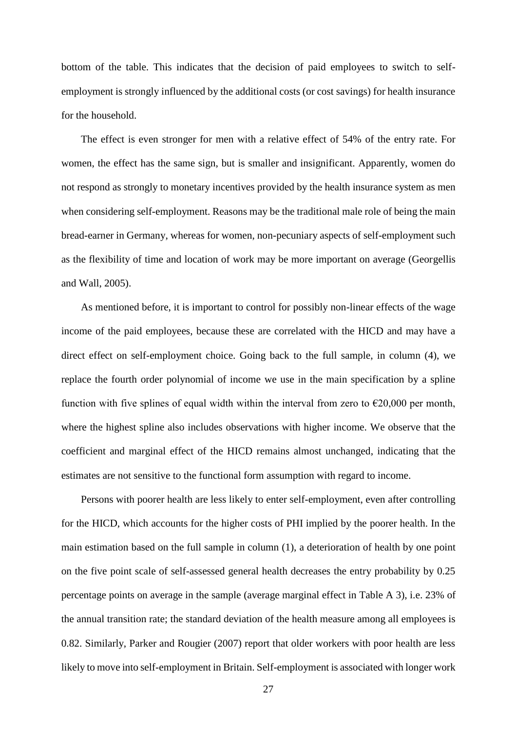bottom of the table. This indicates that the decision of paid employees to switch to selfemployment is strongly influenced by the additional costs (or cost savings) for health insurance for the household.

The effect is even stronger for men with a relative effect of 54% of the entry rate. For women, the effect has the same sign, but is smaller and insignificant. Apparently, women do not respond as strongly to monetary incentives provided by the health insurance system as men when considering self-employment. Reasons may be the traditional male role of being the main bread-earner in Germany, whereas for women, non-pecuniary aspects of self-employment such as the flexibility of time and location of work may be more important on average (Georgellis and Wall, 2005).

As mentioned before, it is important to control for possibly non-linear effects of the wage income of the paid employees, because these are correlated with the HICD and may have a direct effect on self-employment choice. Going back to the full sample, in column (4), we replace the fourth order polynomial of income we use in the main specification by a spline function with five splines of equal width within the interval from zero to  $\epsilon$ 20,000 per month, where the highest spline also includes observations with higher income. We observe that the coefficient and marginal effect of the HICD remains almost unchanged, indicating that the estimates are not sensitive to the functional form assumption with regard to income.

Persons with poorer health are less likely to enter self-employment, even after controlling for the HICD, which accounts for the higher costs of PHI implied by the poorer health. In the main estimation based on the full sample in column (1), a deterioration of health by one point on the five point scale of self-assessed general health decreases the entry probability by 0.25 percentage points on average in the sample (average marginal effect in Table A 3), i.e. 23% of the annual transition rate; the standard deviation of the health measure among all employees is 0.82. Similarly, Parker and Rougier (2007) report that older workers with poor health are less likely to move into self-employment in Britain. Self-employment is associated with longer work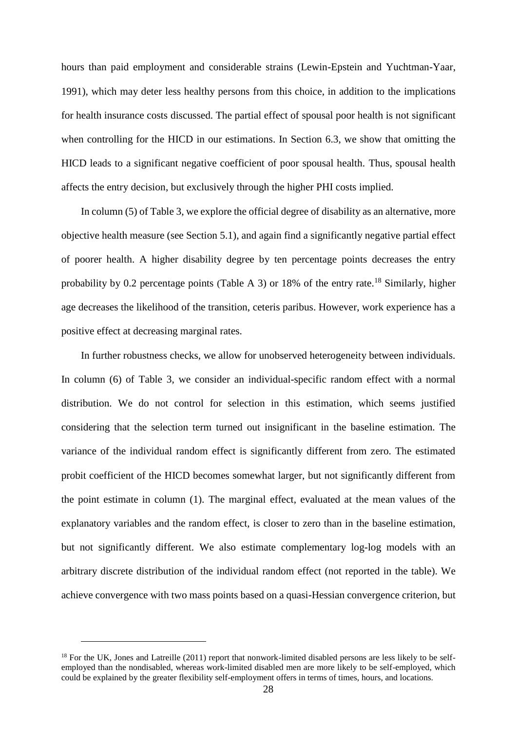hours than paid employment and considerable strains (Lewin-Epstein and Yuchtman-Yaar, 1991), which may deter less healthy persons from this choice, in addition to the implications for health insurance costs discussed. The partial effect of spousal poor health is not significant when controlling for the HICD in our estimations. In Section 6.3, we show that omitting the HICD leads to a significant negative coefficient of poor spousal health. Thus, spousal health affects the entry decision, but exclusively through the higher PHI costs implied.

In column (5) of Table 3, we explore the official degree of disability as an alternative, more objective health measure (see Section 5.1), and again find a significantly negative partial effect of poorer health. A higher disability degree by ten percentage points decreases the entry probability by 0.2 percentage points (Table A 3) or 18% of the entry rate.<sup>18</sup> Similarly, higher age decreases the likelihood of the transition, ceteris paribus. However, work experience has a positive effect at decreasing marginal rates.

In further robustness checks, we allow for unobserved heterogeneity between individuals. In column (6) of Table 3, we consider an individual-specific random effect with a normal distribution. We do not control for selection in this estimation, which seems justified considering that the selection term turned out insignificant in the baseline estimation. The variance of the individual random effect is significantly different from zero. The estimated probit coefficient of the HICD becomes somewhat larger, but not significantly different from the point estimate in column (1). The marginal effect, evaluated at the mean values of the explanatory variables and the random effect, is closer to zero than in the baseline estimation, but not significantly different. We also estimate complementary log-log models with an arbitrary discrete distribution of the individual random effect (not reported in the table). We achieve convergence with two mass points based on a quasi-Hessian convergence criterion, but

<sup>&</sup>lt;sup>18</sup> For the UK, Jones and Latreille (2011) report that nonwork-limited disabled persons are less likely to be selfemployed than the nondisabled, whereas work-limited disabled men are more likely to be self-employed, which could be explained by the greater flexibility self-employment offers in terms of times, hours, and locations.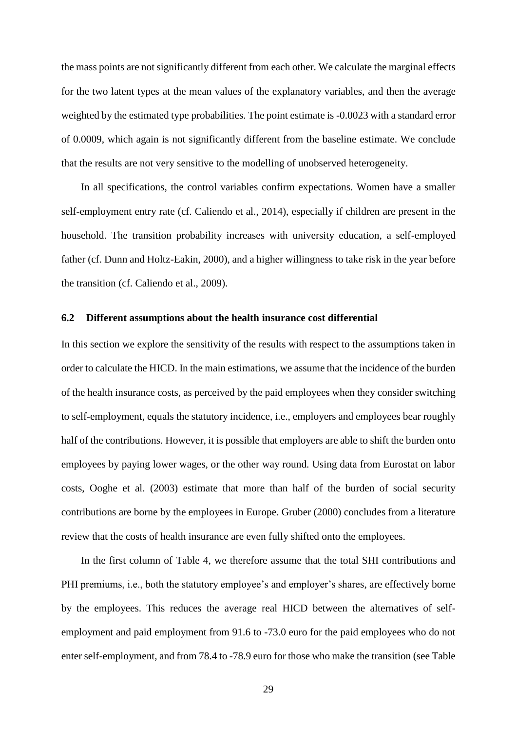the mass points are not significantly different from each other. We calculate the marginal effects for the two latent types at the mean values of the explanatory variables, and then the average weighted by the estimated type probabilities. The point estimate is -0.0023 with a standard error of 0.0009, which again is not significantly different from the baseline estimate. We conclude that the results are not very sensitive to the modelling of unobserved heterogeneity.

In all specifications, the control variables confirm expectations. Women have a smaller self-employment entry rate (cf. Caliendo et al., 2014), especially if children are present in the household. The transition probability increases with university education, a self-employed father (cf. Dunn and Holtz-Eakin, 2000), and a higher willingness to take risk in the year before the transition (cf. Caliendo et al., 2009).

#### **6.2 Different assumptions about the health insurance cost differential**

In this section we explore the sensitivity of the results with respect to the assumptions taken in order to calculate the HICD. In the main estimations, we assume that the incidence of the burden of the health insurance costs, as perceived by the paid employees when they consider switching to self-employment, equals the statutory incidence, i.e., employers and employees bear roughly half of the contributions. However, it is possible that employers are able to shift the burden onto employees by paying lower wages, or the other way round. Using data from Eurostat on labor costs, Ooghe et al. (2003) estimate that more than half of the burden of social security contributions are borne by the employees in Europe. Gruber (2000) concludes from a literature review that the costs of health insurance are even fully shifted onto the employees.

In the first column of Table 4, we therefore assume that the total SHI contributions and PHI premiums, i.e., both the statutory employee's and employer's shares, are effectively borne by the employees. This reduces the average real HICD between the alternatives of selfemployment and paid employment from 91.6 to -73.0 euro for the paid employees who do not enter self-employment, and from 78.4 to -78.9 euro for those who make the transition (see Table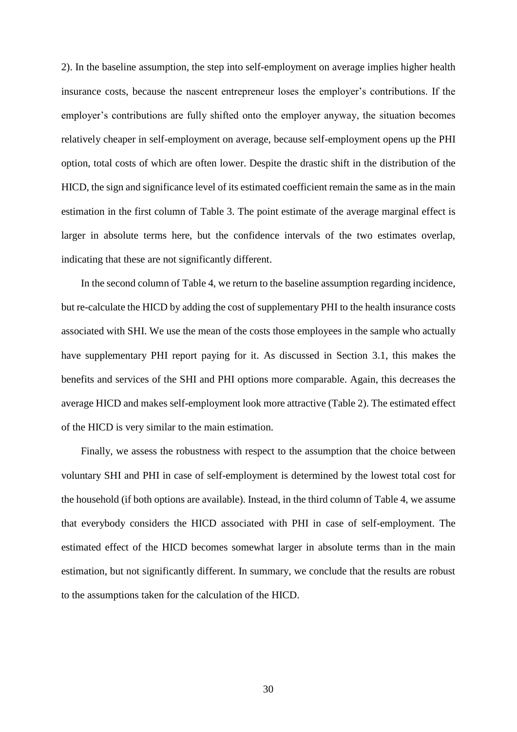2). In the baseline assumption, the step into self-employment on average implies higher health insurance costs, because the nascent entrepreneur loses the employer's contributions. If the employer's contributions are fully shifted onto the employer anyway, the situation becomes relatively cheaper in self-employment on average, because self-employment opens up the PHI option, total costs of which are often lower. Despite the drastic shift in the distribution of the HICD, the sign and significance level of its estimated coefficient remain the same as in the main estimation in the first column of Table 3. The point estimate of the average marginal effect is larger in absolute terms here, but the confidence intervals of the two estimates overlap, indicating that these are not significantly different.

In the second column of Table 4, we return to the baseline assumption regarding incidence, but re-calculate the HICD by adding the cost of supplementary PHI to the health insurance costs associated with SHI. We use the mean of the costs those employees in the sample who actually have supplementary PHI report paying for it. As discussed in Section 3.1, this makes the benefits and services of the SHI and PHI options more comparable. Again, this decreases the average HICD and makes self-employment look more attractive (Table 2). The estimated effect of the HICD is very similar to the main estimation.

Finally, we assess the robustness with respect to the assumption that the choice between voluntary SHI and PHI in case of self-employment is determined by the lowest total cost for the household (if both options are available). Instead, in the third column of Table 4, we assume that everybody considers the HICD associated with PHI in case of self-employment. The estimated effect of the HICD becomes somewhat larger in absolute terms than in the main estimation, but not significantly different. In summary, we conclude that the results are robust to the assumptions taken for the calculation of the HICD.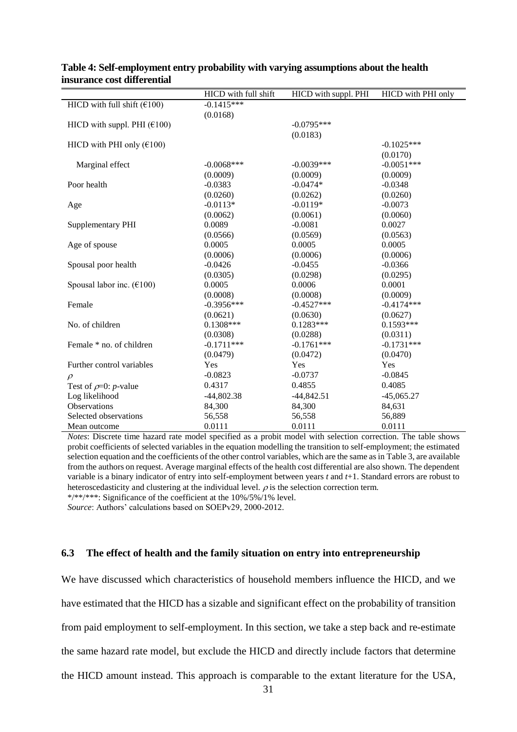|                                                  | HICD with full shift | HICD with suppl. PHI | HICD with PHI only |
|--------------------------------------------------|----------------------|----------------------|--------------------|
| HICD with full shift $(£100)$                    | $-0.1415***$         |                      |                    |
|                                                  | (0.0168)             |                      |                    |
| HICD with suppl. PHI $(\text{\textsterling}100)$ |                      | $-0.0795***$         |                    |
|                                                  |                      | (0.0183)             |                    |
| HICD with PHI only $(£100)$                      |                      |                      | $-0.1025***$       |
|                                                  |                      |                      | (0.0170)           |
| Marginal effect                                  | $-0.0068$ ***        | $-0.0039***$         | $-0.0051***$       |
|                                                  | (0.0009)             | (0.0009)             | (0.0009)           |
| Poor health                                      | $-0.0383$            | $-0.0474*$           | $-0.0348$          |
|                                                  | (0.0260)             | (0.0262)             | (0.0260)           |
| Age                                              | $-0.0113*$           | $-0.0119*$           | $-0.0073$          |
|                                                  | (0.0062)             | (0.0061)             | (0.0060)           |
| Supplementary PHI                                | 0.0089               | $-0.0081$            | 0.0027             |
|                                                  | (0.0566)             | (0.0569)             | (0.0563)           |
| Age of spouse                                    | 0.0005               | 0.0005               | 0.0005             |
|                                                  | (0.0006)             | (0.0006)             | (0.0006)           |
| Spousal poor health                              | $-0.0426$            | $-0.0455$            | $-0.0366$          |
|                                                  | (0.0305)             | (0.0298)             | (0.0295)           |
| Spousal labor inc. $(\text{\textsterling}100)$   | 0.0005               | 0.0006               | 0.0001             |
|                                                  | (0.0008)             | (0.0008)             | (0.0009)           |
| Female                                           | $-0.3956***$         | $-0.4527***$         | $-0.4174***$       |
|                                                  | (0.0621)             | (0.0630)             | (0.0627)           |
| No. of children                                  | $0.1308***$          | $0.1283***$          | $0.1593***$        |
|                                                  | (0.0308)             | (0.0288)             | (0.0311)           |
| Female * no. of children                         | $-0.1711***$         | $-0.1761***$         | $-0.1731***$       |
|                                                  | (0.0479)             | (0.0472)             | (0.0470)           |
| Further control variables                        | Yes                  | Yes                  | Yes                |
| $\rho$                                           | $-0.0823$            | $-0.0737$            | $-0.0845$          |
| Test of $\rho$ =0: <i>p</i> -value               | 0.4317               | 0.4855               | 0.4085             |
| Log likelihood                                   | $-44,802.38$         | $-44,842.51$         | $-45,065.27$       |
| Observations                                     | 84,300               | 84,300               | 84,631             |
| Selected observations                            | 56,558               | 56,558               | 56,889             |
| Mean outcome                                     | 0.0111               | 0.0111               | 0.0111             |

#### **Table 4: Self-employment entry probability with varying assumptions about the health insurance cost differential**

*Notes*: Discrete time hazard rate model specified as a probit model with selection correction. The table shows probit coefficients of selected variables in the equation modelling the transition to self-employment; the estimated selection equation and the coefficients of the other control variables, which are the same as in Table 3, are available from the authors on request. Average marginal effects of the health cost differential are also shown. The dependent variable is a binary indicator of entry into self-employment between years *t* and *t*+1. Standard errors are robust to heteroscedasticity and clustering at the individual level.  $\rho$  is the selection correction term. \*/\*\*/\*\*\*: Significance of the coefficient at the 10%/5%/1% level.

*Source*: Authors' calculations based on SOEPv29, 2000-2012.

#### **6.3 The effect of health and the family situation on entry into entrepreneurship**

We have discussed which characteristics of household members influence the HICD, and we have estimated that the HICD has a sizable and significant effect on the probability of transition from paid employment to self-employment. In this section, we take a step back and re-estimate the same hazard rate model, but exclude the HICD and directly include factors that determine the HICD amount instead. This approach is comparable to the extant literature for the USA,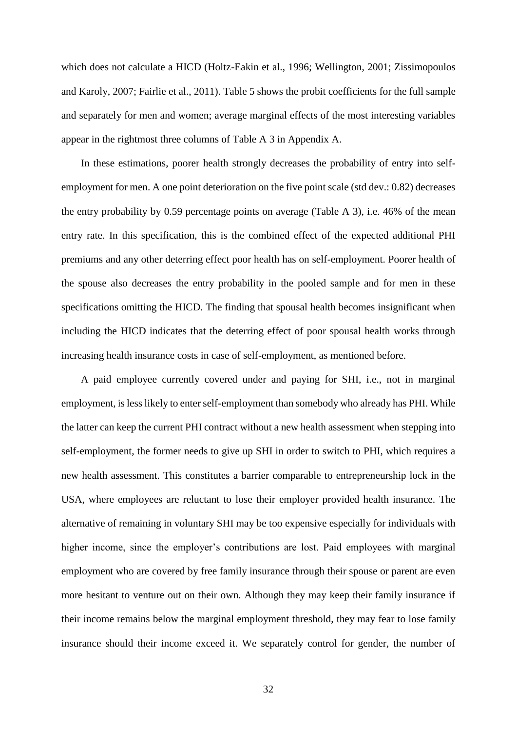which does not calculate a HICD (Holtz-Eakin et al., 1996; Wellington, 2001; Zissimopoulos and Karoly, 2007; Fairlie et al., 2011). Table 5 shows the probit coefficients for the full sample and separately for men and women; average marginal effects of the most interesting variables appear in the rightmost three columns of Table A 3 in Appendix A.

In these estimations, poorer health strongly decreases the probability of entry into selfemployment for men. A one point deterioration on the five point scale (std dev.: 0.82) decreases the entry probability by 0.59 percentage points on average (Table A 3), i.e. 46% of the mean entry rate. In this specification, this is the combined effect of the expected additional PHI premiums and any other deterring effect poor health has on self-employment. Poorer health of the spouse also decreases the entry probability in the pooled sample and for men in these specifications omitting the HICD. The finding that spousal health becomes insignificant when including the HICD indicates that the deterring effect of poor spousal health works through increasing health insurance costs in case of self-employment, as mentioned before.

A paid employee currently covered under and paying for SHI, i.e., not in marginal employment, is less likely to enter self-employment than somebody who already has PHI. While the latter can keep the current PHI contract without a new health assessment when stepping into self-employment, the former needs to give up SHI in order to switch to PHI, which requires a new health assessment. This constitutes a barrier comparable to entrepreneurship lock in the USA, where employees are reluctant to lose their employer provided health insurance. The alternative of remaining in voluntary SHI may be too expensive especially for individuals with higher income, since the employer's contributions are lost. Paid employees with marginal employment who are covered by free family insurance through their spouse or parent are even more hesitant to venture out on their own. Although they may keep their family insurance if their income remains below the marginal employment threshold, they may fear to lose family insurance should their income exceed it. We separately control for gender, the number of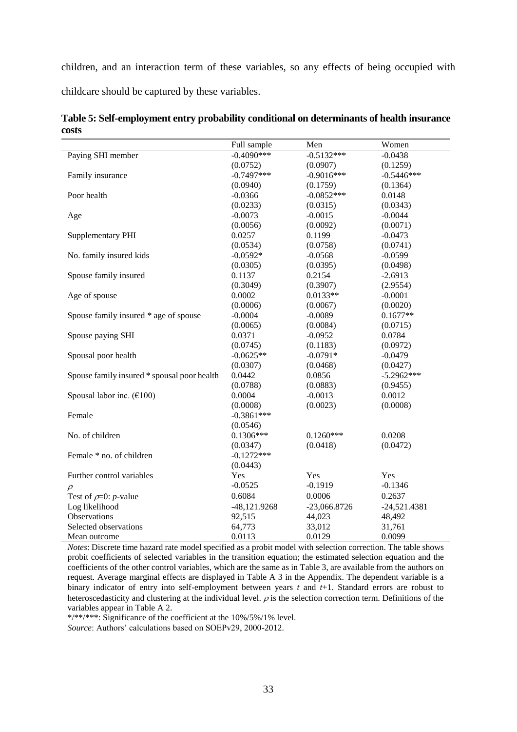children, and an interaction term of these variables, so any effects of being occupied with childcare should be captured by these variables.

|                                             | Full sample    | Men            | Women          |
|---------------------------------------------|----------------|----------------|----------------|
| Paying SHI member                           | $-0.4090***$   | $-0.5132***$   | $-0.0438$      |
|                                             | (0.0752)       | (0.0907)       | (0.1259)       |
| Family insurance                            | $-0.7497***$   | $-0.9016***$   | $-0.5446***$   |
|                                             | (0.0940)       | (0.1759)       | (0.1364)       |
| Poor health                                 | $-0.0366$      | $-0.0852***$   | 0.0148         |
|                                             | (0.0233)       | (0.0315)       | (0.0343)       |
| Age                                         | $-0.0073$      | $-0.0015$      | $-0.0044$      |
|                                             | (0.0056)       | (0.0092)       | (0.0071)       |
| Supplementary PHI                           | 0.0257         | 0.1199         | $-0.0473$      |
|                                             | (0.0534)       | (0.0758)       | (0.0741)       |
| No. family insured kids                     | $-0.0592*$     | $-0.0568$      | $-0.0599$      |
|                                             | (0.0305)       | (0.0395)       | (0.0498)       |
| Spouse family insured                       | 0.1137         | 0.2154         | $-2.6913$      |
|                                             | (0.3049)       | (0.3907)       | (2.9554)       |
| Age of spouse                               | 0.0002         | $0.0133**$     | $-0.0001$      |
|                                             | (0.0006)       | (0.0067)       | (0.0020)       |
| Spouse family insured * age of spouse       | $-0.0004$      | $-0.0089$      | $0.1677**$     |
|                                             | (0.0065)       | (0.0084)       | (0.0715)       |
| Spouse paying SHI                           | 0.0371         | $-0.0952$      | 0.0784         |
|                                             | (0.0745)       | (0.1183)       | (0.0972)       |
| Spousal poor health                         | $-0.0625**$    | $-0.0791*$     | $-0.0479$      |
|                                             | (0.0307)       | (0.0468)       | (0.0427)       |
| Spouse family insured * spousal poor health | 0.0442         | 0.0856         | $-5.2962***$   |
|                                             | (0.0788)       | (0.0883)       | (0.9455)       |
| Spousal labor inc. $(€100)$                 | 0.0004         | $-0.0013$      | 0.0012         |
|                                             | (0.0008)       | (0.0023)       | (0.0008)       |
| Female                                      | $-0.3861***$   |                |                |
|                                             | (0.0546)       |                |                |
| No. of children                             | $0.1306***$    | $0.1260***$    | 0.0208         |
|                                             | (0.0347)       | (0.0418)       | (0.0472)       |
| Female * no. of children                    | $-0.1272***$   |                |                |
|                                             | (0.0443)       |                |                |
| Further control variables                   | Yes            | Yes            | Yes            |
| $\rho$                                      | $-0.0525$      | $-0.1919$      | $-0.1346$      |
| Test of $\rho$ =0: <i>p</i> -value          | 0.6084         | 0.0006         | 0.2637         |
| Log likelihood                              | $-48,121.9268$ | $-23,066.8726$ | $-24,521.4381$ |
| Observations                                | 92,515         | 44,023         | 48,492         |
| Selected observations                       | 64,773         | 33,012         | 31,761         |
| Mean outcome                                | 0.0113         | 0.0129         | 0.0099         |

**Table 5: Self-employment entry probability conditional on determinants of health insurance costs**

*Notes*: Discrete time hazard rate model specified as a probit model with selection correction. The table shows probit coefficients of selected variables in the transition equation; the estimated selection equation and the coefficients of the other control variables, which are the same as in Table 3, are available from the authors on request. Average marginal effects are displayed in Table A 3 in the Appendix. The dependent variable is a binary indicator of entry into self-employment between years *t* and *t*+1. Standard errors are robust to heteroscedasticity and clustering at the individual level.  $\rho$  is the selection correction term. Definitions of the variables appear in Table A 2.

\*/\*\*/\*\*\*: Significance of the coefficient at the 10%/5%/1% level.

*Source*: Authors' calculations based on SOEPv29, 2000-2012.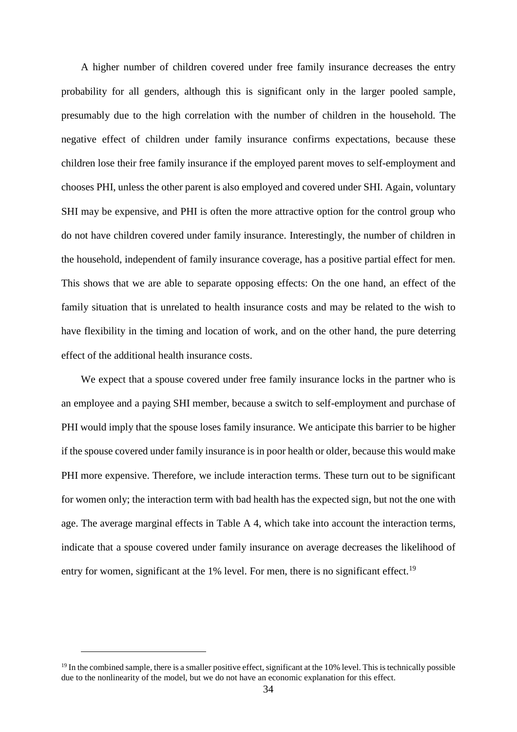A higher number of children covered under free family insurance decreases the entry probability for all genders, although this is significant only in the larger pooled sample, presumably due to the high correlation with the number of children in the household. The negative effect of children under family insurance confirms expectations, because these children lose their free family insurance if the employed parent moves to self-employment and chooses PHI, unless the other parent is also employed and covered under SHI. Again, voluntary SHI may be expensive, and PHI is often the more attractive option for the control group who do not have children covered under family insurance. Interestingly, the number of children in the household, independent of family insurance coverage, has a positive partial effect for men. This shows that we are able to separate opposing effects: On the one hand, an effect of the family situation that is unrelated to health insurance costs and may be related to the wish to have flexibility in the timing and location of work, and on the other hand, the pure deterring effect of the additional health insurance costs.

We expect that a spouse covered under free family insurance locks in the partner who is an employee and a paying SHI member, because a switch to self-employment and purchase of PHI would imply that the spouse loses family insurance. We anticipate this barrier to be higher if the spouse covered under family insurance is in poor health or older, because this would make PHI more expensive. Therefore, we include interaction terms. These turn out to be significant for women only; the interaction term with bad health has the expected sign, but not the one with age. The average marginal effects in Table A 4, which take into account the interaction terms, indicate that a spouse covered under family insurance on average decreases the likelihood of entry for women, significant at the  $1\%$  level. For men, there is no significant effect.<sup>19</sup>

<sup>&</sup>lt;sup>19</sup> In the combined sample, there is a smaller positive effect, significant at the 10% level. This is technically possible due to the nonlinearity of the model, but we do not have an economic explanation for this effect.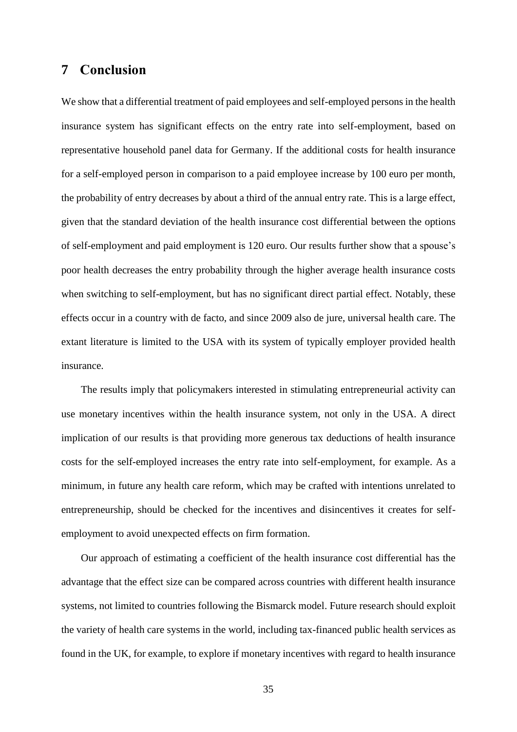## **7 Conclusion**

We show that a differential treatment of paid employees and self-employed persons in the health insurance system has significant effects on the entry rate into self-employment, based on representative household panel data for Germany. If the additional costs for health insurance for a self-employed person in comparison to a paid employee increase by 100 euro per month, the probability of entry decreases by about a third of the annual entry rate. This is a large effect, given that the standard deviation of the health insurance cost differential between the options of self-employment and paid employment is 120 euro. Our results further show that a spouse's poor health decreases the entry probability through the higher average health insurance costs when switching to self-employment, but has no significant direct partial effect. Notably, these effects occur in a country with de facto, and since 2009 also de jure, universal health care. The extant literature is limited to the USA with its system of typically employer provided health insurance.

The results imply that policymakers interested in stimulating entrepreneurial activity can use monetary incentives within the health insurance system, not only in the USA. A direct implication of our results is that providing more generous tax deductions of health insurance costs for the self-employed increases the entry rate into self-employment, for example. As a minimum, in future any health care reform, which may be crafted with intentions unrelated to entrepreneurship, should be checked for the incentives and disincentives it creates for selfemployment to avoid unexpected effects on firm formation.

Our approach of estimating a coefficient of the health insurance cost differential has the advantage that the effect size can be compared across countries with different health insurance systems, not limited to countries following the Bismarck model. Future research should exploit the variety of health care systems in the world, including tax-financed public health services as found in the UK, for example, to explore if monetary incentives with regard to health insurance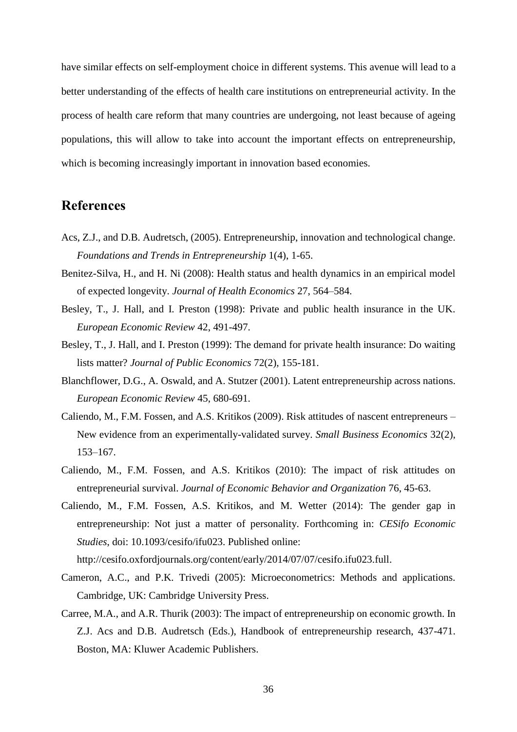have similar effects on self-employment choice in different systems. This avenue will lead to a better understanding of the effects of health care institutions on entrepreneurial activity. In the process of health care reform that many countries are undergoing, not least because of ageing populations, this will allow to take into account the important effects on entrepreneurship, which is becoming increasingly important in innovation based economies.

# **References**

- Acs, Z.J., and D.B. Audretsch, (2005). Entrepreneurship, innovation and technological change. *Foundations and Trends in Entrepreneurship* 1(4), 1-65.
- Benitez-Silva, H., and H. Ni (2008): Health status and health dynamics in an empirical model of expected longevity. *Journal of Health Economics* 27, 564–584.
- Besley, T., J. Hall, and I. Preston (1998): Private and public health insurance in the UK. *European Economic Review* 42, 491-497.
- Besley, T., J. Hall, and I. Preston (1999): The demand for private health insurance: Do waiting lists matter? *Journal of Public Economics* 72(2), 155-181.
- Blanchflower, D.G., A. Oswald, and A. Stutzer (2001). Latent entrepreneurship across nations. *European Economic Review* 45, 680-691.
- Caliendo, M., F.M. Fossen, and A.S. Kritikos (2009). Risk attitudes of nascent entrepreneurs New evidence from an experimentally-validated survey. *Small Business Economics* 32(2), 153–167.
- Caliendo, M., F.M. Fossen, and A.S. Kritikos (2010): The impact of risk attitudes on entrepreneurial survival. *Journal of Economic Behavior and Organization* 76, 45-63.
- Caliendo, M., F.M. Fossen, A.S. Kritikos, and M. Wetter (2014): The gender gap in entrepreneurship: Not just a matter of personality. Forthcoming in: *CESifo Economic Studies*, doi: 10.1093/cesifo/ifu023. Published online:

[http://cesifo.oxfordjournals.org/content/early/2014/07/07/cesifo.ifu023.full.](http://cesifo.oxfordjournals.org/content/early/2014/07/07/cesifo.ifu023.full)

- Cameron, A.C., and P.K. Trivedi (2005): Microeconometrics: Methods and applications. Cambridge, UK: Cambridge University Press.
- Carree, M.A., and A.R. Thurik (2003): The impact of entrepreneurship on economic growth. In Z.J. Acs and D.B. Audretsch (Eds.), Handbook of entrepreneurship research, 437-471. Boston, MA: Kluwer Academic Publishers.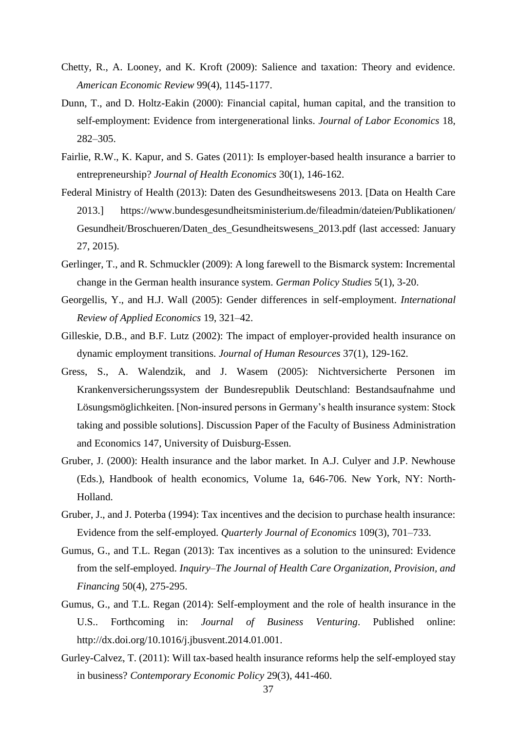- Chetty, R., A. Looney, and K. Kroft (2009): Salience and taxation: Theory and evidence. *American Economic Review* 99(4), 1145-1177.
- Dunn, T., and D. Holtz-Eakin (2000): Financial capital, human capital, and the transition to self-employment: Evidence from intergenerational links. *Journal of Labor Economics* 18, 282–305.
- Fairlie, R.W., K. Kapur, and S. Gates (2011): Is employer-based health insurance a barrier to entrepreneurship? *Journal of Health Economics* 30(1), 146-162.
- Federal Ministry of Health (2013): Daten des Gesundheitswesens 2013. [Data on Health Care 2013.] [https://www.bundesgesundheitsministerium.de/fileadmin/dateien/Publikationen/](https://www.bundesgesundheitsministerium.de/fileadmin/dateien/Publikationen/Gesundheit/Broschueren/Daten_des_Gesundheitswesens_2013.pdf)  [Gesundheit/Broschueren/Daten\\_des\\_Gesundheitswesens\\_2013.pdf](https://www.bundesgesundheitsministerium.de/fileadmin/dateien/Publikationen/Gesundheit/Broschueren/Daten_des_Gesundheitswesens_2013.pdf) (last accessed: January 27, 2015).
- Gerlinger, T., and R. Schmuckler (2009): A long farewell to the Bismarck system: Incremental change in the German health insurance system. *German Policy Studies* 5(1), 3-20.
- Georgellis, Y., and H.J. Wall (2005): Gender differences in self-employment. *International Review of Applied Economics* 19, 321–42.
- Gilleskie, D.B., and B.F. Lutz (2002): The impact of employer-provided health insurance on dynamic employment transitions. *Journal of Human Resources* 37(1), 129-162.
- Gress, S., A. Walendzik, and J. Wasem (2005): Nichtversicherte Personen im Krankenversicherungssystem der Bundesrepublik Deutschland: Bestandsaufnahme und Lösungsmöglichkeiten. [Non-insured persons in Germany's health insurance system: Stock taking and possible solutions]. Discussion Paper of the Faculty of Business Administration and Economics 147, University of Duisburg-Essen.
- Gruber, J. (2000): Health insurance and the labor market. In A.J. Culyer and J.P. Newhouse (Eds.), Handbook of health economics, Volume 1a, 646-706. New York, NY: North-Holland.
- Gruber, J., and J. Poterba (1994): Tax incentives and the decision to purchase health insurance: Evidence from the self-employed. *Quarterly Journal of Economics* 109(3), 701–733.
- Gumus, G., and T.L. Regan (2013): Tax incentives as a solution to the uninsured: Evidence from the self-employed. *Inquiry*–*The Journal of Health Care Organization, Provision, and Financing* 50(4), 275-295.
- Gumus, G., and T.L. Regan (2014): Self-employment and the role of health insurance in the U.S.. Forthcoming in: *Journal of Business Venturing*. Published online: [http://dx.doi.org/10.1016/j.jbusvent.2014.01.001.](http://dx.doi.org/10.1016/j.jbusvent.2014.01.001)
- Gurley-Calvez, T. (2011): Will tax-based health insurance reforms help the self-employed stay in business? *Contemporary Economic Policy* 29(3), 441-460.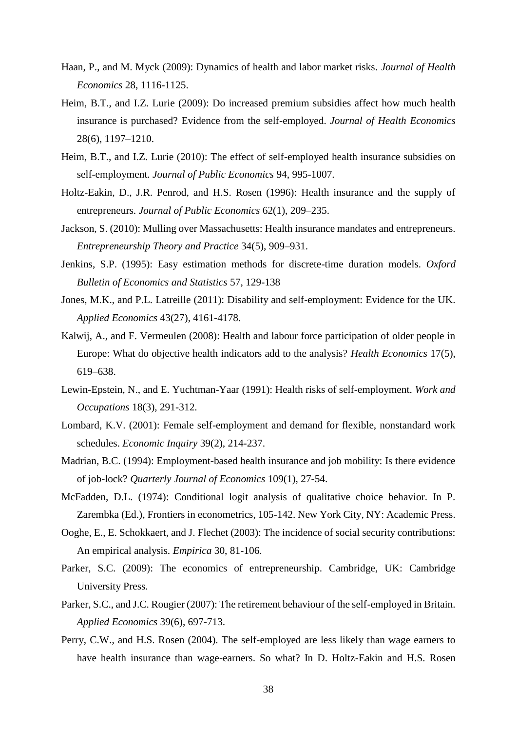- Haan, P., and M. Myck (2009): Dynamics of health and labor market risks. *Journal of Health Economics* 28, 1116-1125.
- Heim, B.T., and I.Z. Lurie (2009): Do increased premium subsidies affect how much health insurance is purchased? Evidence from the self-employed. *Journal of Health Economics* 28(6), 1197–1210.
- Heim, B.T., and I.Z. Lurie (2010): The effect of self-employed health insurance subsidies on self-employment. *Journal of Public Economics* 94, 995-1007.
- Holtz-Eakin, D., J.R. Penrod, and H.S. Rosen (1996): Health insurance and the supply of entrepreneurs. *Journal of Public Economics* 62(1), 209–235.
- Jackson, S. (2010): Mulling over Massachusetts: Health insurance mandates and entrepreneurs. *Entrepreneurship Theory and Practice* 34(5), 909–931.
- Jenkins, S.P. (1995): Easy estimation methods for discrete-time duration models. *Oxford Bulletin of Economics and Statistics* 57, 129-138
- Jones, M.K., and P.L. Latreille (2011): Disability and self-employment: Evidence for the UK. *Applied Economics* 43(27), 4161-4178.
- Kalwij, A., and F. Vermeulen (2008): Health and labour force participation of older people in Europe: What do objective health indicators add to the analysis? *Health Economics* 17(5), 619–638.
- Lewin-Epstein, N., and E. Yuchtman-Yaar (1991): Health risks of self-employment. *Work and Occupations* 18(3), 291-312.
- Lombard, K.V. (2001): Female self-employment and demand for flexible, nonstandard work schedules. *Economic Inquiry* 39(2), 214-237.
- Madrian, B.C. (1994): Employment-based health insurance and job mobility: Is there evidence of job-lock? *Quarterly Journal of Economics* 109(1), 27-54.
- McFadden, D.L. (1974): Conditional logit analysis of qualitative choice behavior. In P. Zarembka (Ed.), Frontiers in econometrics, 105-142. New York City, NY: Academic Press.
- Ooghe, E., E. Schokkaert, and J. Flechet (2003): The incidence of social security contributions: An empirical analysis. *Empirica* 30, 81-106.
- Parker, S.C. (2009): The economics of entrepreneurship. Cambridge, UK: Cambridge University Press.
- Parker, S.C., and J.C. Rougier (2007): The retirement behaviour of the self-employed in Britain. *Applied Economics* 39(6), 697-713.
- Perry, C.W., and H.S. Rosen (2004). The self-employed are less likely than wage earners to have health insurance than wage-earners. So what? In D. Holtz-Eakin and H.S. Rosen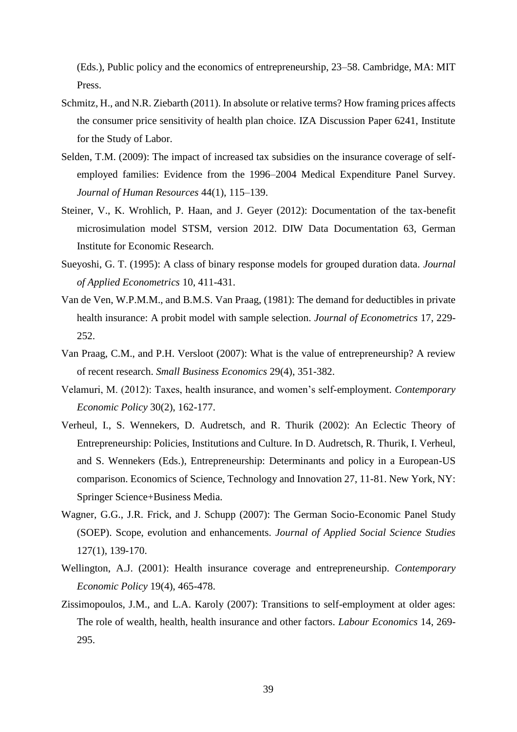(Eds.), Public policy and the economics of entrepreneurship, 23–58. Cambridge, MA: MIT Press.

- Schmitz, H., and N.R. Ziebarth (2011). In absolute or relative terms? How framing prices affects the consumer price sensitivity of health plan choice. IZA Discussion Paper 6241, Institute for the Study of Labor.
- Selden, T.M. (2009): The impact of increased tax subsidies on the insurance coverage of selfemployed families: Evidence from the 1996–2004 Medical Expenditure Panel Survey. *Journal of Human Resources* 44(1), 115–139.
- Steiner, V., K. Wrohlich, P. Haan, and J. Geyer (2012): Documentation of the tax-benefit microsimulation model STSM, version 2012. DIW Data Documentation 63, German Institute for Economic Research.
- Sueyoshi, G. T. (1995): A class of binary response models for grouped duration data. *Journal of Applied Econometrics* 10, 411-431.
- Van de Ven, W.P.M.M., and B.M.S. Van Praag, (1981): The demand for deductibles in private health insurance: A probit model with sample selection. *Journal of Econometrics* 17, 229- 252.
- Van Praag, C.M., and P.H. Versloot (2007): What is the value of entrepreneurship? A review of recent research. *Small Business Economics* 29(4), 351-382.
- Velamuri, M. (2012): Taxes, health insurance, and women's self-employment. *Contemporary Economic Policy* 30(2), 162-177.
- Verheul, I., S. Wennekers, D. Audretsch, and R. Thurik (2002): An Eclectic Theory of Entrepreneurship: Policies, Institutions and Culture. In D. Audretsch, R. Thurik, I. Verheul, and S. Wennekers (Eds.), Entrepreneurship: Determinants and policy in a European-US comparison. Economics of Science, Technology and Innovation 27, 11-81. New York, NY: Springer Science+Business Media.
- Wagner, G.G., J.R. Frick, and J. Schupp (2007): The German Socio-Economic Panel Study (SOEP). Scope, evolution and enhancements. *Journal of Applied Social Science Studies* 127(1), 139-170.
- Wellington, A.J. (2001): Health insurance coverage and entrepreneurship. *Contemporary Economic Policy* 19(4), 465-478.
- Zissimopoulos, J.M., and L.A. Karoly (2007): Transitions to self-employment at older ages: The role of wealth, health, health insurance and other factors. *Labour Economics* 14, 269- 295.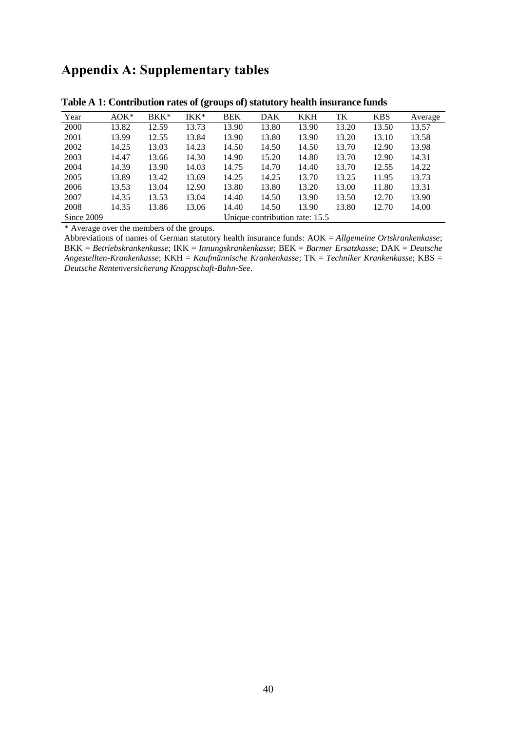# **Appendix A: Supplementary tables**

|            |         |                                | $\ddot{\phantom{0}}$ |            | $\bullet$  |            |       |            |         |  |
|------------|---------|--------------------------------|----------------------|------------|------------|------------|-------|------------|---------|--|
| Year       | $AOK^*$ | $BKK^*$                        | IKK*                 | <b>BEK</b> | <b>DAK</b> | <b>KKH</b> | TK    | <b>KBS</b> | Average |  |
| 2000       | 13.82   | 12.59                          | 13.73                | 13.90      | 13.80      | 13.90      | 13.20 | 13.50      | 13.57   |  |
| 2001       | 13.99   | 12.55                          | 13.84                | 13.90      | 13.80      | 13.90      | 13.20 | 13.10      | 13.58   |  |
| 2002       | 14.25   | 13.03                          | 14.23                | 14.50      | 14.50      | 14.50      | 13.70 | 12.90      | 13.98   |  |
| 2003       | 14.47   | 13.66                          | 14.30                | 14.90      | 15.20      | 14.80      | 13.70 | 12.90      | 14.31   |  |
| 2004       | 14.39   | 13.90                          | 14.03                | 14.75      | 14.70      | 14.40      | 13.70 | 12.55      | 14.22   |  |
| 2005       | 13.89   | 13.42                          | 13.69                | 14.25      | 14.25      | 13.70      | 13.25 | 11.95      | 13.73   |  |
| 2006       | 13.53   | 13.04                          | 12.90                | 13.80      | 13.80      | 13.20      | 13.00 | 11.80      | 13.31   |  |
| 2007       | 14.35   | 13.53                          | 13.04                | 14.40      | 14.50      | 13.90      | 13.50 | 12.70      | 13.90   |  |
| 2008       | 14.35   | 13.86                          | 13.06                | 14.40      | 14.50      | 13.90      | 13.80 | 12.70      | 14.00   |  |
| Since 2009 |         | Unique contribution rate: 15.5 |                      |            |            |            |       |            |         |  |

**Table A 1: Contribution rates of (groups of) statutory health insurance funds**

\* Average over the members of the groups.

Abbreviations of names of German statutory health insurance funds: AOK = *Allgemeine Ortskrankenkasse*; BKK = *Betriebskrankenkasse*; IKK = *Innungskrankenkasse*; BEK = *Barmer Ersatzkasse*; DAK = *Deutsche Angestellten-Krankenkasse*; KKH = *Kaufmännische Krankenkasse*; TK = *Techniker Krankenkasse*; KBS = *Deutsche Rentenversicherung Knappschaft-Bahn-See*.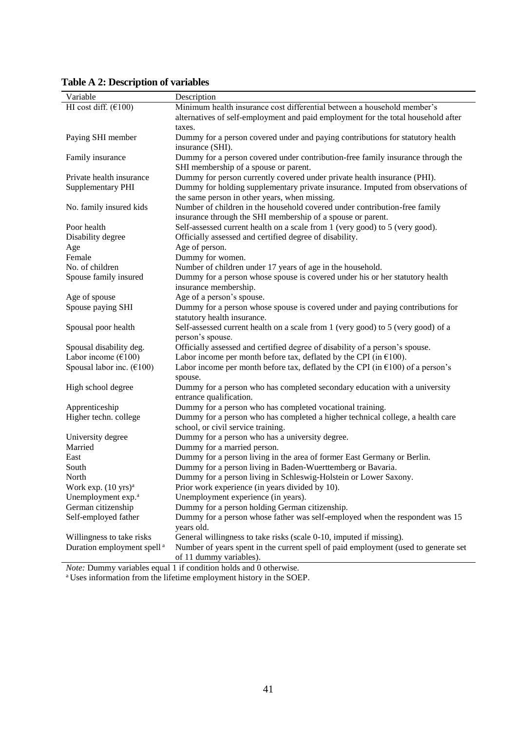| Variable                                         | Description                                                                              |
|--------------------------------------------------|------------------------------------------------------------------------------------------|
| HI cost diff. $(6100)$                           | Minimum health insurance cost differential between a household member's                  |
|                                                  | alternatives of self-employment and paid employment for the total household after        |
|                                                  | taxes.                                                                                   |
| Paying SHI member                                | Dummy for a person covered under and paying contributions for statutory health           |
|                                                  | insurance (SHI).                                                                         |
| Family insurance                                 | Dummy for a person covered under contribution-free family insurance through the          |
|                                                  | SHI membership of a spouse or parent.                                                    |
| Private health insurance                         | Dummy for person currently covered under private health insurance (PHI).                 |
| <b>Supplementary PHI</b>                         | Dummy for holding supplementary private insurance. Imputed from observations of          |
|                                                  | the same person in other years, when missing.                                            |
| No. family insured kids                          | Number of children in the household covered under contribution-free family               |
|                                                  | insurance through the SHI membership of a spouse or parent.                              |
| Poor health                                      | Self-assessed current health on a scale from 1 (very good) to 5 (very good).             |
| Disability degree                                | Officially assessed and certified degree of disability.                                  |
| Age                                              | Age of person.                                                                           |
| Female                                           | Dummy for women.                                                                         |
| No. of children                                  | Number of children under 17 years of age in the household.                               |
| Spouse family insured                            | Dummy for a person whose spouse is covered under his or her statutory health             |
|                                                  | insurance membership.                                                                    |
| Age of spouse                                    | Age of a person's spouse.                                                                |
| Spouse paying SHI                                | Dummy for a person whose spouse is covered under and paying contributions for            |
|                                                  | statutory health insurance.                                                              |
| Spousal poor health                              | Self-assessed current health on a scale from 1 (very good) to 5 (very good) of a         |
|                                                  | person's spouse.                                                                         |
| Spousal disability deg.                          | Officially assessed and certified degree of disability of a person's spouse.             |
| Labor income $(\text{\textsterling}100)$         | Labor income per month before tax, deflated by the CPI (in $\epsilon$ 100).              |
| Spousal labor inc. $(€100)$                      | Labor income per month before tax, deflated by the CPI (in $\epsilon$ 100) of a person's |
|                                                  | spouse.                                                                                  |
| High school degree                               | Dummy for a person who has completed secondary education with a university               |
|                                                  | entrance qualification.                                                                  |
| Apprenticeship                                   | Dummy for a person who has completed vocational training.                                |
| Higher techn. college                            | Dummy for a person who has completed a higher technical college, a health care           |
|                                                  | school, or civil service training.                                                       |
| University degree                                | Dummy for a person who has a university degree.                                          |
| Married                                          | Dummy for a married person.                                                              |
| East                                             | Dummy for a person living in the area of former East Germany or Berlin.                  |
| South                                            | Dummy for a person living in Baden-Wuerttemberg or Bavaria.                              |
| North<br>Work exp. $(10 \text{ yrs})^{\text{a}}$ | Dummy for a person living in Schleswig-Holstein or Lower Saxony.                         |
| Unemployment exp. <sup>a</sup>                   | Prior work experience (in years divided by 10).<br>Unemployment experience (in years).   |
| German citizenship                               | Dummy for a person holding German citizenship.                                           |
| Self-employed father                             | Dummy for a person whose father was self-employed when the respondent was 15             |
|                                                  | years old.                                                                               |
| Willingness to take risks                        | General willingness to take risks (scale 0-10, imputed if missing).                      |
| Duration employment spell <sup>a</sup>           | Number of years spent in the current spell of paid employment (used to generate set      |
|                                                  | of 11 dummy variables).                                                                  |
|                                                  | <i>Note:</i> Dummy variables equal 1 if condition holds and 0 otherwise.                 |

**Table A 2: Description of variables**

<sup>a</sup> Uses information from the lifetime employment history in the SOEP.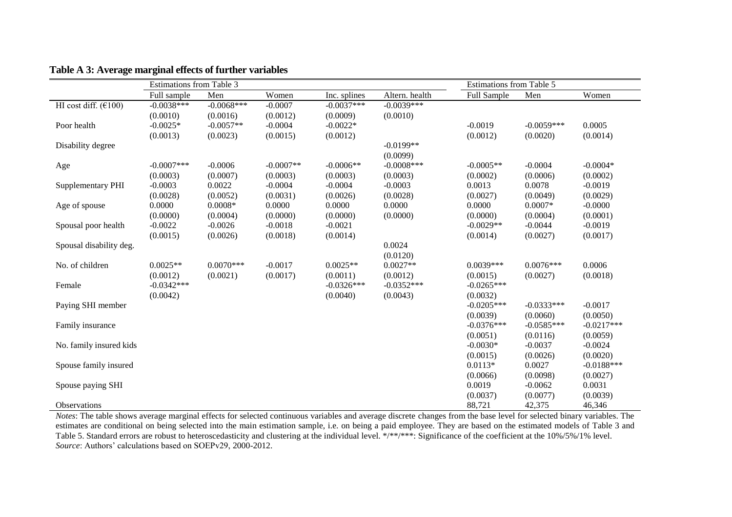|                          | Estimations from Table 3 |              |             |              |                | Estimations from Table 5 |              |              |
|--------------------------|--------------------------|--------------|-------------|--------------|----------------|--------------------------|--------------|--------------|
|                          | Full sample              | Men          | Women       | Inc. splines | Altern. health | <b>Full Sample</b>       | Men          | Women        |
| HI cost diff. $(6100)$   | $-0.0038***$             | $-0.0068***$ | $-0.0007$   | $-0.0037***$ | $-0.0039***$   |                          |              |              |
|                          | (0.0010)                 | (0.0016)     | (0.0012)    | (0.0009)     | (0.0010)       |                          |              |              |
| Poor health              | $-0.0025*$               | $-0.0057**$  | $-0.0004$   | $-0.0022*$   |                | $-0.0019$                | $-0.0059***$ | 0.0005       |
|                          | (0.0013)                 | (0.0023)     | (0.0015)    | (0.0012)     |                | (0.0012)                 | (0.0020)     | (0.0014)     |
| Disability degree        |                          |              |             |              | $-0.0199**$    |                          |              |              |
|                          |                          |              |             |              | (0.0099)       |                          |              |              |
| Age                      | $-0.0007$ ***            | $-0.0006$    | $-0.0007**$ | $-0.0006**$  | $-0.0008$ ***  | $-0.0005**$              | $-0.0004$    | $-0.0004*$   |
|                          | (0.0003)                 | (0.0007)     | (0.0003)    | (0.0003)     | (0.0003)       | (0.0002)                 | (0.0006)     | (0.0002)     |
| <b>Supplementary PHI</b> | $-0.0003$                | 0.0022       | $-0.0004$   | $-0.0004$    | $-0.0003$      | 0.0013                   | 0.0078       | $-0.0019$    |
|                          | (0.0028)                 | (0.0052)     | (0.0031)    | (0.0026)     | (0.0028)       | (0.0027)                 | (0.0049)     | (0.0029)     |
| Age of spouse            | 0.0000                   | $0.0008*$    | 0.0000      | 0.0000       | 0.0000         | 0.0000                   | $0.0007*$    | $-0.0000$    |
|                          | (0.0000)                 | (0.0004)     | (0.0000)    | (0.0000)     | (0.0000)       | (0.0000)                 | (0.0004)     | (0.0001)     |
| Spousal poor health      | $-0.0022$                | $-0.0026$    | $-0.0018$   | $-0.0021$    |                | $-0.0029**$              | $-0.0044$    | $-0.0019$    |
|                          | (0.0015)                 | (0.0026)     | (0.0018)    | (0.0014)     |                | (0.0014)                 | (0.0027)     | (0.0017)     |
| Spousal disability deg.  |                          |              |             |              | 0.0024         |                          |              |              |
|                          |                          |              |             |              | (0.0120)       |                          |              |              |
| No. of children          | $0.0025**$               | $0.0070***$  | $-0.0017$   | $0.0025**$   | $0.0027**$     | $0.0039***$              | $0.0076***$  | 0.0006       |
|                          | (0.0012)                 | (0.0021)     | (0.0017)    | (0.0011)     | (0.0012)       | (0.0015)                 | (0.0027)     | (0.0018)     |
| Female                   | $-0.0342***$             |              |             | $-0.0326***$ | $-0.0352***$   | $-0.0265***$             |              |              |
|                          | (0.0042)                 |              |             | (0.0040)     | (0.0043)       | (0.0032)                 |              |              |
| Paying SHI member        |                          |              |             |              |                | $-0.0205***$             | $-0.0333***$ | $-0.0017$    |
|                          |                          |              |             |              |                | (0.0039)                 | (0.0060)     | (0.0050)     |
| Family insurance         |                          |              |             |              |                | $-0.0376***$             | $-0.0585***$ | $-0.0217***$ |
|                          |                          |              |             |              |                | (0.0051)                 | (0.0116)     | (0.0059)     |
| No. family insured kids  |                          |              |             |              |                | $-0.0030*$               | $-0.0037$    | $-0.0024$    |
|                          |                          |              |             |              |                | (0.0015)                 | (0.0026)     | (0.0020)     |
| Spouse family insured    |                          |              |             |              |                | $0.0113*$                | 0.0027       | $-0.0188***$ |
|                          |                          |              |             |              |                | (0.0066)                 | (0.0098)     | (0.0027)     |
| Spouse paying SHI        |                          |              |             |              |                | 0.0019                   | $-0.0062$    | 0.0031       |
|                          |                          |              |             |              |                | (0.0037)                 | (0.0077)     | (0.0039)     |
| <b>Observations</b>      |                          |              |             |              |                | 88,721                   | 42,375       | 46,346       |

# **Table A 3: Average marginal effects of further variables**

*Notes*: The table shows average marginal effects for selected continuous variables and average discrete changes from the base level for selected binary variables. The estimates are conditional on being selected into the main estimation sample, i.e. on being a paid employee. They are based on the estimated models of Table 3 and Table 5. Standard errors are robust to heteroscedasticity and clustering at the individual level. \*/\*\*/\*\*\*: Significance of the coefficient at the 10%/5%/1% level. *Source*: Authors' calculations based on SOEPv29, 2000-2012.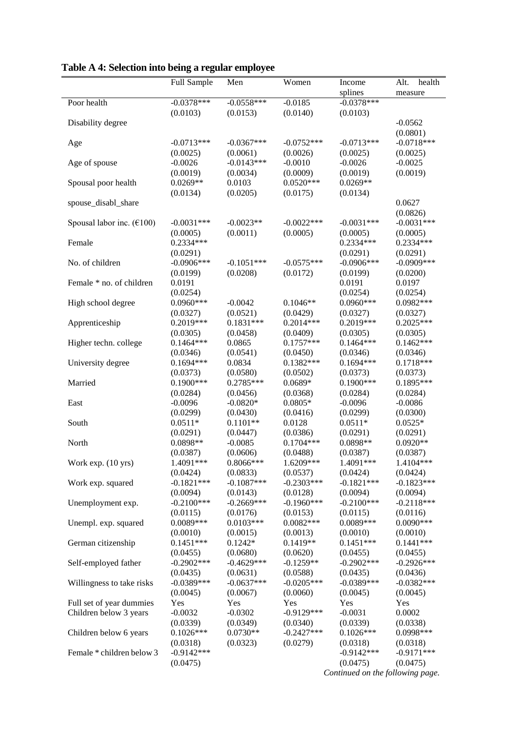|                                                    | Full Sample               | Men                      | Women                    | Income                           | health<br>Alt.           |
|----------------------------------------------------|---------------------------|--------------------------|--------------------------|----------------------------------|--------------------------|
|                                                    |                           |                          |                          | splines                          | measure                  |
| Poor health                                        | $-0.0378***$              | $-0.0558***$             | $-0.0185$                | $-0.0378***$                     |                          |
|                                                    | (0.0103)                  | (0.0153)                 | (0.0140)                 | (0.0103)                         |                          |
| Disability degree                                  |                           |                          |                          |                                  | $-0.0562$                |
|                                                    |                           |                          |                          |                                  | (0.0801)                 |
| Age                                                | $-0.0713***$              | $-0.0367***$             | $-0.0752***$             | $-0.0713***$                     | $-0.0718***$             |
|                                                    | (0.0025)                  | (0.0061)                 | (0.0026)                 | (0.0025)                         | (0.0025)                 |
| Age of spouse                                      | $-0.0026$                 | $-0.0143***$             | $-0.0010$                | $-0.0026$                        | $-0.0025$                |
|                                                    | (0.0019)                  | (0.0034)                 | (0.0009)                 | (0.0019)                         | (0.0019)                 |
| Spousal poor health                                | $0.0269**$                | 0.0103                   | $0.0520***$              | $0.0269**$                       |                          |
|                                                    | (0.0134)                  | (0.0205)                 | (0.0175)                 | (0.0134)                         |                          |
| spouse_disabl_share                                |                           |                          |                          |                                  | 0.0627                   |
|                                                    |                           |                          |                          |                                  | (0.0826)                 |
| Spousal labor inc. $(\text{\textsterling}100)$     | $-0.0031***$              | $-0.0023**$              | $-0.0022***$             | $-0.0031***$                     | $-0.0031***$             |
|                                                    | (0.0005)                  | (0.0011)                 | (0.0005)                 | (0.0005)                         | (0.0005)                 |
| Female                                             | $0.2334***$               |                          |                          | 0.2334***                        | 0.2334***                |
|                                                    | (0.0291)                  |                          |                          | (0.0291)                         | (0.0291)                 |
| No. of children                                    | $-0.0906***$              | $-0.1051***$             | $-0.0575***$             | $-0.0906***$                     | $-0.0909$ ***            |
|                                                    | (0.0199)                  | (0.0208)                 | (0.0172)                 | (0.0199)                         | (0.0200)                 |
| Female * no. of children                           | 0.0191                    |                          |                          | 0.0191                           | 0.0197                   |
|                                                    | (0.0254)                  |                          |                          | (0.0254)                         | (0.0254)                 |
| High school degree                                 | $0.0960***$               | $-0.0042$                | $0.1046**$               | $0.0960***$                      | $0.0982***$              |
|                                                    | (0.0327)                  | (0.0521)                 | (0.0429)                 | (0.0327)                         | (0.0327)                 |
| Apprenticeship                                     | 0.2019***                 | $0.1831***$              | $0.2014***$              | 0.2019***                        | $0.2025***$              |
|                                                    | (0.0305)                  | (0.0458)                 | (0.0409)                 | (0.0305)                         | (0.0305)                 |
| Higher techn. college                              | $0.1464***$               | 0.0865                   | $0.1757***$              | $0.1464***$                      | $0.1462***$              |
|                                                    | (0.0346)                  | (0.0541)                 | (0.0450)                 | (0.0346)                         | (0.0346)                 |
| University degree                                  | $0.1694***$               | 0.0834                   | $0.1382***$              | $0.1694***$                      | $0.1718***$              |
|                                                    | (0.0373)                  | (0.0580)                 | (0.0502)                 | (0.0373)                         | (0.0373)                 |
| Married                                            | $0.1900***$               | $0.2785***$              | $0.0689*$                | $0.1900***$                      | 0.1895***                |
|                                                    | (0.0284)                  | (0.0456)                 | (0.0368)                 | (0.0284)                         | (0.0284)                 |
| East                                               | $-0.0096$                 | $-0.0820*$               | $0.0805*$                | $-0.0096$                        | $-0.0086$                |
|                                                    | (0.0299)                  | (0.0430)                 | (0.0416)                 | (0.0299)                         | (0.0300)                 |
| South                                              | $0.0511*$                 | $0.1101**$               | 0.0128                   | $0.0511*$                        | $0.0525*$                |
|                                                    | (0.0291)                  | (0.0447)                 | (0.0386)                 | (0.0291)                         | (0.0291)                 |
| North                                              | 0.0898**                  | $-0.0085$                | $0.1704***$              | 0.0898**                         | $0.0920**$               |
|                                                    | (0.0387)                  | (0.0606)                 | (0.0488)                 | (0.0387)                         | (0.0387)                 |
| Work exp. (10 yrs)                                 | 1.4091***                 | 0.8066***                | 1.6209***                | 1.4091***                        | 1.4104***                |
|                                                    | (0.0424)                  | (0.0833)<br>$-0.1087***$ | (0.0537)<br>$-0.2303***$ | (0.0424)                         | (0.0424)<br>$-0.1823***$ |
| Work exp. squared                                  | $-0.1821***$              |                          |                          | $-0.1821***$                     |                          |
|                                                    | (0.0094)                  | (0.0143)                 | (0.0128)                 | (0.0094)                         | (0.0094)                 |
| Unemployment exp.                                  | $-0.2100***$              | $-0.2669***$             | $-0.1960***$             | $-0.2100***$                     | $-0.2118***$             |
|                                                    | (0.0115)<br>$0.0089***$   | (0.0176)                 | (0.0153)<br>$0.0082***$  | (0.0115)<br>$0.0089***$          | (0.0116)                 |
| Unempl. exp. squared                               |                           | $0.0103***$              |                          |                                  | $0.0090***$              |
|                                                    | (0.0010)                  | (0.0015)                 | (0.0013)                 | (0.0010)                         | (0.0010)                 |
| German citizenship                                 | $0.1451***$               | $0.1242*$                | $0.1419**$               | $0.1451***$                      | $0.1441***$              |
|                                                    | (0.0455)<br>$-0.2902$ *** | (0.0680)<br>$-0.4629***$ | (0.0620)<br>$-0.1259**$  | (0.0455)<br>$-0.2902***$         | (0.0455)<br>$-0.2926***$ |
| Self-employed father                               | (0.0435)                  |                          |                          |                                  | (0.0436)                 |
|                                                    | $-0.0389***$              | (0.0631)<br>$-0.0637***$ | (0.0588)<br>$-0.0205***$ | (0.0435)<br>$-0.0389***$         | $-0.0382***$             |
| Willingness to take risks                          |                           |                          |                          |                                  |                          |
|                                                    | (0.0045)                  | (0.0067)                 | (0.0060)                 | (0.0045)                         | (0.0045)                 |
| Full set of year dummies<br>Children below 3 years | Yes                       | Yes<br>$-0.0302$         | Yes<br>$-0.9129***$      | Yes<br>$-0.0031$                 | Yes<br>0.0002            |
|                                                    | $-0.0032$                 |                          |                          |                                  |                          |
|                                                    | (0.0339)<br>$0.1026***$   | (0.0349)<br>$0.0730**$   | (0.0340)<br>$-0.2427***$ | (0.0339)<br>$0.1026***$          | (0.0338)<br>0.0998***    |
| Children below 6 years                             |                           |                          |                          |                                  |                          |
|                                                    | (0.0318)<br>$-0.9142***$  | (0.0323)                 | (0.0279)                 | (0.0318)<br>$-0.9142***$         | (0.0318)<br>$-0.9171***$ |
| Female * children below 3                          |                           |                          |                          |                                  |                          |
|                                                    | (0.0475)                  |                          |                          | (0.0475)                         | (0.0475)                 |
|                                                    |                           |                          |                          | Continued on the following page. |                          |

**Table A 4: Selection into being a regular employee**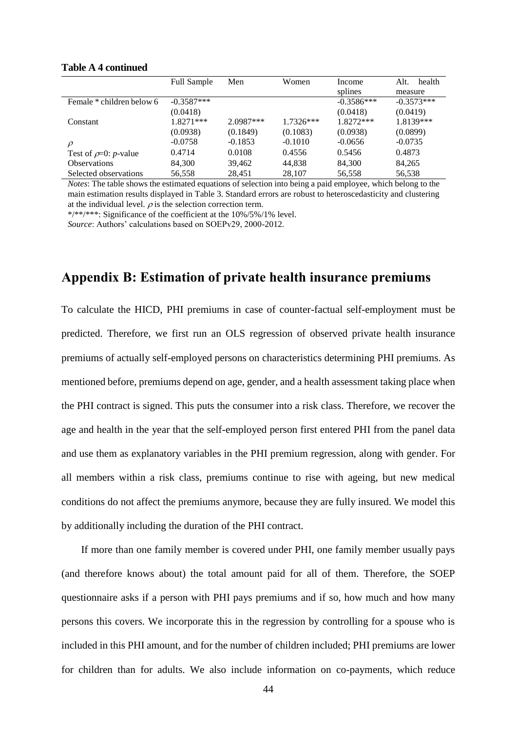|                            | <b>Full Sample</b> | Men         | Women       | Income       | health<br>Alt. |
|----------------------------|--------------------|-------------|-------------|--------------|----------------|
|                            |                    |             |             | splines      | measure        |
| Female * children below 6  | $-0.3587***$       |             |             | $-0.3586***$ | $-0.3573***$   |
|                            | (0.0418)           |             |             | (0.0418)     | (0.0419)       |
| Constant                   | $1.8271***$        | $2.0987***$ | $1.7326***$ | 1.8272***    | 1.8139***      |
|                            | (0.0938)           | (0.1849)    | (0.1083)    | (0.0938)     | (0.0899)       |
| $\rho$                     | $-0.0758$          | $-0.1853$   | $-0.1010$   | $-0.0656$    | $-0.0735$      |
| Test of $\rho=0$ : p-value | 0.4714             | 0.0108      | 0.4556      | 0.5456       | 0.4873         |
| <b>Observations</b>        | 84,300             | 39,462      | 44.838      | 84,300       | 84,265         |
| Selected observations      | 56.558             | 28,451      | 28.107      | 56,558       | 56,538         |

#### **Table A 4 continued**

*Notes*: The table shows the estimated equations of selection into being a paid employee, which belong to the main estimation results displayed in Table 3. Standard errors are robust to heteroscedasticity and clustering at the individual level.  $\rho$  is the selection correction term.

\*/\*\*/\*\*\*: Significance of the coefficient at the 10%/5%/1% level. *Source*: Authors' calculations based on SOEPv29, 2000-2012.

# **Appendix B: Estimation of private health insurance premiums**

To calculate the HICD, PHI premiums in case of counter-factual self-employment must be predicted. Therefore, we first run an OLS regression of observed private health insurance premiums of actually self-employed persons on characteristics determining PHI premiums. As mentioned before, premiums depend on age, gender, and a health assessment taking place when the PHI contract is signed. This puts the consumer into a risk class. Therefore, we recover the age and health in the year that the self-employed person first entered PHI from the panel data and use them as explanatory variables in the PHI premium regression, along with gender. For all members within a risk class, premiums continue to rise with ageing, but new medical conditions do not affect the premiums anymore, because they are fully insured. We model this by additionally including the duration of the PHI contract.

If more than one family member is covered under PHI, one family member usually pays (and therefore knows about) the total amount paid for all of them. Therefore, the SOEP questionnaire asks if a person with PHI pays premiums and if so, how much and how many persons this covers. We incorporate this in the regression by controlling for a spouse who is included in this PHI amount, and for the number of children included; PHI premiums are lower for children than for adults. We also include information on co-payments, which reduce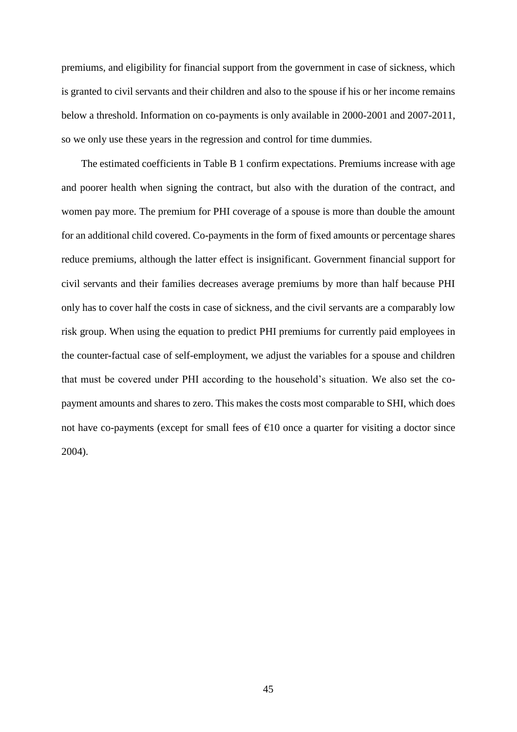premiums, and eligibility for financial support from the government in case of sickness, which is granted to civil servants and their children and also to the spouse if his or her income remains below a threshold. Information on co-payments is only available in 2000-2001 and 2007-2011, so we only use these years in the regression and control for time dummies.

The estimated coefficients in Table B 1 confirm expectations. Premiums increase with age and poorer health when signing the contract, but also with the duration of the contract, and women pay more. The premium for PHI coverage of a spouse is more than double the amount for an additional child covered. Co-payments in the form of fixed amounts or percentage shares reduce premiums, although the latter effect is insignificant. Government financial support for civil servants and their families decreases average premiums by more than half because PHI only has to cover half the costs in case of sickness, and the civil servants are a comparably low risk group. When using the equation to predict PHI premiums for currently paid employees in the counter-factual case of self-employment, we adjust the variables for a spouse and children that must be covered under PHI according to the household's situation. We also set the copayment amounts and shares to zero. This makes the costs most comparable to SHI, which does not have co-payments (except for small fees of  $E10$  once a quarter for visiting a doctor since 2004).